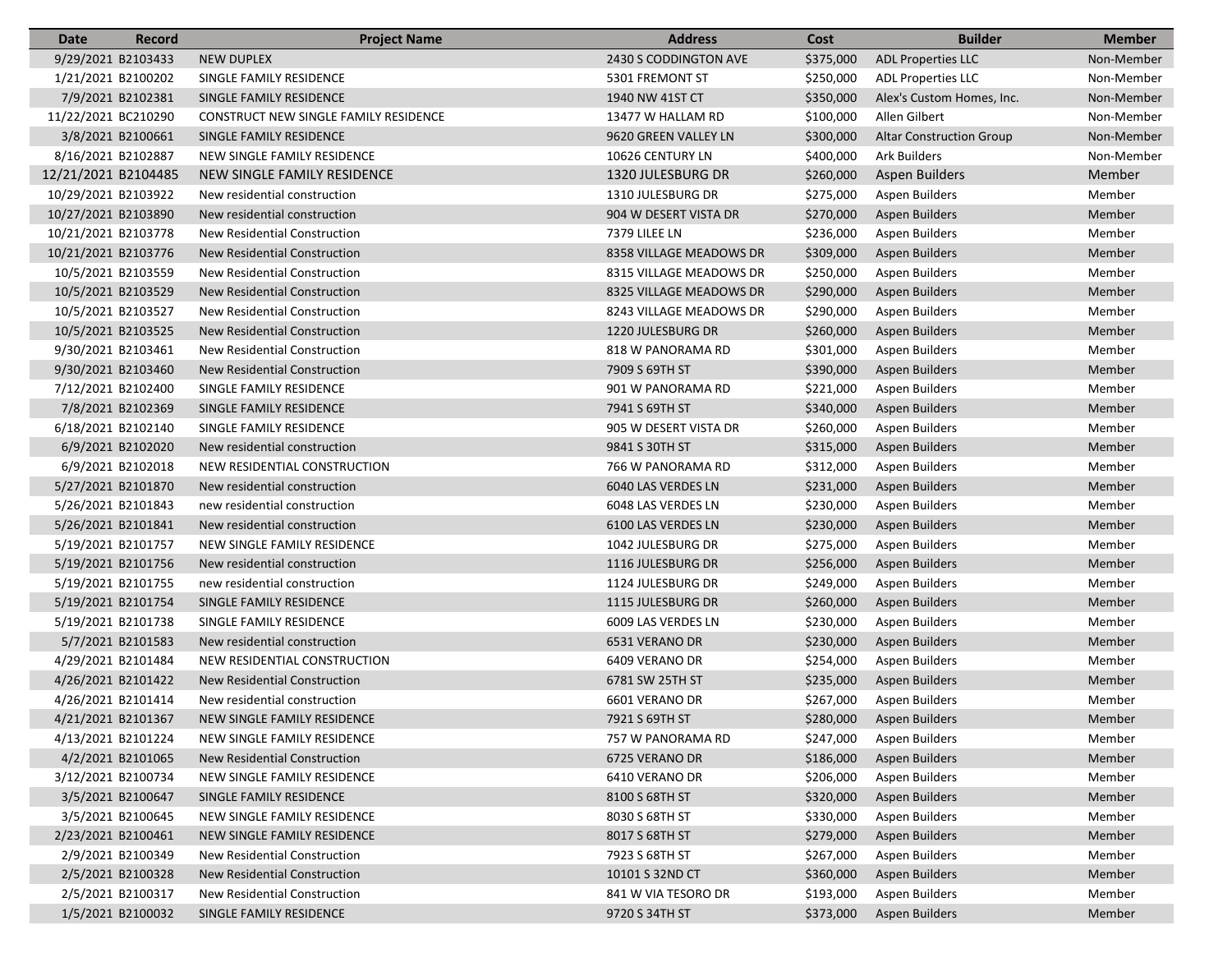| Date                | Record            | <b>Project Name</b>                   | <b>Address</b>           | Cost      | <b>Builder</b>                  | <b>Member</b> |
|---------------------|-------------------|---------------------------------------|--------------------------|-----------|---------------------------------|---------------|
| 9/29/2021 B2103433  |                   | <b>NEW DUPLEX</b>                     | 2430 S CODDINGTON AVE    | \$375,000 | <b>ADL Properties LLC</b>       | Non-Member    |
| 1/21/2021 B2100202  |                   | SINGLE FAMILY RESIDENCE               | 5301 FREMONT ST          | \$250,000 | <b>ADL Properties LLC</b>       | Non-Member    |
| 7/9/2021 B2102381   |                   | SINGLE FAMILY RESIDENCE               | 1940 NW 41ST CT          | \$350,000 | Alex's Custom Homes, Inc.       | Non-Member    |
| 11/22/2021 BC210290 |                   | CONSTRUCT NEW SINGLE FAMILY RESIDENCE | 13477 W HALLAM RD        | \$100,000 | Allen Gilbert                   | Non-Member    |
| 3/8/2021 B2100661   |                   | SINGLE FAMILY RESIDENCE               | 9620 GREEN VALLEY LN     | \$300,000 | <b>Altar Construction Group</b> | Non-Member    |
| 8/16/2021 B2102887  |                   | NEW SINGLE FAMILY RESIDENCE           | 10626 CENTURY LN         | \$400,000 | <b>Ark Builders</b>             | Non-Member    |
| 12/21/2021 B2104485 |                   | NEW SINGLE FAMILY RESIDENCE           | <b>1320 JULESBURG DR</b> | \$260,000 | <b>Aspen Builders</b>           | Member        |
| 10/29/2021 B2103922 |                   | New residential construction          | 1310 JULESBURG DR        | \$275,000 | <b>Aspen Builders</b>           | Member        |
| 10/27/2021 B2103890 |                   | New residential construction          | 904 W DESERT VISTA DR    | \$270,000 | Aspen Builders                  | Member        |
| 10/21/2021 B2103778 |                   | New Residential Construction          | 7379 LILEE LN            | \$236,000 | <b>Aspen Builders</b>           | Member        |
| 10/21/2021 B2103776 |                   | New Residential Construction          | 8358 VILLAGE MEADOWS DR  | \$309,000 | Aspen Builders                  | Member        |
| 10/5/2021 B2103559  |                   | New Residential Construction          | 8315 VILLAGE MEADOWS DR  | \$250,000 | <b>Aspen Builders</b>           | Member        |
| 10/5/2021 B2103529  |                   | New Residential Construction          | 8325 VILLAGE MEADOWS DR  | \$290,000 | <b>Aspen Builders</b>           | Member        |
| 10/5/2021 B2103527  |                   | New Residential Construction          | 8243 VILLAGE MEADOWS DR  | \$290,000 | Aspen Builders                  | Member        |
| 10/5/2021 B2103525  |                   | <b>New Residential Construction</b>   | 1220 JULESBURG DR        | \$260,000 | Aspen Builders                  | Member        |
| 9/30/2021 B2103461  |                   | New Residential Construction          | 818 W PANORAMA RD        | \$301,000 | <b>Aspen Builders</b>           | Member        |
| 9/30/2021 B2103460  |                   | <b>New Residential Construction</b>   | 7909 S 69TH ST           | \$390,000 | <b>Aspen Builders</b>           | Member        |
| 7/12/2021 B2102400  |                   | SINGLE FAMILY RESIDENCE               | 901 W PANORAMA RD        | \$221,000 | Aspen Builders                  | Member        |
| 7/8/2021 B2102369   |                   | SINGLE FAMILY RESIDENCE               | 7941 S 69TH ST           | \$340,000 | <b>Aspen Builders</b>           | Member        |
| 6/18/2021 B2102140  |                   | SINGLE FAMILY RESIDENCE               | 905 W DESERT VISTA DR    | \$260,000 | <b>Aspen Builders</b>           | Member        |
| 6/9/2021 B2102020   |                   | New residential construction          | 9841 S 30TH ST           | \$315,000 | <b>Aspen Builders</b>           | Member        |
|                     | 6/9/2021 B2102018 | NEW RESIDENTIAL CONSTRUCTION          | 766 W PANORAMA RD        | \$312,000 | Aspen Builders                  | Member        |
| 5/27/2021 B2101870  |                   |                                       |                          | \$231,000 |                                 |               |
|                     |                   | New residential construction          | 6040 LAS VERDES LN       |           | Aspen Builders                  | Member        |
| 5/26/2021 B2101843  |                   | new residential construction          | 6048 LAS VERDES LN       | \$230,000 | <b>Aspen Builders</b>           | Member        |
| 5/26/2021 B2101841  |                   | New residential construction          | 6100 LAS VERDES LN       | \$230,000 | <b>Aspen Builders</b>           | Member        |
| 5/19/2021 B2101757  |                   | NEW SINGLE FAMILY RESIDENCE           | 1042 JULESBURG DR        | \$275,000 | <b>Aspen Builders</b>           | Member        |
| 5/19/2021 B2101756  |                   | New residential construction          | 1116 JULESBURG DR        | \$256,000 | <b>Aspen Builders</b>           | Member        |
| 5/19/2021 B2101755  |                   | new residential construction          | 1124 JULESBURG DR        | \$249,000 | <b>Aspen Builders</b>           | Member        |
| 5/19/2021 B2101754  |                   | SINGLE FAMILY RESIDENCE               | 1115 JULESBURG DR        | \$260,000 | Aspen Builders                  | Member        |
| 5/19/2021 B2101738  |                   | SINGLE FAMILY RESIDENCE               | 6009 LAS VERDES LN       | \$230,000 | Aspen Builders                  | Member        |
|                     | 5/7/2021 B2101583 | New residential construction          | 6531 VERANO DR           | \$230,000 | <b>Aspen Builders</b>           | Member        |
| 4/29/2021 B2101484  |                   | NEW RESIDENTIAL CONSTRUCTION          | 6409 VERANO DR           | \$254,000 | <b>Aspen Builders</b>           | Member        |
| 4/26/2021 B2101422  |                   | New Residential Construction          | 6781 SW 25TH ST          | \$235,000 | <b>Aspen Builders</b>           | Member        |
| 4/26/2021 B2101414  |                   | New residential construction          | 6601 VERANO DR           | \$267,000 | <b>Aspen Builders</b>           | Member        |
| 4/21/2021 B2101367  |                   | NEW SINGLE FAMILY RESIDENCE           | 7921 S 69TH ST           | \$280,000 | Aspen Builders                  | Member        |
| 4/13/2021 B2101224  |                   | NEW SINGLE FAMILY RESIDENCE           | 757 W PANORAMA RD        | \$247,000 | Aspen Builders                  | Member        |
| 4/2/2021 B2101065   |                   | <b>New Residential Construction</b>   | 6725 VERANO DR           | \$186,000 | <b>Aspen Builders</b>           | Member        |
| 3/12/2021 B2100734  |                   | NEW SINGLE FAMILY RESIDENCE           | 6410 VERANO DR           | \$206,000 | Aspen Builders                  | Member        |
|                     | 3/5/2021 B2100647 | SINGLE FAMILY RESIDENCE               | 8100 S 68TH ST           | \$320,000 | Aspen Builders                  | Member        |
|                     | 3/5/2021 B2100645 | NEW SINGLE FAMILY RESIDENCE           | 8030 S 68TH ST           | \$330,000 | Aspen Builders                  | Member        |
| 2/23/2021 B2100461  |                   | NEW SINGLE FAMILY RESIDENCE           | 8017 S 68TH ST           | \$279,000 | <b>Aspen Builders</b>           | Member        |
| 2/9/2021 B2100349   |                   | New Residential Construction          | 7923 S 68TH ST           | \$267,000 | Aspen Builders                  | Member        |
| 2/5/2021 B2100328   |                   | New Residential Construction          | 10101 S 32ND CT          | \$360,000 | Aspen Builders                  | Member        |
|                     | 2/5/2021 B2100317 | New Residential Construction          | 841 W VIA TESORO DR      | \$193,000 | Aspen Builders                  | Member        |
|                     | 1/5/2021 B2100032 | SINGLE FAMILY RESIDENCE               | 9720 S 34TH ST           | \$373,000 | <b>Aspen Builders</b>           | Member        |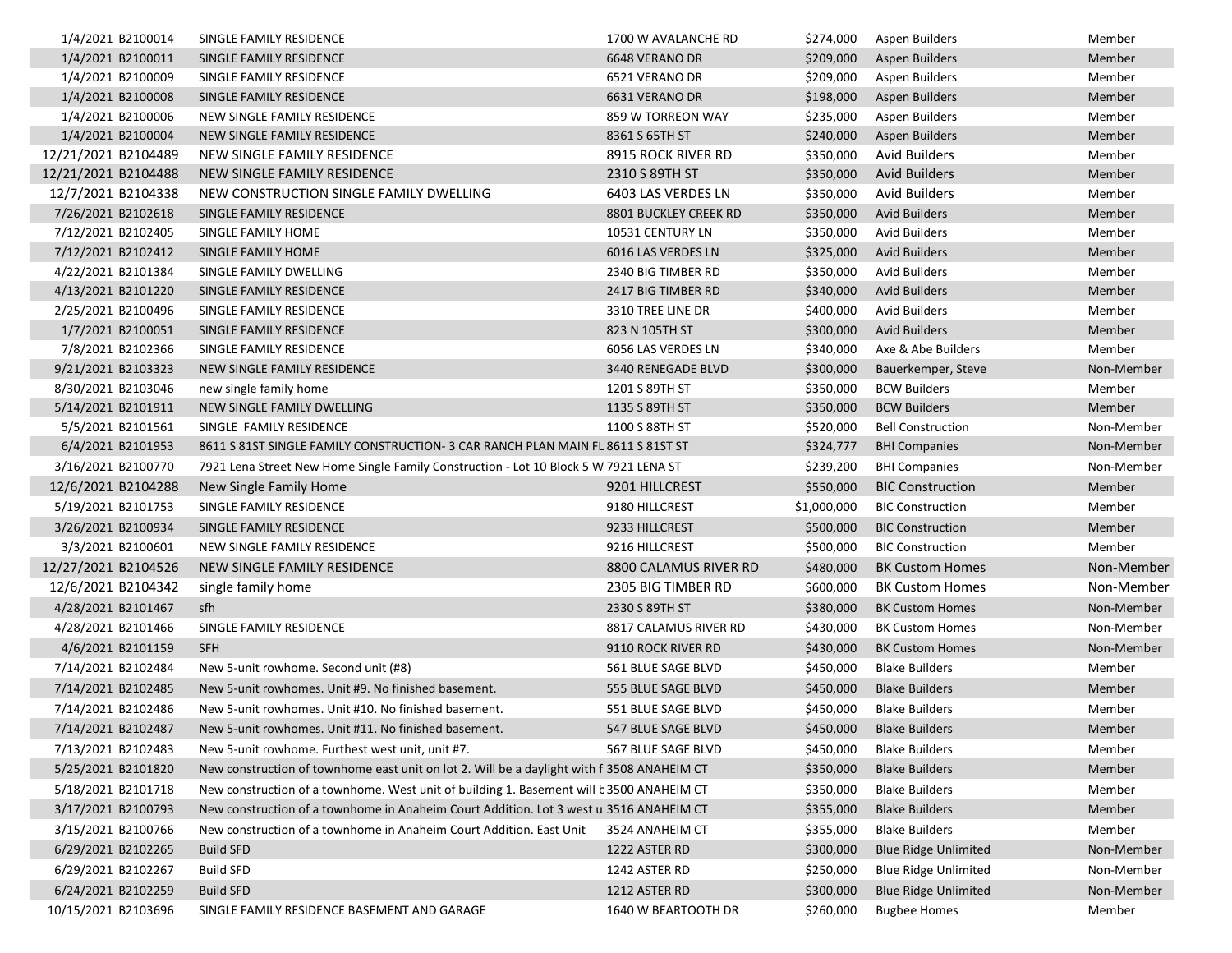| 1/4/2021 B2100014                        | SINGLE FAMILY RESIDENCE                                                                    | 1700 W AVALANCHE RD   |             | \$274,000 Aspen Builders    | Member     |
|------------------------------------------|--------------------------------------------------------------------------------------------|-----------------------|-------------|-----------------------------|------------|
| 1/4/2021 B2100011                        | SINGLE FAMILY RESIDENCE                                                                    | 6648 VERANO DR        | \$209,000   | Aspen Builders              | Member     |
| 1/4/2021 B2100009                        | SINGLE FAMILY RESIDENCE                                                                    | 6521 VERANO DR        | \$209,000   | Aspen Builders              | Member     |
| 1/4/2021 B2100008                        | SINGLE FAMILY RESIDENCE                                                                    | 6631 VERANO DR        | \$198,000   | Aspen Builders              | Member     |
| 1/4/2021 B2100006                        | NEW SINGLE FAMILY RESIDENCE                                                                | 859 W TORREON WAY     | \$235,000   | Aspen Builders              | Member     |
| 1/4/2021 B2100004                        | NEW SINGLE FAMILY RESIDENCE                                                                | 8361 S 65TH ST        | \$240,000   | Aspen Builders              | Member     |
| 12/21/2021 B2104489                      | NEW SINGLE FAMILY RESIDENCE                                                                | 8915 ROCK RIVER RD    | \$350,000   | <b>Avid Builders</b>        | Member     |
| 12/21/2021 B2104488                      | NEW SINGLE FAMILY RESIDENCE                                                                | 2310 S 89TH ST        | \$350,000   | <b>Avid Builders</b>        | Member     |
| 12/7/2021 B2104338                       | NEW CONSTRUCTION SINGLE FAMILY DWELLING                                                    | 6403 LAS VERDES LN    | \$350,000   | <b>Avid Builders</b>        | Member     |
| 7/26/2021 B2102618                       | SINGLE FAMILY RESIDENCE                                                                    | 8801 BUCKLEY CREEK RD | \$350,000   | <b>Avid Builders</b>        | Member     |
| 7/12/2021 B2102405                       | SINGLE FAMILY HOME                                                                         | 10531 CENTURY LN      | \$350,000   | <b>Avid Builders</b>        | Member     |
| 7/12/2021 B2102412                       | SINGLE FAMILY HOME                                                                         | 6016 LAS VERDES LN    | \$325,000   | <b>Avid Builders</b>        | Member     |
| 4/22/2021 B2101384                       | SINGLE FAMILY DWELLING                                                                     | 2340 BIG TIMBER RD    | \$350,000   | <b>Avid Builders</b>        | Member     |
| 4/13/2021 B2101220                       | SINGLE FAMILY RESIDENCE                                                                    | 2417 BIG TIMBER RD    | \$340,000   | <b>Avid Builders</b>        | Member     |
| 2/25/2021 B2100496                       | SINGLE FAMILY RESIDENCE                                                                    | 3310 TREE LINE DR     | \$400,000   | <b>Avid Builders</b>        | Member     |
| 1/7/2021 B2100051                        | SINGLE FAMILY RESIDENCE                                                                    | 823 N 105TH ST        | \$300,000   | <b>Avid Builders</b>        | Member     |
| 7/8/2021 B2102366                        | SINGLE FAMILY RESIDENCE                                                                    | 6056 LAS VERDES LN    | \$340,000   | Axe & Abe Builders          | Member     |
| 9/21/2021 B2103323                       | NEW SINGLE FAMILY RESIDENCE                                                                | 3440 RENEGADE BLVD    | \$300,000   | Bauerkemper, Steve          | Non-Member |
| 8/30/2021 B2103046                       | new single family home                                                                     | 1201 S 89TH ST        | \$350,000   | <b>BCW Builders</b>         | Member     |
| 5/14/2021 B2101911                       | NEW SINGLE FAMILY DWELLING                                                                 | 1135 S 89TH ST        | \$350,000   | <b>BCW Builders</b>         | Member     |
| 5/5/2021 B2101561                        | SINGLE FAMILY RESIDENCE                                                                    | 1100 S 88TH ST        | \$520,000   | <b>Bell Construction</b>    | Non-Member |
| 6/4/2021 B2101953                        | 8611 S 81ST SINGLE FAMILY CONSTRUCTION- 3 CAR RANCH PLAN MAIN FL 8611 S 81ST ST            |                       | \$324,777   | <b>BHI Companies</b>        | Non-Member |
| 3/16/2021 B2100770                       | 7921 Lena Street New Home Single Family Construction - Lot 10 Block 5 W 7921 LENA ST       |                       | \$239,200   | <b>BHI Companies</b>        | Non-Member |
| 12/6/2021 B2104288                       | New Single Family Home                                                                     | 9201 HILLCREST        | \$550,000   | <b>BIC Construction</b>     | Member     |
| 5/19/2021 B2101753                       | SINGLE FAMILY RESIDENCE                                                                    | 9180 HILLCREST        | \$1,000,000 | <b>BIC Construction</b>     | Member     |
| 3/26/2021 B2100934                       | SINGLE FAMILY RESIDENCE                                                                    | 9233 HILLCREST        | \$500,000   | <b>BIC Construction</b>     | Member     |
| 3/3/2021 B2100601                        | NEW SINGLE FAMILY RESIDENCE                                                                | 9216 HILLCREST        | \$500,000   | <b>BIC Construction</b>     | Member     |
| 12/27/2021 B2104526                      | NEW SINGLE FAMILY RESIDENCE                                                                | 8800 CALAMUS RIVER RD | \$480,000   | <b>BK Custom Homes</b>      | Non-Member |
| 12/6/2021 B2104342                       | single family home                                                                         | 2305 BIG TIMBER RD    | \$600,000   | <b>BK Custom Homes</b>      | Non-Member |
| 4/28/2021 B2101467                       | sfh                                                                                        | 2330 S 89TH ST        | \$380,000   | <b>BK Custom Homes</b>      | Non-Member |
| 4/28/2021 B2101466                       | SINGLE FAMILY RESIDENCE                                                                    | 8817 CALAMUS RIVER RD | \$430,000   | <b>BK Custom Homes</b>      | Non-Member |
| 4/6/2021 B2101159                        | SFH                                                                                        | 9110 ROCK RIVER RD    | \$430,000   | <b>BK Custom Homes</b>      | Non-Member |
| 7/14/2021 B2102484                       | New 5-unit rowhome. Second unit (#8)                                                       | 561 BLUE SAGE BLVD    | \$450,000   | <b>Blake Builders</b>       | Member     |
| 7/14/2021 B2102485                       | New 5-unit rowhomes. Unit #9. No finished basement.                                        | 555 BLUE SAGE BLVD    | \$450,000   | <b>Blake Builders</b>       | Member     |
| 7/14/2021 B2102486                       | New 5-unit rowhomes. Unit #10. No finished basement.                                       | 551 BLUE SAGE BLVD    | \$450,000   | <b>Blake Builders</b>       | Member     |
| 7/14/2021 B2102487                       | New 5-unit rowhomes. Unit #11. No finished basement.                                       | 547 BLUE SAGE BLVD    |             | \$450,000 Blake Builders    | Member     |
| 7/13/2021 B2102483                       | New 5-unit rowhome. Furthest west unit, unit #7.                                           | 567 BLUE SAGE BLVD    | \$450,000   | <b>Blake Builders</b>       | Member     |
| 5/25/2021 B2101820                       | New construction of townhome east unit on lot 2. Will be a daylight with f 3508 ANAHEIM CT |                       | \$350,000   | <b>Blake Builders</b>       | Member     |
|                                          | New construction of a townhome. West unit of building 1. Basement will b 3500 ANAHEIM CT   |                       | \$350,000   | <b>Blake Builders</b>       | Member     |
| 5/18/2021 B2101718<br>3/17/2021 B2100793 | New construction of a townhome in Anaheim Court Addition. Lot 3 west u 3516 ANAHEIM CT     |                       |             | <b>Blake Builders</b>       | Member     |
|                                          |                                                                                            |                       | \$355,000   |                             |            |
| 3/15/2021 B2100766                       | New construction of a townhome in Anaheim Court Addition. East Unit                        | 3524 ANAHEIM CT       | \$355,000   | <b>Blake Builders</b>       | Member     |
| 6/29/2021 B2102265                       | <b>Build SFD</b>                                                                           | 1222 ASTER RD         | \$300,000   | <b>Blue Ridge Unlimited</b> | Non-Member |
| 6/29/2021 B2102267                       | <b>Build SFD</b>                                                                           | 1242 ASTER RD         | \$250,000   | <b>Blue Ridge Unlimited</b> | Non-Member |
| 6/24/2021 B2102259                       | <b>Build SFD</b>                                                                           | 1212 ASTER RD         | \$300,000   | <b>Blue Ridge Unlimited</b> | Non-Member |
| 10/15/2021 B2103696                      | SINGLE FAMILY RESIDENCE BASEMENT AND GARAGE                                                | 1640 W BEARTOOTH DR   | \$260,000   | <b>Bugbee Homes</b>         | Member     |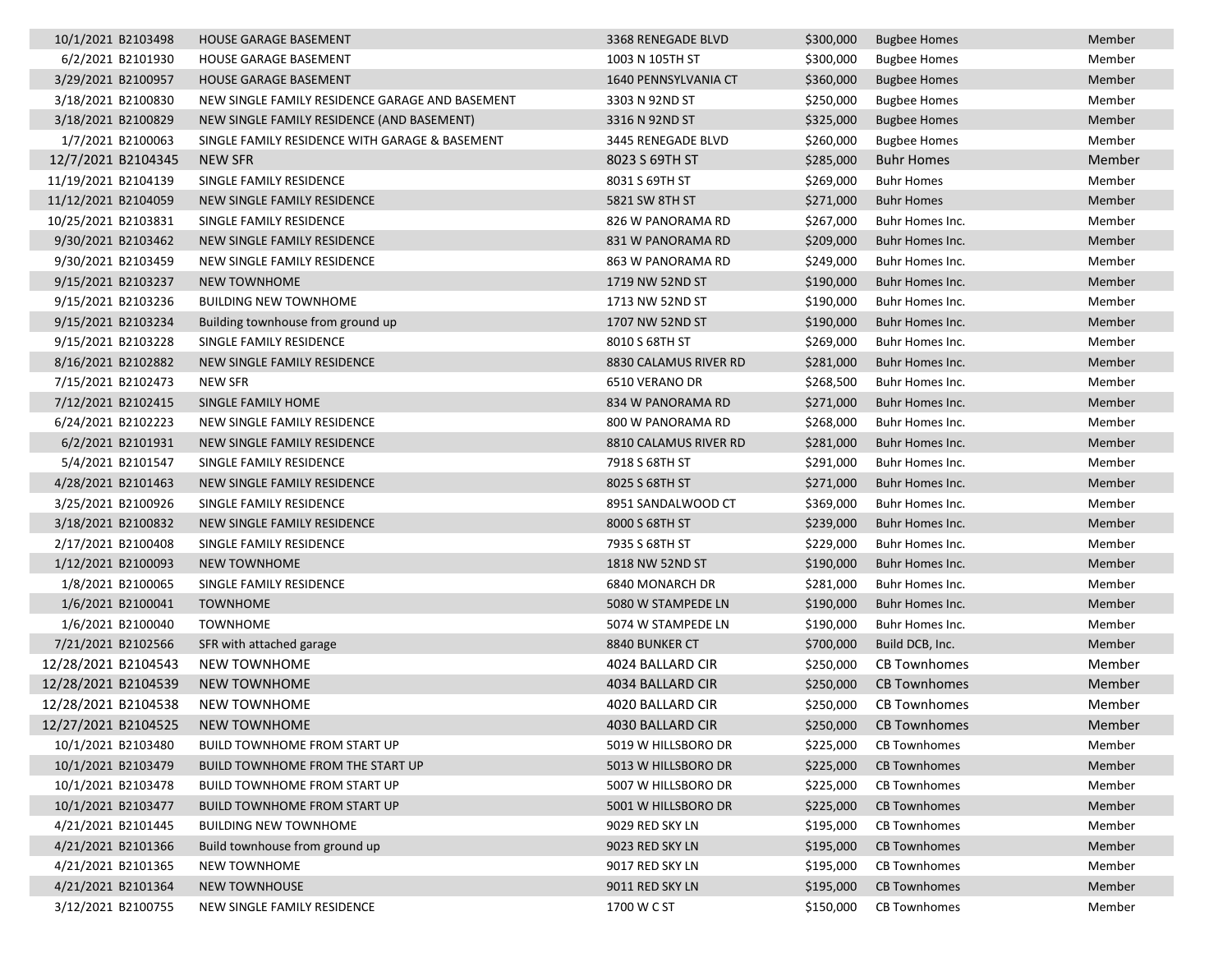| 10/1/2021 B2103498  | <b>HOUSE GARAGE BASEMENT</b>                    | 3368 RENEGADE BLVD    | \$300,000 | <b>Bugbee Homes</b> | Member |
|---------------------|-------------------------------------------------|-----------------------|-----------|---------------------|--------|
| 6/2/2021 B2101930   | <b>HOUSE GARAGE BASEMENT</b>                    | 1003 N 105TH ST       | \$300,000 | <b>Bugbee Homes</b> | Member |
| 3/29/2021 B2100957  | <b>HOUSE GARAGE BASEMENT</b>                    | 1640 PENNSYLVANIA CT  | \$360,000 | <b>Bugbee Homes</b> | Member |
| 3/18/2021 B2100830  | NEW SINGLE FAMILY RESIDENCE GARAGE AND BASEMENT | 3303 N 92ND ST        | \$250,000 | <b>Bugbee Homes</b> | Member |
| 3/18/2021 B2100829  | NEW SINGLE FAMILY RESIDENCE (AND BASEMENT)      | 3316 N 92ND ST        | \$325,000 | <b>Bugbee Homes</b> | Member |
| 1/7/2021 B2100063   | SINGLE FAMILY RESIDENCE WITH GARAGE & BASEMENT  | 3445 RENEGADE BLVD    | \$260,000 | <b>Bugbee Homes</b> | Member |
| 12/7/2021 B2104345  | <b>NEW SFR</b>                                  | 8023 S 69TH ST        | \$285,000 | <b>Buhr Homes</b>   | Member |
| 11/19/2021 B2104139 | SINGLE FAMILY RESIDENCE                         | 8031 S 69TH ST        | \$269,000 | <b>Buhr Homes</b>   | Member |
| 11/12/2021 B2104059 | NEW SINGLE FAMILY RESIDENCE                     | 5821 SW 8TH ST        | \$271,000 | <b>Buhr Homes</b>   | Member |
| 10/25/2021 B2103831 | SINGLE FAMILY RESIDENCE                         | 826 W PANORAMA RD     | \$267,000 | Buhr Homes Inc.     | Member |
| 9/30/2021 B2103462  | NEW SINGLE FAMILY RESIDENCE                     | 831 W PANORAMA RD     | \$209,000 | Buhr Homes Inc.     | Member |
| 9/30/2021 B2103459  | NEW SINGLE FAMILY RESIDENCE                     | 863 W PANORAMA RD     | \$249,000 | Buhr Homes Inc.     | Member |
| 9/15/2021 B2103237  | <b>NEW TOWNHOME</b>                             | 1719 NW 52ND ST       | \$190,000 | Buhr Homes Inc.     | Member |
| 9/15/2021 B2103236  | <b>BUILDING NEW TOWNHOME</b>                    | 1713 NW 52ND ST       | \$190,000 | Buhr Homes Inc.     | Member |
| 9/15/2021 B2103234  | Building townhouse from ground up               | 1707 NW 52ND ST       | \$190,000 | Buhr Homes Inc.     | Member |
| 9/15/2021 B2103228  | SINGLE FAMILY RESIDENCE                         | 8010 S 68TH ST        | \$269,000 | Buhr Homes Inc.     | Member |
| 8/16/2021 B2102882  | NEW SINGLE FAMILY RESIDENCE                     | 8830 CALAMUS RIVER RD | \$281,000 | Buhr Homes Inc.     | Member |
| 7/15/2021 B2102473  | <b>NEW SFR</b>                                  | 6510 VERANO DR        | \$268,500 | Buhr Homes Inc.     | Member |
| 7/12/2021 B2102415  | SINGLE FAMILY HOME                              | 834 W PANORAMA RD     | \$271,000 | Buhr Homes Inc.     | Member |
| 6/24/2021 B2102223  | NEW SINGLE FAMILY RESIDENCE                     | 800 W PANORAMA RD     | \$268,000 | Buhr Homes Inc.     | Member |
| 6/2/2021 B2101931   | NEW SINGLE FAMILY RESIDENCE                     | 8810 CALAMUS RIVER RD | \$281,000 | Buhr Homes Inc.     | Member |
| 5/4/2021 B2101547   | SINGLE FAMILY RESIDENCE                         | 7918 S 68TH ST        | \$291,000 | Buhr Homes Inc.     | Member |
| 4/28/2021 B2101463  | NEW SINGLE FAMILY RESIDENCE                     | 8025 S 68TH ST        | \$271,000 | Buhr Homes Inc.     | Member |
| 3/25/2021 B2100926  | SINGLE FAMILY RESIDENCE                         | 8951 SANDALWOOD CT    | \$369,000 | Buhr Homes Inc.     | Member |
| 3/18/2021 B2100832  | NEW SINGLE FAMILY RESIDENCE                     | 8000 S 68TH ST        | \$239,000 | Buhr Homes Inc.     | Member |
| 2/17/2021 B2100408  | SINGLE FAMILY RESIDENCE                         | 7935 S 68TH ST        | \$229,000 | Buhr Homes Inc.     | Member |
| 1/12/2021 B2100093  | <b>NEW TOWNHOME</b>                             | 1818 NW 52ND ST       | \$190,000 | Buhr Homes Inc.     | Member |
| 1/8/2021 B2100065   | SINGLE FAMILY RESIDENCE                         | 6840 MONARCH DR       | \$281,000 | Buhr Homes Inc.     | Member |
| 1/6/2021 B2100041   | <b>TOWNHOME</b>                                 | 5080 W STAMPEDE LN    | \$190,000 | Buhr Homes Inc.     | Member |
| 1/6/2021 B2100040   | <b>TOWNHOME</b>                                 | 5074 W STAMPEDE LN    | \$190,000 | Buhr Homes Inc.     | Member |
| 7/21/2021 B2102566  | SFR with attached garage                        | 8840 BUNKER CT        | \$700,000 | Build DCB, Inc.     | Member |
| 12/28/2021 B2104543 | <b>NEW TOWNHOME</b>                             | 4024 BALLARD CIR      | \$250,000 | <b>CB Townhomes</b> | Member |
| 12/28/2021 B2104539 | NEW TOWNHOME                                    | 4034 BALLARD CIR      | \$250,000 | <b>CB Townhomes</b> | Member |
| 12/28/2021 B2104538 | <b>NEW TOWNHOME</b>                             | 4020 BALLARD CIR      | \$250,000 | <b>CB Townhomes</b> | Member |
| 12/27/2021 B2104525 | <b>NEW TOWNHOME</b>                             | 4030 BALLARD CIR      | \$250,000 | <b>CB Townhomes</b> | Member |
| 10/1/2021 B2103480  | <b>BUILD TOWNHOME FROM START UP</b>             | 5019 W HILLSBORO DR   | \$225,000 | <b>CB Townhomes</b> | Member |
| 10/1/2021 B2103479  | <b>BUILD TOWNHOME FROM THE START UP</b>         | 5013 W HILLSBORO DR   | \$225,000 | <b>CB Townhomes</b> | Member |
| 10/1/2021 B2103478  | <b>BUILD TOWNHOME FROM START UP</b>             | 5007 W HILLSBORO DR   | \$225,000 | <b>CB Townhomes</b> | Member |
| 10/1/2021 B2103477  | <b>BUILD TOWNHOME FROM START UP</b>             | 5001 W HILLSBORO DR   | \$225,000 | <b>CB Townhomes</b> | Member |
| 4/21/2021 B2101445  | <b>BUILDING NEW TOWNHOME</b>                    | 9029 RED SKY LN       | \$195,000 | <b>CB Townhomes</b> | Member |
| 4/21/2021 B2101366  | Build townhouse from ground up                  | 9023 RED SKY LN       | \$195,000 | <b>CB Townhomes</b> | Member |
| 4/21/2021 B2101365  | NEW TOWNHOME                                    | 9017 RED SKY LN       | \$195,000 | <b>CB Townhomes</b> | Member |
| 4/21/2021 B2101364  | <b>NEW TOWNHOUSE</b>                            | 9011 RED SKY LN       | \$195,000 | <b>CB Townhomes</b> | Member |
| 3/12/2021 B2100755  | NEW SINGLE FAMILY RESIDENCE                     | 1700 W C ST           | \$150,000 | <b>CB Townhomes</b> | Member |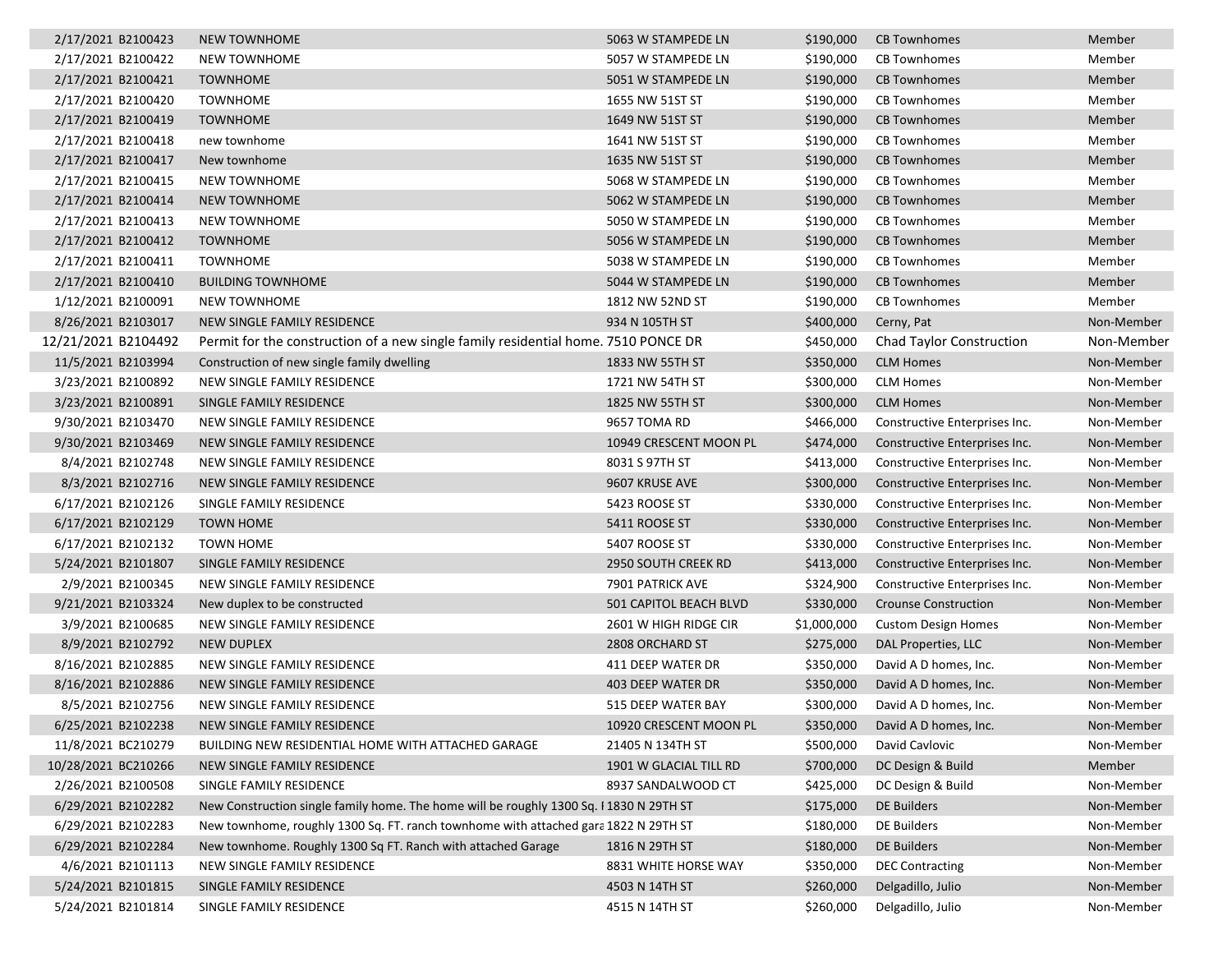|  | 2/17/2021 B2100423  | <b>NEW TOWNHOME</b>                                                                     | 5063 W STAMPEDE LN     | \$190,000   | <b>CB Townhomes</b>             | Member     |
|--|---------------------|-----------------------------------------------------------------------------------------|------------------------|-------------|---------------------------------|------------|
|  | 2/17/2021 B2100422  | <b>NEW TOWNHOME</b>                                                                     | 5057 W STAMPEDE LN     | \$190,000   | <b>CB Townhomes</b>             | Member     |
|  | 2/17/2021 B2100421  | <b>TOWNHOME</b>                                                                         | 5051 W STAMPEDE LN     | \$190,000   | <b>CB Townhomes</b>             | Member     |
|  | 2/17/2021 B2100420  | <b>TOWNHOME</b>                                                                         | 1655 NW 51ST ST        | \$190,000   | <b>CB Townhomes</b>             | Member     |
|  | 2/17/2021 B2100419  | <b>TOWNHOME</b>                                                                         | 1649 NW 51ST ST        | \$190,000   | <b>CB Townhomes</b>             | Member     |
|  | 2/17/2021 B2100418  | new townhome                                                                            | 1641 NW 51ST ST        | \$190,000   | <b>CB Townhomes</b>             | Member     |
|  | 2/17/2021 B2100417  | New townhome                                                                            | 1635 NW 51ST ST        | \$190,000   | <b>CB Townhomes</b>             | Member     |
|  | 2/17/2021 B2100415  | <b>NEW TOWNHOME</b>                                                                     | 5068 W STAMPEDE LN     | \$190,000   | <b>CB Townhomes</b>             | Member     |
|  | 2/17/2021 B2100414  | <b>NEW TOWNHOME</b>                                                                     | 5062 W STAMPEDE LN     | \$190,000   | <b>CB Townhomes</b>             | Member     |
|  | 2/17/2021 B2100413  | <b>NEW TOWNHOME</b>                                                                     | 5050 W STAMPEDE LN     | \$190,000   | <b>CB Townhomes</b>             | Member     |
|  | 2/17/2021 B2100412  | <b>TOWNHOME</b>                                                                         | 5056 W STAMPEDE LN     | \$190,000   | <b>CB Townhomes</b>             | Member     |
|  | 2/17/2021 B2100411  | <b>TOWNHOME</b>                                                                         | 5038 W STAMPEDE LN     | \$190,000   | <b>CB Townhomes</b>             | Member     |
|  | 2/17/2021 B2100410  | <b>BUILDING TOWNHOME</b>                                                                | 5044 W STAMPEDE LN     | \$190,000   | <b>CB Townhomes</b>             | Member     |
|  | 1/12/2021 B2100091  | <b>NEW TOWNHOME</b>                                                                     | 1812 NW 52ND ST        | \$190,000   | <b>CB Townhomes</b>             | Member     |
|  | 8/26/2021 B2103017  | NEW SINGLE FAMILY RESIDENCE                                                             | 934 N 105TH ST         | \$400,000   | Cerny, Pat                      | Non-Member |
|  | 12/21/2021 B2104492 | Permit for the construction of a new single family residential home. 7510 PONCE DR      |                        | \$450,000   | <b>Chad Taylor Construction</b> | Non-Member |
|  | 11/5/2021 B2103994  | Construction of new single family dwelling                                              | 1833 NW 55TH ST        | \$350,000   | <b>CLM Homes</b>                | Non-Member |
|  | 3/23/2021 B2100892  | NEW SINGLE FAMILY RESIDENCE                                                             | 1721 NW 54TH ST        | \$300,000   | <b>CLM Homes</b>                | Non-Member |
|  | 3/23/2021 B2100891  | SINGLE FAMILY RESIDENCE                                                                 | 1825 NW 55TH ST        | \$300,000   | <b>CLM Homes</b>                | Non-Member |
|  | 9/30/2021 B2103470  | NEW SINGLE FAMILY RESIDENCE                                                             | 9657 TOMA RD           | \$466,000   | Constructive Enterprises Inc.   | Non-Member |
|  | 9/30/2021 B2103469  | NEW SINGLE FAMILY RESIDENCE                                                             | 10949 CRESCENT MOON PL | \$474,000   | Constructive Enterprises Inc.   | Non-Member |
|  | 8/4/2021 B2102748   | NEW SINGLE FAMILY RESIDENCE                                                             | 8031 S 97TH ST         | \$413,000   | Constructive Enterprises Inc.   | Non-Member |
|  | 8/3/2021 B2102716   | NEW SINGLE FAMILY RESIDENCE                                                             | 9607 KRUSE AVE         | \$300,000   | Constructive Enterprises Inc.   | Non-Member |
|  | 6/17/2021 B2102126  | SINGLE FAMILY RESIDENCE                                                                 | 5423 ROOSE ST          | \$330,000   | Constructive Enterprises Inc.   | Non-Member |
|  | 6/17/2021 B2102129  | <b>TOWN HOME</b>                                                                        | 5411 ROOSE ST          | \$330,000   | Constructive Enterprises Inc.   | Non-Member |
|  | 6/17/2021 B2102132  | <b>TOWN HOME</b>                                                                        | 5407 ROOSE ST          | \$330,000   | Constructive Enterprises Inc.   | Non-Member |
|  | 5/24/2021 B2101807  | SINGLE FAMILY RESIDENCE                                                                 | 2950 SOUTH CREEK RD    | \$413,000   | Constructive Enterprises Inc.   | Non-Member |
|  | 2/9/2021 B2100345   | NEW SINGLE FAMILY RESIDENCE                                                             | 7901 PATRICK AVE       | \$324,900   | Constructive Enterprises Inc.   | Non-Member |
|  | 9/21/2021 B2103324  | New duplex to be constructed                                                            | 501 CAPITOL BEACH BLVD | \$330,000   | <b>Crounse Construction</b>     | Non-Member |
|  | 3/9/2021 B2100685   | NEW SINGLE FAMILY RESIDENCE                                                             | 2601 W HIGH RIDGE CIR  | \$1,000,000 | <b>Custom Design Homes</b>      | Non-Member |
|  | 8/9/2021 B2102792   | <b>NEW DUPLEX</b>                                                                       | 2808 ORCHARD ST        | \$275,000   | DAL Properties, LLC             | Non-Member |
|  | 8/16/2021 B2102885  | NEW SINGLE FAMILY RESIDENCE                                                             | 411 DEEP WATER DR      | \$350,000   | David A D homes, Inc.           | Non-Member |
|  | 8/16/2021 B2102886  | NEW SINGLE FAMILY RESIDENCE                                                             | 403 DEEP WATER DR      | \$350,000   | David A D homes, Inc.           | Non-Member |
|  | 8/5/2021 B2102756   | NEW SINGLE FAMILY RESIDENCE                                                             | 515 DEEP WATER BAY     | \$300,000   | David A D homes, Inc.           | Non-Member |
|  | 6/25/2021 B2102238  | NEW SINGLE FAMILY RESIDENCE                                                             | 10920 CRESCENT MOON PL | \$350,000   | David A D homes, Inc.           | Non-Member |
|  | 11/8/2021 BC210279  | BUILDING NEW RESIDENTIAL HOME WITH ATTACHED GARAGE                                      | 21405 N 134TH ST       | \$500,000   | David Cavlovic                  | Non-Member |
|  | 10/28/2021 BC210266 | NEW SINGLE FAMILY RESIDENCE                                                             | 1901 W GLACIAL TILL RD | \$700,000   | DC Design & Build               | Member     |
|  | 2/26/2021 B2100508  | SINGLE FAMILY RESIDENCE                                                                 | 8937 SANDALWOOD CT     | \$425,000   | DC Design & Build               | Non-Member |
|  | 6/29/2021 B2102282  | New Construction single family home. The home will be roughly 1300 Sq. I 1830 N 29TH ST |                        | \$175,000   | DE Builders                     | Non-Member |
|  | 6/29/2021 B2102283  | New townhome, roughly 1300 Sq. FT. ranch townhome with attached gara 1822 N 29TH ST     |                        | \$180,000   | <b>DE Builders</b>              | Non-Member |
|  | 6/29/2021 B2102284  | New townhome. Roughly 1300 Sq FT. Ranch with attached Garage                            | 1816 N 29TH ST         | \$180,000   | DE Builders                     | Non-Member |
|  | 4/6/2021 B2101113   | NEW SINGLE FAMILY RESIDENCE                                                             | 8831 WHITE HORSE WAY   | \$350,000   | <b>DEC Contracting</b>          | Non-Member |
|  | 5/24/2021 B2101815  | SINGLE FAMILY RESIDENCE                                                                 | 4503 N 14TH ST         | \$260,000   | Delgadillo, Julio               | Non-Member |
|  | 5/24/2021 B2101814  | SINGLE FAMILY RESIDENCE                                                                 | 4515 N 14TH ST         | \$260,000   | Delgadillo, Julio               | Non-Member |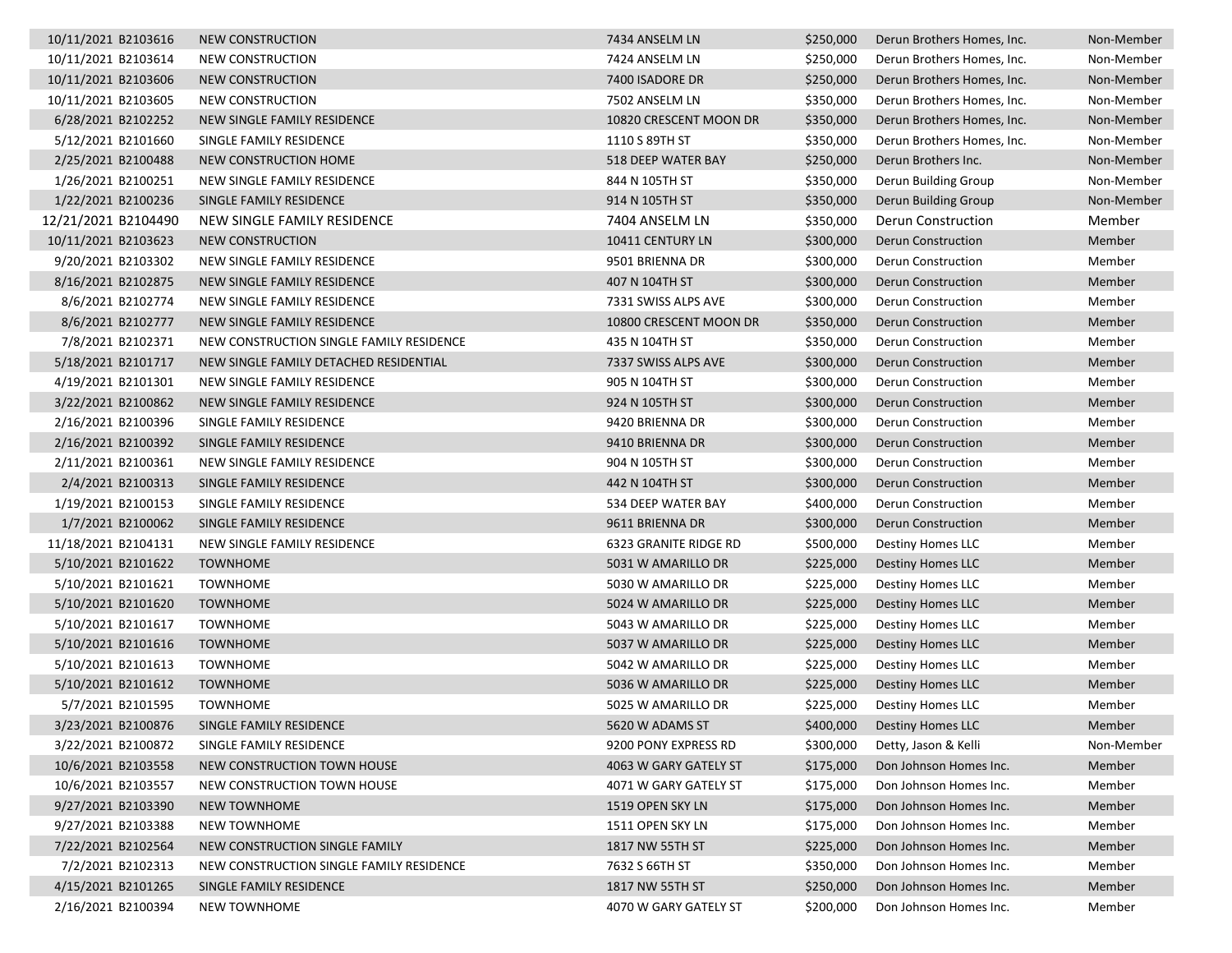| 10/11/2021 B2103616 | <b>NEW CONSTRUCTION</b>                  | 7434 ANSELM LN         | \$250,000 | Derun Brothers Homes, Inc. | Non-Member |
|---------------------|------------------------------------------|------------------------|-----------|----------------------------|------------|
| 10/11/2021 B2103614 | NEW CONSTRUCTION                         | 7424 ANSELM LN         | \$250,000 | Derun Brothers Homes, Inc. | Non-Member |
| 10/11/2021 B2103606 | NEW CONSTRUCTION                         | 7400 ISADORE DR        | \$250,000 | Derun Brothers Homes, Inc. | Non-Member |
| 10/11/2021 B2103605 | NEW CONSTRUCTION                         | 7502 ANSELM LN         | \$350,000 | Derun Brothers Homes, Inc. | Non-Member |
| 6/28/2021 B2102252  | NEW SINGLE FAMILY RESIDENCE              | 10820 CRESCENT MOON DR | \$350,000 | Derun Brothers Homes, Inc. | Non-Member |
| 5/12/2021 B2101660  | SINGLE FAMILY RESIDENCE                  | 1110 S 89TH ST         | \$350,000 | Derun Brothers Homes, Inc. | Non-Member |
| 2/25/2021 B2100488  | NEW CONSTRUCTION HOME                    | 518 DEEP WATER BAY     | \$250,000 | Derun Brothers Inc.        | Non-Member |
| 1/26/2021 B2100251  | NEW SINGLE FAMILY RESIDENCE              | 844 N 105TH ST         | \$350,000 | Derun Building Group       | Non-Member |
| 1/22/2021 B2100236  | SINGLE FAMILY RESIDENCE                  | 914 N 105TH ST         | \$350,000 | Derun Building Group       | Non-Member |
| 12/21/2021 B2104490 | NEW SINGLE FAMILY RESIDENCE              | 7404 ANSELM LN         | \$350,000 | Derun Construction         | Member     |
| 10/11/2021 B2103623 | NEW CONSTRUCTION                         | 10411 CENTURY LN       | \$300,000 | <b>Derun Construction</b>  | Member     |
| 9/20/2021 B2103302  | NEW SINGLE FAMILY RESIDENCE              | 9501 BRIENNA DR        | \$300,000 | Derun Construction         | Member     |
| 8/16/2021 B2102875  | NEW SINGLE FAMILY RESIDENCE              | 407 N 104TH ST         | \$300,000 | <b>Derun Construction</b>  | Member     |
| 8/6/2021 B2102774   | NEW SINGLE FAMILY RESIDENCE              | 7331 SWISS ALPS AVE    | \$300,000 | Derun Construction         | Member     |
| 8/6/2021 B2102777   | NEW SINGLE FAMILY RESIDENCE              | 10800 CRESCENT MOON DR | \$350,000 | Derun Construction         | Member     |
| 7/8/2021 B2102371   | NEW CONSTRUCTION SINGLE FAMILY RESIDENCE | 435 N 104TH ST         | \$350,000 | <b>Derun Construction</b>  | Member     |
| 5/18/2021 B2101717  | NEW SINGLE FAMILY DETACHED RESIDENTIAL   | 7337 SWISS ALPS AVE    | \$300,000 | Derun Construction         | Member     |
| 4/19/2021 B2101301  | NEW SINGLE FAMILY RESIDENCE              | 905 N 104TH ST         | \$300,000 | Derun Construction         | Member     |
| 3/22/2021 B2100862  | NEW SINGLE FAMILY RESIDENCE              | 924 N 105TH ST         | \$300,000 | Derun Construction         | Member     |
| 2/16/2021 B2100396  | SINGLE FAMILY RESIDENCE                  | 9420 BRIENNA DR        | \$300,000 | Derun Construction         | Member     |
| 2/16/2021 B2100392  | SINGLE FAMILY RESIDENCE                  | 9410 BRIENNA DR        | \$300,000 | Derun Construction         | Member     |
| 2/11/2021 B2100361  | NEW SINGLE FAMILY RESIDENCE              | 904 N 105TH ST         | \$300,000 | Derun Construction         | Member     |
| 2/4/2021 B2100313   | SINGLE FAMILY RESIDENCE                  | 442 N 104TH ST         | \$300,000 | Derun Construction         | Member     |
| 1/19/2021 B2100153  | SINGLE FAMILY RESIDENCE                  | 534 DEEP WATER BAY     | \$400,000 | Derun Construction         | Member     |
| 1/7/2021 B2100062   | SINGLE FAMILY RESIDENCE                  | 9611 BRIENNA DR        | \$300,000 | <b>Derun Construction</b>  | Member     |
| 11/18/2021 B2104131 | NEW SINGLE FAMILY RESIDENCE              | 6323 GRANITE RIDGE RD  | \$500,000 | Destiny Homes LLC          | Member     |
| 5/10/2021 B2101622  | <b>TOWNHOME</b>                          | 5031 W AMARILLO DR     | \$225,000 | Destiny Homes LLC          | Member     |
| 5/10/2021 B2101621  | <b>TOWNHOME</b>                          | 5030 W AMARILLO DR     | \$225,000 | Destiny Homes LLC          | Member     |
| 5/10/2021 B2101620  | <b>TOWNHOME</b>                          | 5024 W AMARILLO DR     | \$225,000 | Destiny Homes LLC          | Member     |
| 5/10/2021 B2101617  | <b>TOWNHOME</b>                          | 5043 W AMARILLO DR     | \$225,000 | Destiny Homes LLC          | Member     |
| 5/10/2021 B2101616  | <b>TOWNHOME</b>                          | 5037 W AMARILLO DR     | \$225,000 | Destiny Homes LLC          | Member     |
| 5/10/2021 B2101613  | <b>TOWNHOME</b>                          | 5042 W AMARILLO DR     | \$225,000 | Destiny Homes LLC          | Member     |
| 5/10/2021 B2101612  | <b>TOWNHOME</b>                          | 5036 W AMARILLO DR     | \$225,000 | Destiny Homes LLC          | Member     |
| 5/7/2021 B2101595   | <b>TOWNHOME</b>                          | 5025 W AMARILLO DR     | \$225,000 | Destiny Homes LLC          | Member     |
| 3/23/2021 B2100876  | SINGLE FAMILY RESIDENCE                  | 5620 W ADAMS ST        | \$400,000 | <b>Destiny Homes LLC</b>   | Member     |
| 3/22/2021 B2100872  | SINGLE FAMILY RESIDENCE                  | 9200 PONY EXPRESS RD   | \$300,000 | Detty, Jason & Kelli       | Non-Member |
| 10/6/2021 B2103558  | NEW CONSTRUCTION TOWN HOUSE              | 4063 W GARY GATELY ST  | \$175,000 | Don Johnson Homes Inc.     | Member     |
| 10/6/2021 B2103557  | NEW CONSTRUCTION TOWN HOUSE              | 4071 W GARY GATELY ST  | \$175,000 | Don Johnson Homes Inc.     | Member     |
| 9/27/2021 B2103390  | <b>NEW TOWNHOME</b>                      | 1519 OPEN SKY LN       | \$175,000 | Don Johnson Homes Inc.     | Member     |
| 9/27/2021 B2103388  | NEW TOWNHOME                             | 1511 OPEN SKY LN       | \$175,000 | Don Johnson Homes Inc.     | Member     |
| 7/22/2021 B2102564  | NEW CONSTRUCTION SINGLE FAMILY           | 1817 NW 55TH ST        | \$225,000 | Don Johnson Homes Inc.     | Member     |
| 7/2/2021 B2102313   | NEW CONSTRUCTION SINGLE FAMILY RESIDENCE | 7632 S 66TH ST         | \$350,000 | Don Johnson Homes Inc.     | Member     |
| 4/15/2021 B2101265  | SINGLE FAMILY RESIDENCE                  | 1817 NW 55TH ST        | \$250,000 | Don Johnson Homes Inc.     | Member     |
| 2/16/2021 B2100394  | <b>NEW TOWNHOME</b>                      | 4070 W GARY GATELY ST  | \$200,000 | Don Johnson Homes Inc.     | Member     |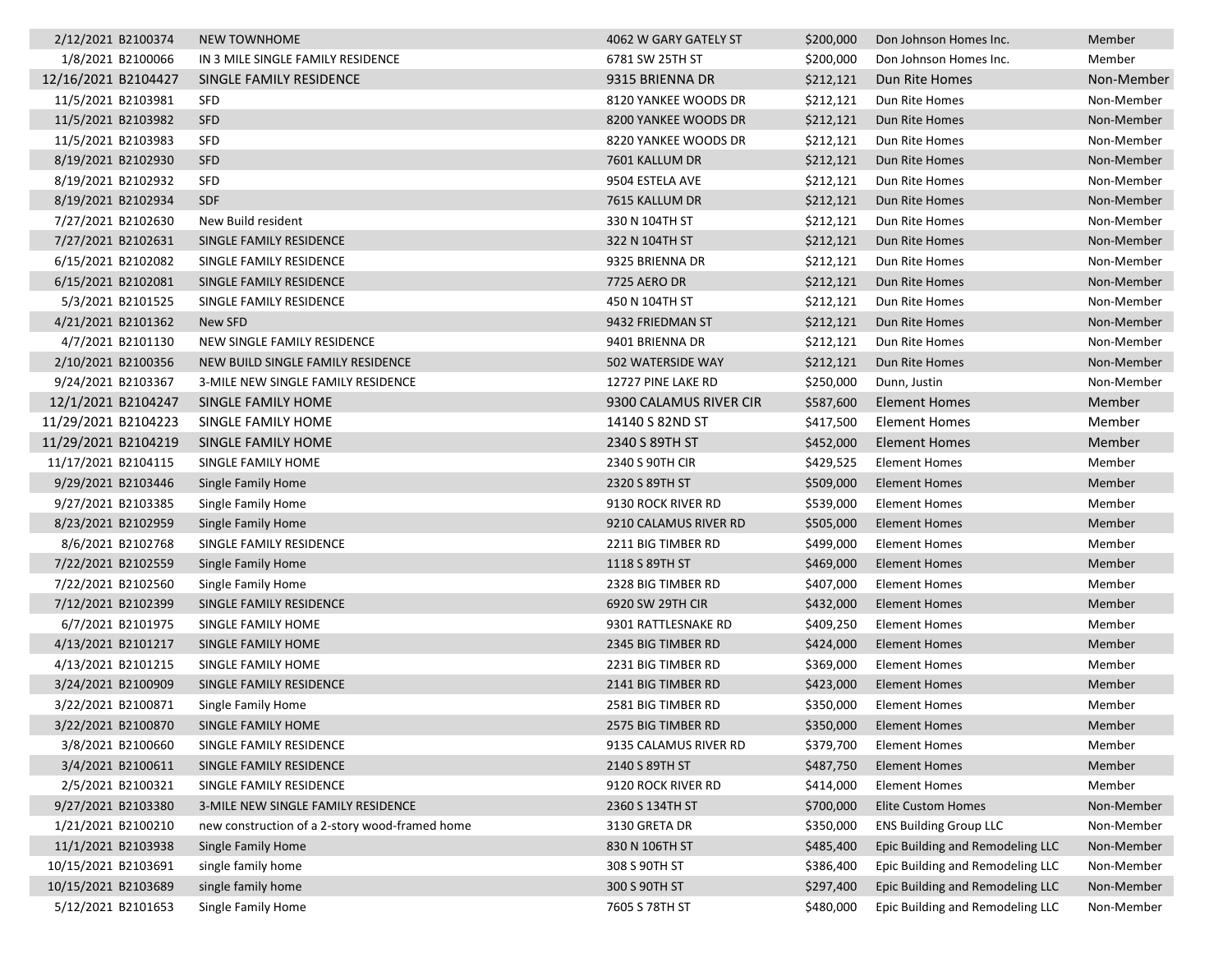| 2/12/2021 B2100374  | <b>NEW TOWNHOME</b>                            | 4062 W GARY GATELY ST  | \$200,000 | Don Johnson Homes Inc.           | Member     |
|---------------------|------------------------------------------------|------------------------|-----------|----------------------------------|------------|
| 1/8/2021 B2100066   | IN 3 MILE SINGLE FAMILY RESIDENCE              | 6781 SW 25TH ST        | \$200,000 | Don Johnson Homes Inc.           | Member     |
| 12/16/2021 B2104427 | SINGLE FAMILY RESIDENCE                        | 9315 BRIENNA DR        | \$212,121 | Dun Rite Homes                   | Non-Member |
| 11/5/2021 B2103981  | <b>SFD</b>                                     | 8120 YANKEE WOODS DR   | \$212,121 | Dun Rite Homes                   | Non-Member |
| 11/5/2021 B2103982  | <b>SFD</b>                                     | 8200 YANKEE WOODS DR   | \$212,121 | Dun Rite Homes                   | Non-Member |
| 11/5/2021 B2103983  | SFD                                            | 8220 YANKEE WOODS DR   | \$212,121 | Dun Rite Homes                   | Non-Member |
| 8/19/2021 B2102930  | <b>SFD</b>                                     | 7601 KALLUM DR         | \$212,121 | Dun Rite Homes                   | Non-Member |
| 8/19/2021 B2102932  | <b>SFD</b>                                     | 9504 ESTELA AVE        | \$212,121 | Dun Rite Homes                   | Non-Member |
| 8/19/2021 B2102934  | <b>SDF</b>                                     | 7615 KALLUM DR         | \$212,121 | Dun Rite Homes                   | Non-Member |
| 7/27/2021 B2102630  | New Build resident                             | 330 N 104TH ST         | \$212,121 | Dun Rite Homes                   | Non-Member |
| 7/27/2021 B2102631  | SINGLE FAMILY RESIDENCE                        | 322 N 104TH ST         | \$212,121 | Dun Rite Homes                   | Non-Member |
| 6/15/2021 B2102082  | SINGLE FAMILY RESIDENCE                        | 9325 BRIENNA DR        | \$212,121 | Dun Rite Homes                   | Non-Member |
| 6/15/2021 B2102081  | SINGLE FAMILY RESIDENCE                        | 7725 AERO DR           | \$212,121 | Dun Rite Homes                   | Non-Member |
| 5/3/2021 B2101525   | SINGLE FAMILY RESIDENCE                        | 450 N 104TH ST         | \$212,121 | Dun Rite Homes                   | Non-Member |
| 4/21/2021 B2101362  | New SFD                                        | 9432 FRIEDMAN ST       | \$212,121 | Dun Rite Homes                   | Non-Member |
| 4/7/2021 B2101130   | NEW SINGLE FAMILY RESIDENCE                    | 9401 BRIENNA DR        | \$212,121 | Dun Rite Homes                   | Non-Member |
| 2/10/2021 B2100356  | NEW BUILD SINGLE FAMILY RESIDENCE              | 502 WATERSIDE WAY      | \$212,121 | Dun Rite Homes                   | Non-Member |
| 9/24/2021 B2103367  | 3-MILE NEW SINGLE FAMILY RESIDENCE             | 12727 PINE LAKE RD     | \$250,000 | Dunn, Justin                     | Non-Member |
| 12/1/2021 B2104247  | SINGLE FAMILY HOME                             | 9300 CALAMUS RIVER CIR | \$587,600 | Element Homes                    | Member     |
| 11/29/2021 B2104223 | SINGLE FAMILY HOME                             | 14140 S 82ND ST        | \$417,500 | Element Homes                    | Member     |
| 11/29/2021 B2104219 | SINGLE FAMILY HOME                             | 2340 S 89TH ST         | \$452,000 | <b>Element Homes</b>             | Member     |
| 11/17/2021 B2104115 | SINGLE FAMILY HOME                             | 2340 S 90TH CIR        | \$429,525 | <b>Element Homes</b>             | Member     |
| 9/29/2021 B2103446  | Single Family Home                             | 2320 S 89TH ST         | \$509,000 | <b>Element Homes</b>             | Member     |
| 9/27/2021 B2103385  | Single Family Home                             | 9130 ROCK RIVER RD     | \$539,000 | Element Homes                    | Member     |
| 8/23/2021 B2102959  | Single Family Home                             | 9210 CALAMUS RIVER RD  | \$505,000 | <b>Element Homes</b>             | Member     |
| 8/6/2021 B2102768   | SINGLE FAMILY RESIDENCE                        | 2211 BIG TIMBER RD     | \$499,000 | Element Homes                    | Member     |
| 7/22/2021 B2102559  | Single Family Home                             | 1118 S 89TH ST         | \$469,000 | Element Homes                    | Member     |
| 7/22/2021 B2102560  | Single Family Home                             | 2328 BIG TIMBER RD     | \$407,000 | <b>Element Homes</b>             | Member     |
| 7/12/2021 B2102399  | SINGLE FAMILY RESIDENCE                        | 6920 SW 29TH CIR       | \$432,000 | <b>Element Homes</b>             | Member     |
| 6/7/2021 B2101975   | SINGLE FAMILY HOME                             | 9301 RATTLESNAKE RD    | \$409,250 | <b>Element Homes</b>             | Member     |
| 4/13/2021 B2101217  | SINGLE FAMILY HOME                             | 2345 BIG TIMBER RD     | \$424,000 | <b>Element Homes</b>             | Member     |
| 4/13/2021 B2101215  | SINGLE FAMILY HOME                             | 2231 BIG TIMBER RD     | \$369,000 | Element Homes                    | Member     |
| 3/24/2021 B2100909  | SINGLE FAMILY RESIDENCE                        | 2141 BIG TIMBER RD     | \$423,000 | Element Homes                    | Member     |
| 3/22/2021 B2100871  | Single Family Home                             | 2581 BIG TIMBER RD     | \$350,000 | <b>Element Homes</b>             | Member     |
| 3/22/2021 B2100870  | SINGLE FAMILY HOME                             | 2575 BIG TIMBER RD     | \$350,000 | <b>Element Homes</b>             | Member     |
| 3/8/2021 B2100660   | SINGLE FAMILY RESIDENCE                        | 9135 CALAMUS RIVER RD  | \$379,700 | <b>Element Homes</b>             | Member     |
| 3/4/2021 B2100611   | SINGLE FAMILY RESIDENCE                        | 2140 S 89TH ST         | \$487,750 | <b>Element Homes</b>             | Member     |
| 2/5/2021 B2100321   | SINGLE FAMILY RESIDENCE                        | 9120 ROCK RIVER RD     | \$414,000 | <b>Element Homes</b>             | Member     |
| 9/27/2021 B2103380  | 3-MILE NEW SINGLE FAMILY RESIDENCE             | 2360 S 134TH ST        | \$700,000 | <b>Elite Custom Homes</b>        | Non-Member |
| 1/21/2021 B2100210  | new construction of a 2-story wood-framed home | 3130 GRETA DR          | \$350,000 | <b>ENS Building Group LLC</b>    | Non-Member |
| 11/1/2021 B2103938  | Single Family Home                             | 830 N 106TH ST         | \$485,400 | Epic Building and Remodeling LLC | Non-Member |
| 10/15/2021 B2103691 | single family home                             | 308 S 90TH ST          | \$386,400 | Epic Building and Remodeling LLC | Non-Member |
| 10/15/2021 B2103689 | single family home                             | 300 S 90TH ST          | \$297,400 | Epic Building and Remodeling LLC | Non-Member |
| 5/12/2021 B2101653  | Single Family Home                             | 7605 S 78TH ST         | \$480,000 | Epic Building and Remodeling LLC | Non-Member |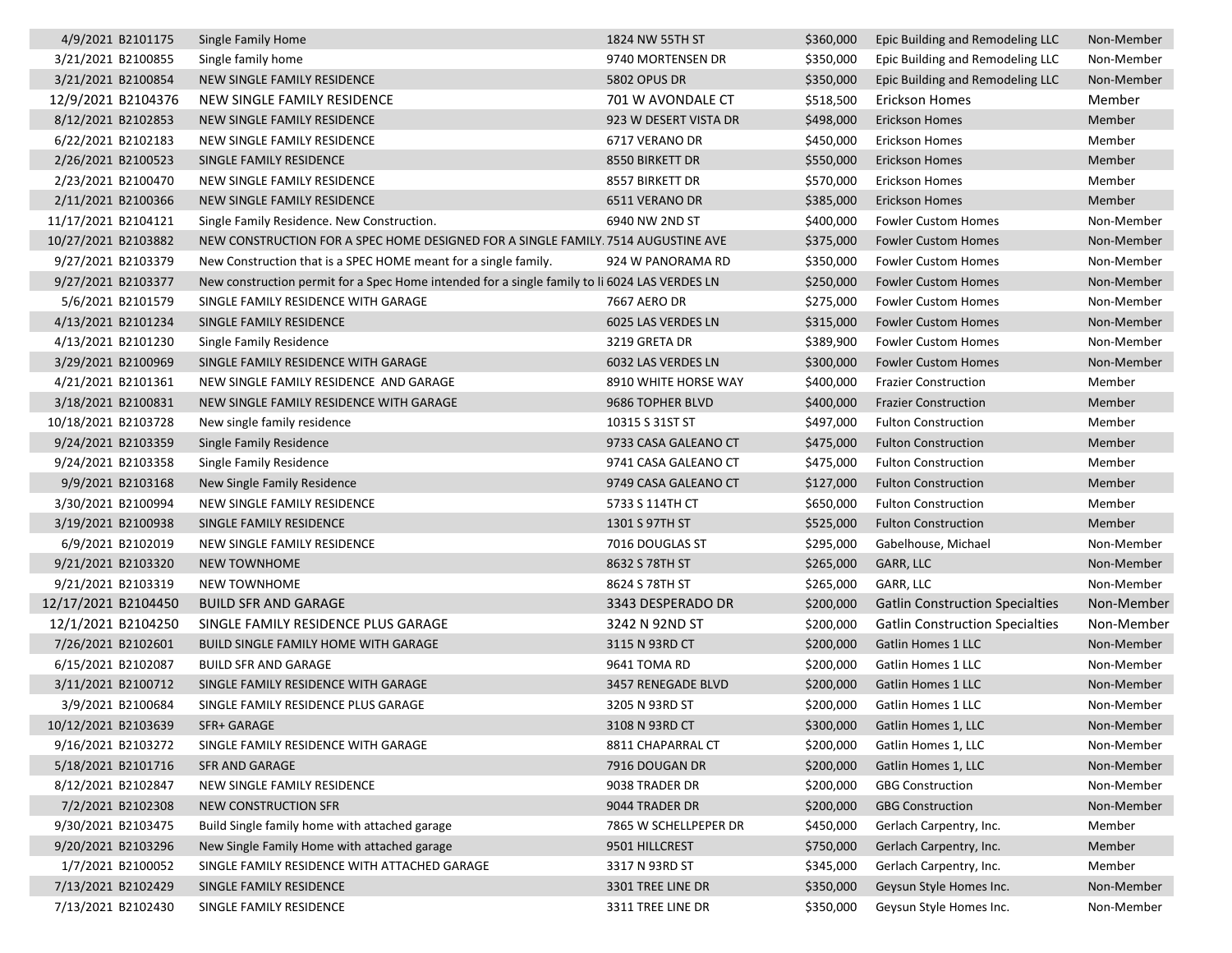| 4/9/2021 B2101175   | Single Family Home                                                                            | 1824 NW 55TH ST       | \$360,000 | Epic Building and Remodeling LLC       | Non-Member |
|---------------------|-----------------------------------------------------------------------------------------------|-----------------------|-----------|----------------------------------------|------------|
| 3/21/2021 B2100855  | Single family home                                                                            | 9740 MORTENSEN DR     | \$350,000 | Epic Building and Remodeling LLC       | Non-Member |
| 3/21/2021 B2100854  | NEW SINGLE FAMILY RESIDENCE                                                                   | <b>5802 OPUS DR</b>   | \$350,000 | Epic Building and Remodeling LLC       | Non-Member |
| 12/9/2021 B2104376  | NEW SINGLE FAMILY RESIDENCE                                                                   | 701 W AVONDALE CT     | \$518,500 | Erickson Homes                         | Member     |
| 8/12/2021 B2102853  | NEW SINGLE FAMILY RESIDENCE                                                                   | 923 W DESERT VISTA DR | \$498,000 | <b>Erickson Homes</b>                  | Member     |
| 6/22/2021 B2102183  | NEW SINGLE FAMILY RESIDENCE                                                                   | 6717 VERANO DR        | \$450,000 | Erickson Homes                         | Member     |
| 2/26/2021 B2100523  | SINGLE FAMILY RESIDENCE                                                                       | 8550 BIRKETT DR       | \$550,000 | <b>Erickson Homes</b>                  | Member     |
| 2/23/2021 B2100470  | NEW SINGLE FAMILY RESIDENCE                                                                   | 8557 BIRKETT DR       | \$570,000 | Erickson Homes                         | Member     |
| 2/11/2021 B2100366  | NEW SINGLE FAMILY RESIDENCE                                                                   | 6511 VERANO DR        | \$385,000 | <b>Erickson Homes</b>                  | Member     |
| 11/17/2021 B2104121 | Single Family Residence. New Construction.                                                    | 6940 NW 2ND ST        | \$400,000 | <b>Fowler Custom Homes</b>             | Non-Member |
| 10/27/2021 B2103882 | NEW CONSTRUCTION FOR A SPEC HOME DESIGNED FOR A SINGLE FAMILY. 7514 AUGUSTINE AVE             |                       | \$375,000 | <b>Fowler Custom Homes</b>             | Non-Member |
| 9/27/2021 B2103379  | New Construction that is a SPEC HOME meant for a single family.                               | 924 W PANORAMA RD     | \$350,000 | Fowler Custom Homes                    | Non-Member |
| 9/27/2021 B2103377  | New construction permit for a Spec Home intended for a single family to li 6024 LAS VERDES LN |                       | \$250,000 | <b>Fowler Custom Homes</b>             | Non-Member |
| 5/6/2021 B2101579   | SINGLE FAMILY RESIDENCE WITH GARAGE                                                           | 7667 AERO DR          | \$275,000 | <b>Fowler Custom Homes</b>             | Non-Member |
| 4/13/2021 B2101234  | SINGLE FAMILY RESIDENCE                                                                       | 6025 LAS VERDES LN    | \$315,000 | <b>Fowler Custom Homes</b>             | Non-Member |
| 4/13/2021 B2101230  | Single Family Residence                                                                       | 3219 GRETA DR         | \$389,900 | <b>Fowler Custom Homes</b>             | Non-Member |
| 3/29/2021 B2100969  | SINGLE FAMILY RESIDENCE WITH GARAGE                                                           | 6032 LAS VERDES LN    | \$300,000 | <b>Fowler Custom Homes</b>             | Non-Member |
| 4/21/2021 B2101361  | NEW SINGLE FAMILY RESIDENCE AND GARAGE                                                        | 8910 WHITE HORSE WAY  | \$400,000 | <b>Frazier Construction</b>            | Member     |
| 3/18/2021 B2100831  | NEW SINGLE FAMILY RESIDENCE WITH GARAGE                                                       | 9686 TOPHER BLVD      | \$400,000 | <b>Frazier Construction</b>            | Member     |
| 10/18/2021 B2103728 | New single family residence                                                                   | 10315 S 31ST ST       | \$497,000 | <b>Fulton Construction</b>             | Member     |
| 9/24/2021 B2103359  | Single Family Residence                                                                       | 9733 CASA GALEANO CT  | \$475,000 | <b>Fulton Construction</b>             | Member     |
| 9/24/2021 B2103358  | Single Family Residence                                                                       | 9741 CASA GALEANO CT  | \$475,000 | <b>Fulton Construction</b>             | Member     |
| 9/9/2021 B2103168   | New Single Family Residence                                                                   | 9749 CASA GALEANO CT  | \$127,000 | <b>Fulton Construction</b>             | Member     |
| 3/30/2021 B2100994  | NEW SINGLE FAMILY RESIDENCE                                                                   | 5733 S 114TH CT       | \$650,000 | <b>Fulton Construction</b>             | Member     |
| 3/19/2021 B2100938  | SINGLE FAMILY RESIDENCE                                                                       | 1301 S 97TH ST        | \$525,000 | <b>Fulton Construction</b>             | Member     |
| 6/9/2021 B2102019   | NEW SINGLE FAMILY RESIDENCE                                                                   | 7016 DOUGLAS ST       | \$295,000 | Gabelhouse, Michael                    | Non-Member |
| 9/21/2021 B2103320  | <b>NEW TOWNHOME</b>                                                                           | 8632 S 78TH ST        | \$265,000 | GARR, LLC                              | Non-Member |
| 9/21/2021 B2103319  | <b>NEW TOWNHOME</b>                                                                           | 8624 S 78TH ST        | \$265,000 | GARR, LLC                              | Non-Member |
| 12/17/2021 B2104450 | <b>BUILD SFR AND GARAGE</b>                                                                   | 3343 DESPERADO DR     | \$200,000 | <b>Gatlin Construction Specialties</b> | Non-Member |
| 12/1/2021 B2104250  | SINGLE FAMILY RESIDENCE PLUS GARAGE                                                           | 3242 N 92ND ST        | \$200,000 | <b>Gatlin Construction Specialties</b> | Non-Member |
| 7/26/2021 B2102601  | <b>BUILD SINGLE FAMILY HOME WITH GARAGE</b>                                                   | 3115 N 93RD CT        | \$200,000 | Gatlin Homes 1 LLC                     | Non-Member |
| 6/15/2021 B2102087  | <b>BUILD SFR AND GARAGE</b>                                                                   | 9641 TOMA RD          | \$200,000 | Gatlin Homes 1 LLC                     | Non-Member |
| 3/11/2021 B2100712  | SINGLE FAMILY RESIDENCE WITH GARAGE                                                           | 3457 RENEGADE BLVD    | \$200,000 | Gatlin Homes 1 LLC                     | Non-Member |
| 3/9/2021 B2100684   | SINGLE FAMILY RESIDENCE PLUS GARAGE                                                           | 3205 N 93RD ST        | \$200,000 | Gatlin Homes 1 LLC                     | Non-Member |
| 10/12/2021 B2103639 | SFR+ GARAGE                                                                                   | 3108 N 93RD CT        | \$300,000 | Gatlin Homes 1. LLC                    | Non-Member |
| 9/16/2021 B2103272  | SINGLE FAMILY RESIDENCE WITH GARAGE                                                           | 8811 CHAPARRAL CT     | \$200,000 | Gatlin Homes 1, LLC                    | Non-Member |
| 5/18/2021 B2101716  | SFR AND GARAGE                                                                                | 7916 DOUGAN DR        | \$200,000 | Gatlin Homes 1, LLC                    | Non-Member |
| 8/12/2021 B2102847  | NEW SINGLE FAMILY RESIDENCE                                                                   | 9038 TRADER DR        | \$200,000 | <b>GBG Construction</b>                | Non-Member |
| 7/2/2021 B2102308   | NEW CONSTRUCTION SFR                                                                          | 9044 TRADER DR        | \$200,000 | <b>GBG Construction</b>                | Non-Member |
| 9/30/2021 B2103475  | Build Single family home with attached garage                                                 | 7865 W SCHELLPEPER DR | \$450,000 | Gerlach Carpentry, Inc.                | Member     |
| 9/20/2021 B2103296  | New Single Family Home with attached garage                                                   | 9501 HILLCREST        | \$750,000 | Gerlach Carpentry, Inc.                | Member     |
| 1/7/2021 B2100052   | SINGLE FAMILY RESIDENCE WITH ATTACHED GARAGE                                                  | 3317 N 93RD ST        | \$345,000 | Gerlach Carpentry, Inc.                | Member     |
| 7/13/2021 B2102429  | SINGLE FAMILY RESIDENCE                                                                       | 3301 TREE LINE DR     | \$350,000 | Geysun Style Homes Inc.                | Non-Member |
| 7/13/2021 B2102430  | SINGLE FAMILY RESIDENCE                                                                       | 3311 TREE LINE DR     | \$350,000 | Geysun Style Homes Inc.                | Non-Member |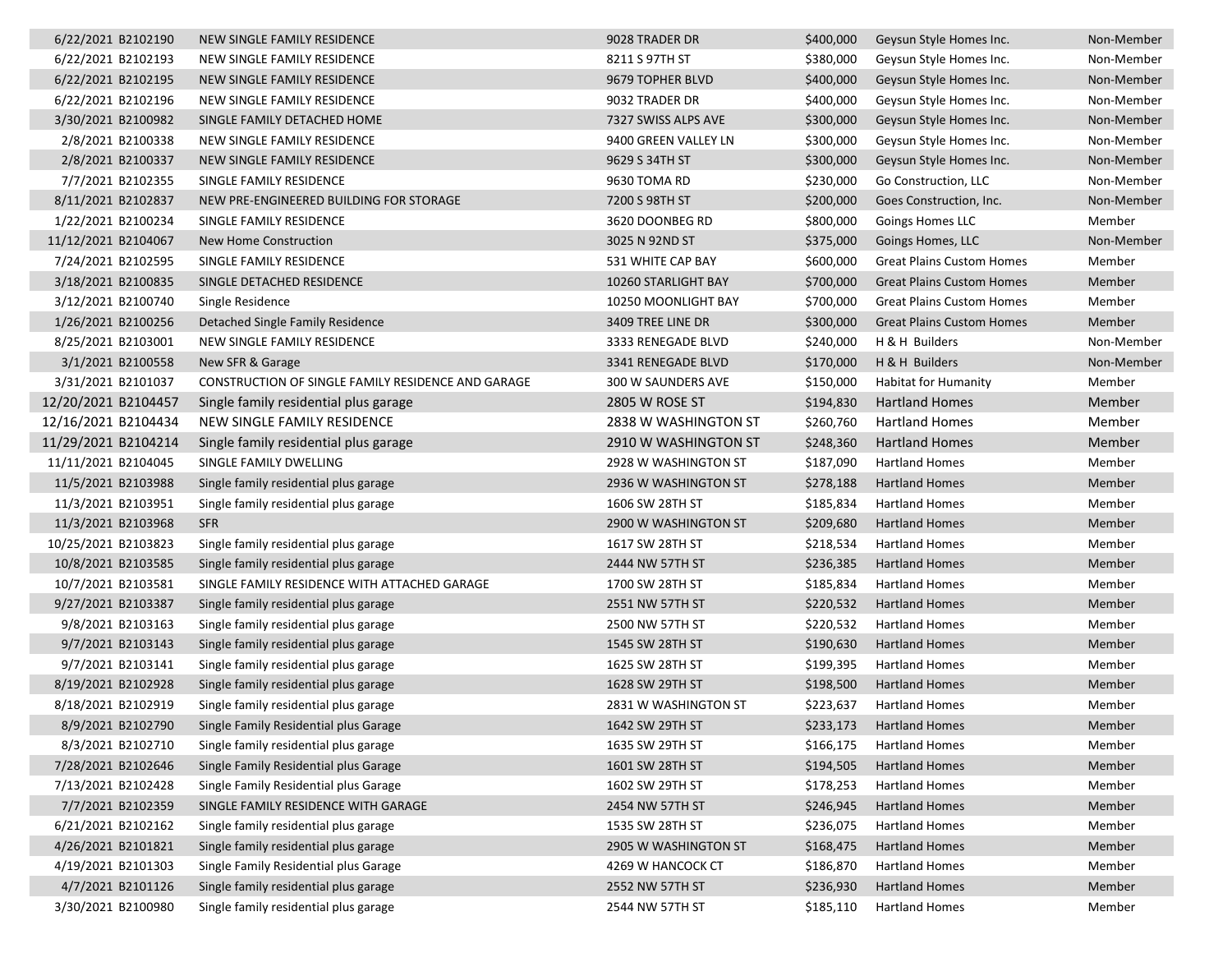| 6/22/2021 B2102190  | NEW SINGLE FAMILY RESIDENCE                        | 9028 TRADER DR       | \$400,000 | Geysun Style Homes Inc.          | Non-Member |
|---------------------|----------------------------------------------------|----------------------|-----------|----------------------------------|------------|
| 6/22/2021 B2102193  | NEW SINGLE FAMILY RESIDENCE                        | 8211 S 97TH ST       | \$380,000 | Geysun Style Homes Inc.          | Non-Member |
| 6/22/2021 B2102195  | NEW SINGLE FAMILY RESIDENCE                        | 9679 TOPHER BLVD     | \$400,000 | Geysun Style Homes Inc.          | Non-Member |
| 6/22/2021 B2102196  | NEW SINGLE FAMILY RESIDENCE                        | 9032 TRADER DR       | \$400,000 | Geysun Style Homes Inc.          | Non-Member |
| 3/30/2021 B2100982  | SINGLE FAMILY DETACHED HOME                        | 7327 SWISS ALPS AVE  | \$300,000 | Geysun Style Homes Inc.          | Non-Member |
| 2/8/2021 B2100338   | NEW SINGLE FAMILY RESIDENCE                        | 9400 GREEN VALLEY LN | \$300,000 | Geysun Style Homes Inc.          | Non-Member |
| 2/8/2021 B2100337   | NEW SINGLE FAMILY RESIDENCE                        | 9629 S 34TH ST       | \$300,000 | Geysun Style Homes Inc.          | Non-Member |
| 7/7/2021 B2102355   | SINGLE FAMILY RESIDENCE                            | 9630 TOMA RD         | \$230,000 | Go Construction, LLC             | Non-Member |
| 8/11/2021 B2102837  | NEW PRE-ENGINEERED BUILDING FOR STORAGE            | 7200 S 98TH ST       | \$200,000 | Goes Construction, Inc.          | Non-Member |
| 1/22/2021 B2100234  | SINGLE FAMILY RESIDENCE                            | 3620 DOONBEG RD      | \$800,000 | Goings Homes LLC                 | Member     |
| 11/12/2021 B2104067 | New Home Construction                              | 3025 N 92ND ST       | \$375,000 | Goings Homes, LLC                | Non-Member |
| 7/24/2021 B2102595  | SINGLE FAMILY RESIDENCE                            | 531 WHITE CAP BAY    | \$600,000 | <b>Great Plains Custom Homes</b> | Member     |
| 3/18/2021 B2100835  | SINGLE DETACHED RESIDENCE                          | 10260 STARLIGHT BAY  | \$700,000 | <b>Great Plains Custom Homes</b> | Member     |
| 3/12/2021 B2100740  | Single Residence                                   | 10250 MOONLIGHT BAY  | \$700,000 | <b>Great Plains Custom Homes</b> | Member     |
| 1/26/2021 B2100256  | Detached Single Family Residence                   | 3409 TREE LINE DR    | \$300,000 | <b>Great Plains Custom Homes</b> | Member     |
| 8/25/2021 B2103001  | NEW SINGLE FAMILY RESIDENCE                        | 3333 RENEGADE BLVD   | \$240,000 | H & H Builders                   | Non-Member |
| 3/1/2021 B2100558   | New SFR & Garage                                   | 3341 RENEGADE BLVD   | \$170,000 | H & H Builders                   | Non-Member |
| 3/31/2021 B2101037  | CONSTRUCTION OF SINGLE FAMILY RESIDENCE AND GARAGE | 300 W SAUNDERS AVE   | \$150,000 | <b>Habitat for Humanity</b>      | Member     |
| 12/20/2021 B2104457 | Single family residential plus garage              | 2805 W ROSE ST       | \$194,830 | <b>Hartland Homes</b>            | Member     |
| 12/16/2021 B2104434 | NEW SINGLE FAMILY RESIDENCE                        | 2838 W WASHINGTON ST | \$260,760 | <b>Hartland Homes</b>            | Member     |
| 11/29/2021 B2104214 | Single family residential plus garage              | 2910 W WASHINGTON ST | \$248,360 | <b>Hartland Homes</b>            | Member     |
| 11/11/2021 B2104045 | SINGLE FAMILY DWELLING                             | 2928 W WASHINGTON ST | \$187,090 | <b>Hartland Homes</b>            | Member     |
| 11/5/2021 B2103988  | Single family residential plus garage              | 2936 W WASHINGTON ST | \$278,188 | <b>Hartland Homes</b>            | Member     |
| 11/3/2021 B2103951  | Single family residential plus garage              | 1606 SW 28TH ST      | \$185,834 | <b>Hartland Homes</b>            | Member     |
| 11/3/2021 B2103968  | <b>SFR</b>                                         | 2900 W WASHINGTON ST | \$209,680 | <b>Hartland Homes</b>            | Member     |
| 10/25/2021 B2103823 | Single family residential plus garage              | 1617 SW 28TH ST      | \$218,534 | <b>Hartland Homes</b>            | Member     |
| 10/8/2021 B2103585  | Single family residential plus garage              | 2444 NW 57TH ST      | \$236,385 | <b>Hartland Homes</b>            | Member     |
| 10/7/2021 B2103581  | SINGLE FAMILY RESIDENCE WITH ATTACHED GARAGE       | 1700 SW 28TH ST      | \$185,834 | <b>Hartland Homes</b>            | Member     |
| 9/27/2021 B2103387  | Single family residential plus garage              | 2551 NW 57TH ST      | \$220,532 | <b>Hartland Homes</b>            | Member     |
| 9/8/2021 B2103163   | Single family residential plus garage              | 2500 NW 57TH ST      | \$220,532 | <b>Hartland Homes</b>            | Member     |
| 9/7/2021 B2103143   | Single family residential plus garage              | 1545 SW 28TH ST      | \$190,630 | <b>Hartland Homes</b>            | Member     |
| 9/7/2021 B2103141   | Single family residential plus garage              | 1625 SW 28TH ST      | \$199,395 | <b>Hartland Homes</b>            | Member     |
| 8/19/2021 B2102928  | Single family residential plus garage              | 1628 SW 29TH ST      | \$198,500 | <b>Hartland Homes</b>            | Member     |
| 8/18/2021 B2102919  | Single family residential plus garage              | 2831 W WASHINGTON ST | \$223,637 | <b>Hartland Homes</b>            | Member     |
| 8/9/2021 B2102790   | Single Family Residential plus Garage              | 1642 SW 29TH ST      | \$233,173 | <b>Hartland Homes</b>            | Member     |
| 8/3/2021 B2102710   | Single family residential plus garage              | 1635 SW 29TH ST      | \$166,175 | <b>Hartland Homes</b>            | Member     |
| 7/28/2021 B2102646  | Single Family Residential plus Garage              | 1601 SW 28TH ST      | \$194,505 | <b>Hartland Homes</b>            | Member     |
| 7/13/2021 B2102428  | Single Family Residential plus Garage              | 1602 SW 29TH ST      | \$178,253 | <b>Hartland Homes</b>            | Member     |
| 7/7/2021 B2102359   | SINGLE FAMILY RESIDENCE WITH GARAGE                | 2454 NW 57TH ST      | \$246,945 | <b>Hartland Homes</b>            | Member     |
| 6/21/2021 B2102162  | Single family residential plus garage              | 1535 SW 28TH ST      | \$236,075 | <b>Hartland Homes</b>            | Member     |
| 4/26/2021 B2101821  | Single family residential plus garage              | 2905 W WASHINGTON ST | \$168,475 | <b>Hartland Homes</b>            | Member     |
| 4/19/2021 B2101303  | Single Family Residential plus Garage              | 4269 W HANCOCK CT    | \$186,870 | <b>Hartland Homes</b>            | Member     |
| 4/7/2021 B2101126   | Single family residential plus garage              | 2552 NW 57TH ST      | \$236,930 | <b>Hartland Homes</b>            | Member     |
| 3/30/2021 B2100980  | Single family residential plus garage              | 2544 NW 57TH ST      | \$185,110 | <b>Hartland Homes</b>            | Member     |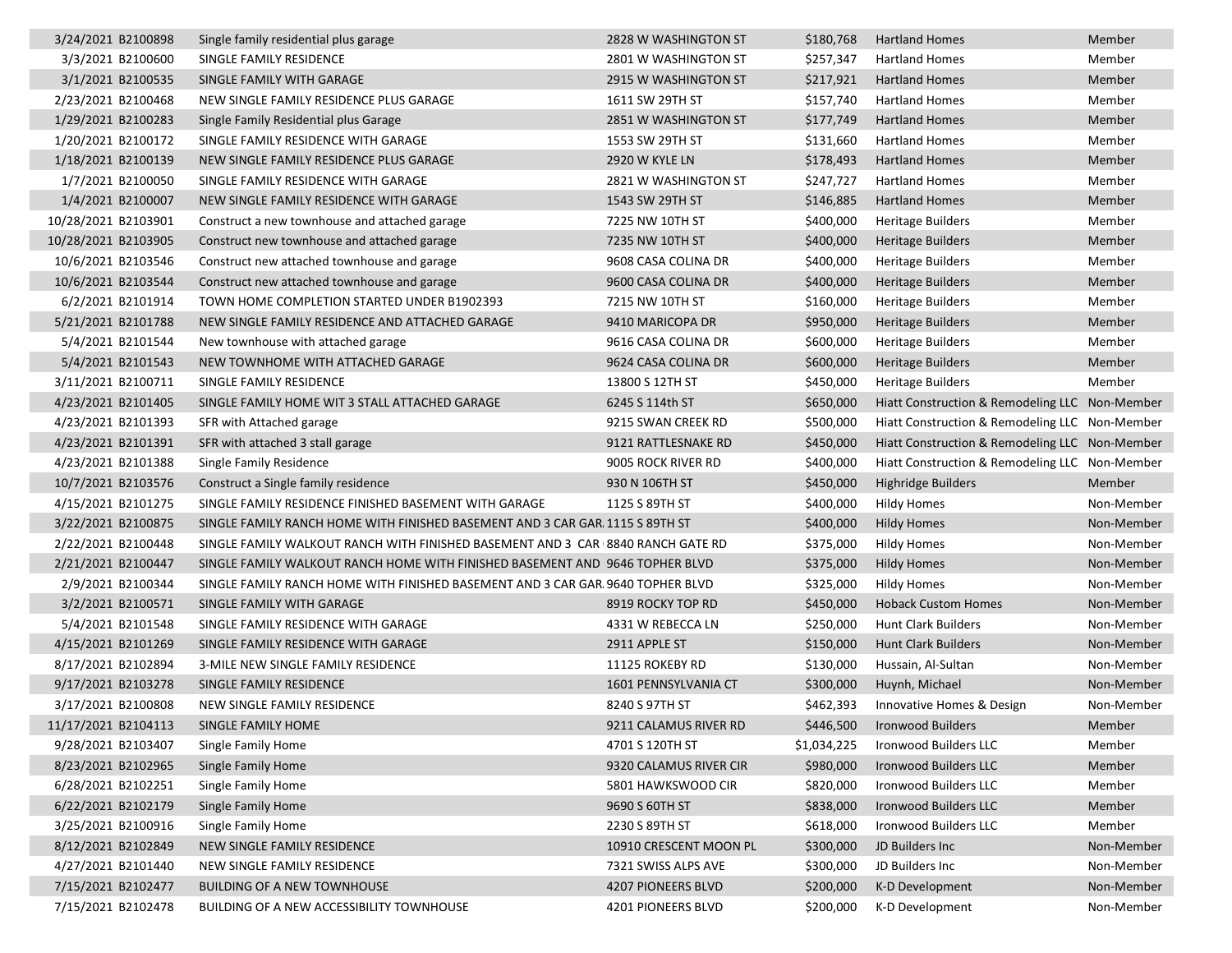| 3/24/2021 B2100898  | Single family residential plus garage                                           | 2828 W WASHINGTON ST   | \$180,768   | <b>Hartland Homes</b>                          | Member     |
|---------------------|---------------------------------------------------------------------------------|------------------------|-------------|------------------------------------------------|------------|
| 3/3/2021 B2100600   | SINGLE FAMILY RESIDENCE                                                         | 2801 W WASHINGTON ST   | \$257,347   | <b>Hartland Homes</b>                          | Member     |
| 3/1/2021 B2100535   | SINGLE FAMILY WITH GARAGE                                                       | 2915 W WASHINGTON ST   | \$217,921   | <b>Hartland Homes</b>                          | Member     |
| 2/23/2021 B2100468  | NEW SINGLE FAMILY RESIDENCE PLUS GARAGE                                         | 1611 SW 29TH ST        | \$157,740   | <b>Hartland Homes</b>                          | Member     |
| 1/29/2021 B2100283  | Single Family Residential plus Garage                                           | 2851 W WASHINGTON ST   | \$177,749   | <b>Hartland Homes</b>                          | Member     |
| 1/20/2021 B2100172  | SINGLE FAMILY RESIDENCE WITH GARAGE                                             | 1553 SW 29TH ST        | \$131,660   | <b>Hartland Homes</b>                          | Member     |
| 1/18/2021 B2100139  | NEW SINGLE FAMILY RESIDENCE PLUS GARAGE                                         | 2920 W KYLE LN         | \$178,493   | <b>Hartland Homes</b>                          | Member     |
| 1/7/2021 B2100050   | SINGLE FAMILY RESIDENCE WITH GARAGE                                             | 2821 W WASHINGTON ST   | \$247,727   | <b>Hartland Homes</b>                          | Member     |
| 1/4/2021 B2100007   | NEW SINGLE FAMILY RESIDENCE WITH GARAGE                                         | 1543 SW 29TH ST        | \$146,885   | <b>Hartland Homes</b>                          | Member     |
| 10/28/2021 B2103901 | Construct a new townhouse and attached garage                                   | 7225 NW 10TH ST        | \$400,000   | <b>Heritage Builders</b>                       | Member     |
| 10/28/2021 B2103905 | Construct new townhouse and attached garage                                     | 7235 NW 10TH ST        | \$400,000   | <b>Heritage Builders</b>                       | Member     |
| 10/6/2021 B2103546  | Construct new attached townhouse and garage                                     | 9608 CASA COLINA DR    | \$400,000   | <b>Heritage Builders</b>                       | Member     |
| 10/6/2021 B2103544  | Construct new attached townhouse and garage                                     | 9600 CASA COLINA DR    | \$400,000   | <b>Heritage Builders</b>                       | Member     |
| 6/2/2021 B2101914   | TOWN HOME COMPLETION STARTED UNDER B1902393                                     | 7215 NW 10TH ST        | \$160,000   | Heritage Builders                              | Member     |
| 5/21/2021 B2101788  | NEW SINGLE FAMILY RESIDENCE AND ATTACHED GARAGE                                 | 9410 MARICOPA DR       | \$950,000   | <b>Heritage Builders</b>                       | Member     |
| 5/4/2021 B2101544   | New townhouse with attached garage                                              | 9616 CASA COLINA DR    | \$600,000   | <b>Heritage Builders</b>                       | Member     |
| 5/4/2021 B2101543   | NEW TOWNHOME WITH ATTACHED GARAGE                                               | 9624 CASA COLINA DR    | \$600,000   | Heritage Builders                              | Member     |
| 3/11/2021 B2100711  | SINGLE FAMILY RESIDENCE                                                         | 13800 S 12TH ST        | \$450,000   | <b>Heritage Builders</b>                       | Member     |
| 4/23/2021 B2101405  | SINGLE FAMILY HOME WIT 3 STALL ATTACHED GARAGE                                  | 6245 S 114th ST        | \$650,000   | Hiatt Construction & Remodeling LLC Non-Member |            |
| 4/23/2021 B2101393  | SFR with Attached garage                                                        | 9215 SWAN CREEK RD     | \$500,000   | Hiatt Construction & Remodeling LLC Non-Member |            |
| 4/23/2021 B2101391  | SFR with attached 3 stall garage                                                | 9121 RATTLESNAKE RD    | \$450,000   | Hiatt Construction & Remodeling LLC Non-Member |            |
| 4/23/2021 B2101388  | Single Family Residence                                                         | 9005 ROCK RIVER RD     | \$400,000   | Hiatt Construction & Remodeling LLC Non-Member |            |
| 10/7/2021 B2103576  | Construct a Single family residence                                             | 930 N 106TH ST         | \$450,000   | <b>Highridge Builders</b>                      | Member     |
| 4/15/2021 B2101275  | SINGLE FAMILY RESIDENCE FINISHED BASEMENT WITH GARAGE                           | 1125 S 89TH ST         | \$400,000   | <b>Hildy Homes</b>                             | Non-Member |
| 3/22/2021 B2100875  | SINGLE FAMILY RANCH HOME WITH FINISHED BASEMENT AND 3 CAR GAR. 1115 S 89TH ST   |                        | \$400,000   | <b>Hildy Homes</b>                             | Non-Member |
| 2/22/2021 B2100448  | SINGLE FAMILY WALKOUT RANCH WITH FINISHED BASEMENT AND 3 CAR 8840 RANCH GATE RD |                        | \$375,000   | <b>Hildy Homes</b>                             | Non-Member |
| 2/21/2021 B2100447  | SINGLE FAMILY WALKOUT RANCH HOME WITH FINISHED BASEMENT AND 9646 TOPHER BLVD    |                        | \$375,000   | <b>Hildy Homes</b>                             | Non-Member |
| 2/9/2021 B2100344   | SINGLE FAMILY RANCH HOME WITH FINISHED BASEMENT AND 3 CAR GAR. 9640 TOPHER BLVD |                        | \$325,000   | <b>Hildy Homes</b>                             | Non-Member |
| 3/2/2021 B2100571   | SINGLE FAMILY WITH GARAGE                                                       | 8919 ROCKY TOP RD      | \$450,000   | <b>Hoback Custom Homes</b>                     | Non-Member |
| 5/4/2021 B2101548   | SINGLE FAMILY RESIDENCE WITH GARAGE                                             | 4331 W REBECCA LN      | \$250,000   | <b>Hunt Clark Builders</b>                     | Non-Member |
| 4/15/2021 B2101269  | SINGLE FAMILY RESIDENCE WITH GARAGE                                             | 2911 APPLE ST          | \$150,000   | Hunt Clark Builders                            | Non-Member |
| 8/17/2021 B2102894  | 3-MILE NEW SINGLE FAMILY RESIDENCE                                              | 11125 ROKEBY RD        | \$130,000   | Hussain, Al-Sultan                             | Non-Member |
| 9/17/2021 B2103278  | SINGLE FAMILY RESIDENCE                                                         | 1601 PENNSYLVANIA CT   | \$300,000   | Huynh, Michael                                 | Non-Member |
| 3/17/2021 B2100808  | NEW SINGLE FAMILY RESIDENCE                                                     | 8240 S 97TH ST         | \$462,393   | Innovative Homes & Design                      | Non-Member |
| 11/17/2021 B2104113 | SINGLE FAMILY HOME                                                              | 9211 CALAMUS RIVER RD  | \$446,500   | <b>Ironwood Builders</b>                       | Member     |
| 9/28/2021 B2103407  | Single Family Home                                                              | 4701 S 120TH ST        | \$1,034,225 | Ironwood Builders LLC                          | Member     |
| 8/23/2021 B2102965  | Single Family Home                                                              | 9320 CALAMUS RIVER CIR | \$980,000   | Ironwood Builders LLC                          | Member     |
| 6/28/2021 B2102251  | Single Family Home                                                              | 5801 HAWKSWOOD CIR     | \$820,000   | Ironwood Builders LLC                          | Member     |
| 6/22/2021 B2102179  | Single Family Home                                                              | 9690 S 60TH ST         | \$838,000   | Ironwood Builders LLC                          | Member     |
| 3/25/2021 B2100916  | Single Family Home                                                              | 2230 S 89TH ST         | \$618,000   | Ironwood Builders LLC                          | Member     |
| 8/12/2021 B2102849  | NEW SINGLE FAMILY RESIDENCE                                                     | 10910 CRESCENT MOON PL | \$300,000   | JD Builders Inc                                | Non-Member |
| 4/27/2021 B2101440  | NEW SINGLE FAMILY RESIDENCE                                                     | 7321 SWISS ALPS AVE    | \$300,000   | JD Builders Inc                                | Non-Member |
| 7/15/2021 B2102477  | <b>BUILDING OF A NEW TOWNHOUSE</b>                                              | 4207 PIONEERS BLVD     | \$200,000   | K-D Development                                | Non-Member |
| 7/15/2021 B2102478  | <b>BUILDING OF A NEW ACCESSIBILITY TOWNHOUSE</b>                                | 4201 PIONEERS BLVD     | \$200,000   | K-D Development                                | Non-Member |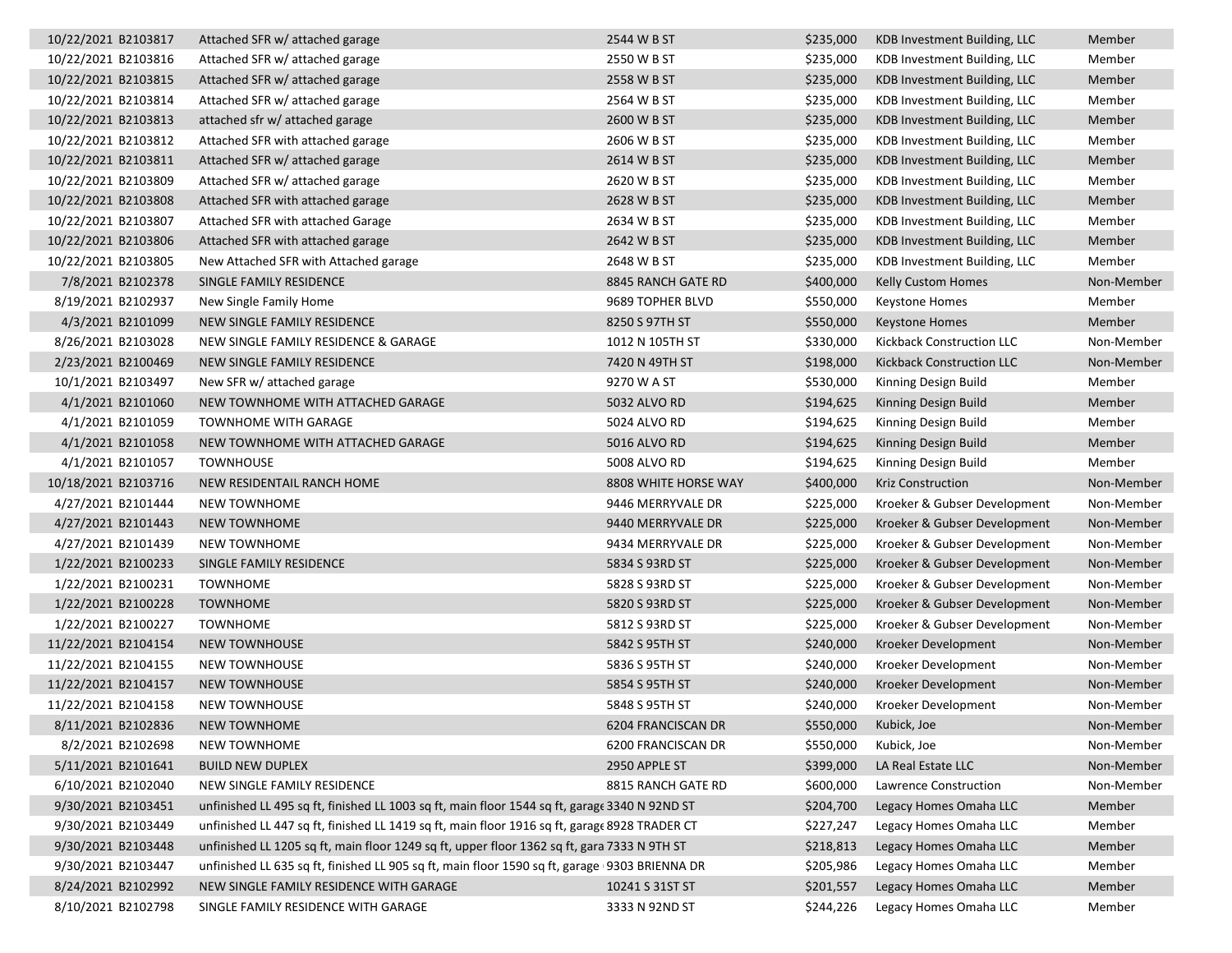| 10/22/2021 B2103817 | Attached SFR w/ attached garage                                                               | 2544 W B ST          | \$235,000 | KDB Investment Building, LLC | Member     |
|---------------------|-----------------------------------------------------------------------------------------------|----------------------|-----------|------------------------------|------------|
| 10/22/2021 B2103816 | Attached SFR w/ attached garage                                                               | 2550 W B ST          | \$235,000 | KDB Investment Building, LLC | Member     |
| 10/22/2021 B2103815 | Attached SFR w/ attached garage                                                               | 2558 W B ST          | \$235,000 | KDB Investment Building, LLC | Member     |
| 10/22/2021 B2103814 | Attached SFR w/ attached garage                                                               | 2564 W B ST          | \$235,000 | KDB Investment Building, LLC | Member     |
| 10/22/2021 B2103813 | attached sfr w/ attached garage                                                               | 2600 W B ST          | \$235,000 | KDB Investment Building, LLC | Member     |
| 10/22/2021 B2103812 | Attached SFR with attached garage                                                             | 2606 W B ST          | \$235,000 | KDB Investment Building, LLC | Member     |
| 10/22/2021 B2103811 | Attached SFR w/ attached garage                                                               | 2614 W B ST          | \$235,000 | KDB Investment Building, LLC | Member     |
| 10/22/2021 B2103809 | Attached SFR w/ attached garage                                                               | 2620 W B ST          | \$235,000 | KDB Investment Building, LLC | Member     |
| 10/22/2021 B2103808 | Attached SFR with attached garage                                                             | 2628 W B ST          | \$235,000 | KDB Investment Building, LLC | Member     |
| 10/22/2021 B2103807 | Attached SFR with attached Garage                                                             | 2634 W B ST          | \$235,000 | KDB Investment Building, LLC | Member     |
| 10/22/2021 B2103806 | Attached SFR with attached garage                                                             | 2642 W B ST          | \$235,000 | KDB Investment Building, LLC | Member     |
| 10/22/2021 B2103805 | New Attached SFR with Attached garage                                                         | 2648 W B ST          | \$235,000 | KDB Investment Building, LLC | Member     |
| 7/8/2021 B2102378   | SINGLE FAMILY RESIDENCE                                                                       | 8845 RANCH GATE RD   | \$400,000 | <b>Kelly Custom Homes</b>    | Non-Member |
| 8/19/2021 B2102937  | New Single Family Home                                                                        | 9689 TOPHER BLVD     | \$550,000 | <b>Keystone Homes</b>        | Member     |
| 4/3/2021 B2101099   | NEW SINGLE FAMILY RESIDENCE                                                                   | 8250 S 97TH ST       | \$550,000 | <b>Keystone Homes</b>        | Member     |
| 8/26/2021 B2103028  | NEW SINGLE FAMILY RESIDENCE & GARAGE                                                          | 1012 N 105TH ST      | \$330,000 | Kickback Construction LLC    | Non-Member |
| 2/23/2021 B2100469  | NEW SINGLE FAMILY RESIDENCE                                                                   | 7420 N 49TH ST       | \$198,000 | Kickback Construction LLC    | Non-Member |
| 10/1/2021 B2103497  | New SFR w/ attached garage                                                                    | 9270 W A ST          | \$530,000 | Kinning Design Build         | Member     |
| 4/1/2021 B2101060   | NEW TOWNHOME WITH ATTACHED GARAGE                                                             | 5032 ALVO RD         | \$194,625 | Kinning Design Build         | Member     |
| 4/1/2021 B2101059   | <b>TOWNHOME WITH GARAGE</b>                                                                   | 5024 ALVO RD         | \$194,625 | Kinning Design Build         | Member     |
| 4/1/2021 B2101058   | NEW TOWNHOME WITH ATTACHED GARAGE                                                             | 5016 ALVO RD         | \$194,625 | Kinning Design Build         | Member     |
| 4/1/2021 B2101057   | <b>TOWNHOUSE</b>                                                                              | 5008 ALVO RD         | \$194,625 | Kinning Design Build         | Member     |
| 10/18/2021 B2103716 | NEW RESIDENTAIL RANCH HOME                                                                    | 8808 WHITE HORSE WAY | \$400,000 | <b>Kriz Construction</b>     | Non-Member |
| 4/27/2021 B2101444  | <b>NEW TOWNHOME</b>                                                                           | 9446 MERRYVALE DR    | \$225,000 | Kroeker & Gubser Development | Non-Member |
| 4/27/2021 B2101443  | <b>NEW TOWNHOME</b>                                                                           | 9440 MERRYVALE DR    | \$225,000 | Kroeker & Gubser Development | Non-Member |
| 4/27/2021 B2101439  | NEW TOWNHOME                                                                                  | 9434 MERRYVALE DR    | \$225,000 | Kroeker & Gubser Development | Non-Member |
| 1/22/2021 B2100233  | SINGLE FAMILY RESIDENCE                                                                       | 5834 S 93RD ST       | \$225,000 | Kroeker & Gubser Development | Non-Member |
| 1/22/2021 B2100231  | <b>TOWNHOME</b>                                                                               | 5828 S 93RD ST       | \$225,000 | Kroeker & Gubser Development | Non-Member |
| 1/22/2021 B2100228  | <b>TOWNHOME</b>                                                                               | 5820 S 93RD ST       | \$225,000 | Kroeker & Gubser Development | Non-Member |
| 1/22/2021 B2100227  | <b>TOWNHOME</b>                                                                               | 5812 S 93RD ST       | \$225,000 | Kroeker & Gubser Development | Non-Member |
| 11/22/2021 B2104154 | <b>NEW TOWNHOUSE</b>                                                                          | 5842 S 95TH ST       | \$240,000 | Kroeker Development          | Non-Member |
| 11/22/2021 B2104155 | <b>NEW TOWNHOUSE</b>                                                                          | 5836 S 95TH ST       | \$240,000 | Kroeker Development          | Non-Member |
| 11/22/2021 B2104157 | <b>NEW TOWNHOUSE</b>                                                                          | 5854 S 95TH ST       | \$240,000 | Kroeker Development          | Non-Member |
| 11/22/2021 B2104158 | <b>NEW TOWNHOUSE</b>                                                                          | 5848 S 95TH ST       | \$240,000 | Kroeker Development          | Non-Member |
| 8/11/2021 B2102836  | <b>NEW TOWNHOME</b>                                                                           | 6204 FRANCISCAN DR   | \$550,000 | Kubick, Joe                  | Non-Member |
| 8/2/2021 B2102698   | <b>NEW TOWNHOME</b>                                                                           | 6200 FRANCISCAN DR   | \$550,000 | Kubick, Joe                  | Non-Member |
| 5/11/2021 B2101641  | <b>BUILD NEW DUPLEX</b>                                                                       | 2950 APPLE ST        | \$399,000 | LA Real Estate LLC           | Non-Member |
| 6/10/2021 B2102040  | NEW SINGLE FAMILY RESIDENCE                                                                   | 8815 RANCH GATE RD   | \$600,000 | Lawrence Construction        | Non-Member |
| 9/30/2021 B2103451  | unfinished LL 495 sq ft, finished LL 1003 sq ft, main floor 1544 sq ft, garage 3340 N 92ND ST |                      | \$204,700 | Legacy Homes Omaha LLC       | Member     |
| 9/30/2021 B2103449  | unfinished LL 447 sq ft, finished LL 1419 sq ft, main floor 1916 sq ft, garage 8928 TRADER CT |                      | \$227,247 | Legacy Homes Omaha LLC       | Member     |
| 9/30/2021 B2103448  | unfinished LL 1205 sq ft, main floor 1249 sq ft, upper floor 1362 sq ft, gara 7333 N 9TH ST   |                      | \$218,813 | Legacy Homes Omaha LLC       | Member     |
| 9/30/2021 B2103447  | unfinished LL 635 sq ft, finished LL 905 sq ft, main floor 1590 sq ft, garage 9303 BRIENNA DR |                      | \$205,986 | Legacy Homes Omaha LLC       | Member     |
| 8/24/2021 B2102992  | NEW SINGLE FAMILY RESIDENCE WITH GARAGE                                                       | 10241 S 31ST ST      | \$201,557 | Legacy Homes Omaha LLC       | Member     |
| 8/10/2021 B2102798  | SINGLE FAMILY RESIDENCE WITH GARAGE                                                           | 3333 N 92ND ST       | \$244,226 | Legacy Homes Omaha LLC       | Member     |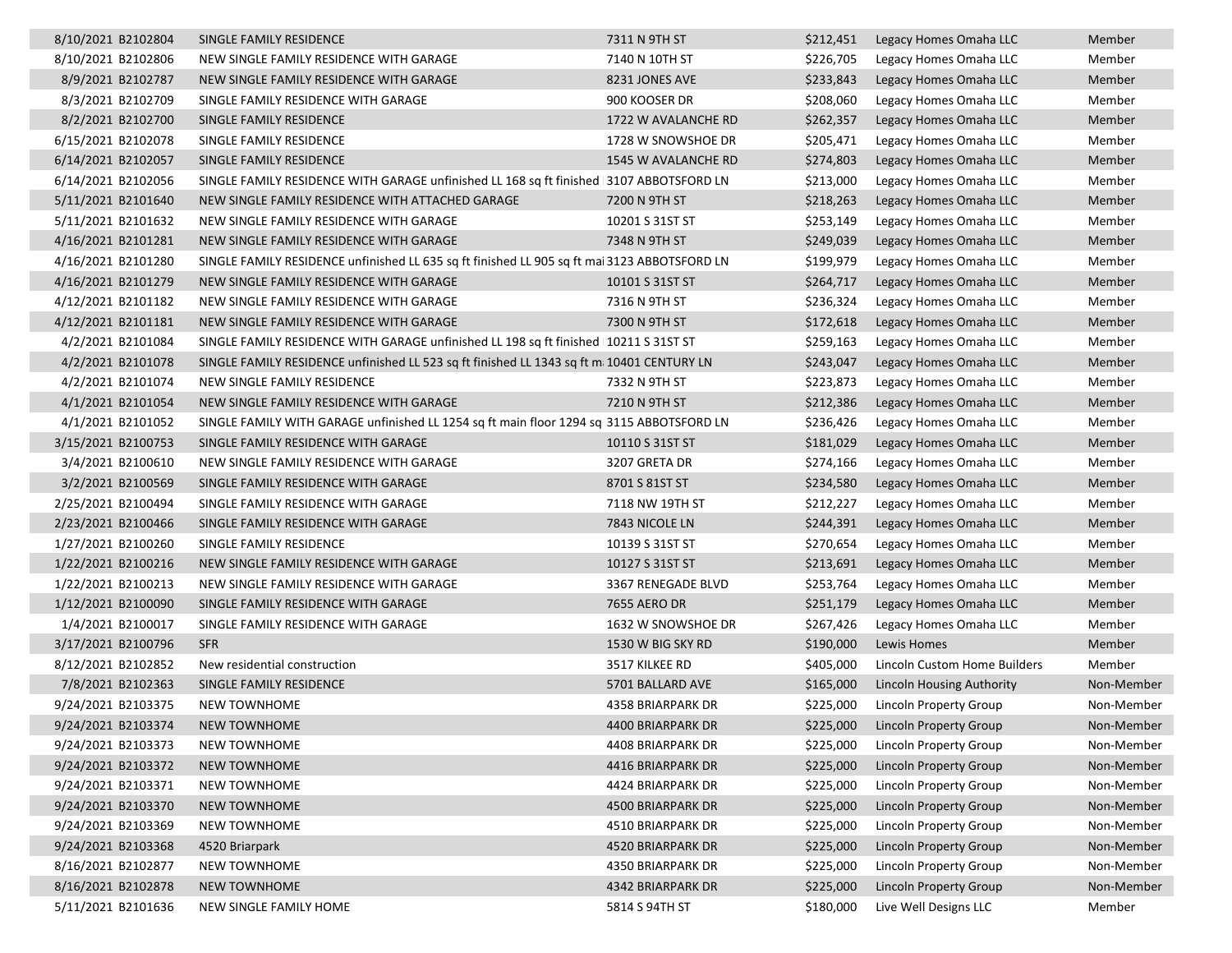| 8/10/2021 B2102804 | SINGLE FAMILY RESIDENCE                                                                      | 7311 N 9TH ST       | \$212,451 | Legacy Homes Omaha LLC           | Member     |
|--------------------|----------------------------------------------------------------------------------------------|---------------------|-----------|----------------------------------|------------|
| 8/10/2021 B2102806 | NEW SINGLE FAMILY RESIDENCE WITH GARAGE                                                      | 7140 N 10TH ST      | \$226,705 | Legacy Homes Omaha LLC           | Member     |
| 8/9/2021 B2102787  | NEW SINGLE FAMILY RESIDENCE WITH GARAGE                                                      | 8231 JONES AVE      | \$233,843 | Legacy Homes Omaha LLC           | Member     |
| 8/3/2021 B2102709  | SINGLE FAMILY RESIDENCE WITH GARAGE                                                          | 900 KOOSER DR       | \$208,060 | Legacy Homes Omaha LLC           | Member     |
| 8/2/2021 B2102700  | SINGLE FAMILY RESIDENCE                                                                      | 1722 W AVALANCHE RD | \$262,357 | Legacy Homes Omaha LLC           | Member     |
| 6/15/2021 B2102078 | SINGLE FAMILY RESIDENCE                                                                      | 1728 W SNOWSHOE DR  | \$205,471 | Legacy Homes Omaha LLC           | Member     |
| 6/14/2021 B2102057 | SINGLE FAMILY RESIDENCE                                                                      | 1545 W AVALANCHE RD | \$274,803 | Legacy Homes Omaha LLC           | Member     |
| 6/14/2021 B2102056 | SINGLE FAMILY RESIDENCE WITH GARAGE unfinished LL 168 sq ft finished 3107 ABBOTSFORD LN      |                     | \$213,000 | Legacy Homes Omaha LLC           | Member     |
| 5/11/2021 B2101640 | NEW SINGLE FAMILY RESIDENCE WITH ATTACHED GARAGE                                             | 7200 N 9TH ST       | \$218,263 | Legacy Homes Omaha LLC           | Member     |
| 5/11/2021 B2101632 | NEW SINGLE FAMILY RESIDENCE WITH GARAGE                                                      | 10201 S 31ST ST     | \$253,149 | Legacy Homes Omaha LLC           | Member     |
| 4/16/2021 B2101281 | NEW SINGLE FAMILY RESIDENCE WITH GARAGE                                                      | 7348 N 9TH ST       | \$249,039 | Legacy Homes Omaha LLC           | Member     |
| 4/16/2021 B2101280 | SINGLE FAMILY RESIDENCE unfinished LL 635 sq ft finished LL 905 sq ft mai 3123 ABBOTSFORD LN |                     | \$199,979 | Legacy Homes Omaha LLC           | Member     |
| 4/16/2021 B2101279 | NEW SINGLE FAMILY RESIDENCE WITH GARAGE                                                      | 10101 S 31ST ST     | \$264,717 | Legacy Homes Omaha LLC           | Member     |
| 4/12/2021 B2101182 | NEW SINGLE FAMILY RESIDENCE WITH GARAGE                                                      | 7316 N 9TH ST       | \$236,324 | Legacy Homes Omaha LLC           | Member     |
| 4/12/2021 B2101181 | NEW SINGLE FAMILY RESIDENCE WITH GARAGE                                                      | 7300 N 9TH ST       | \$172,618 | Legacy Homes Omaha LLC           | Member     |
| 4/2/2021 B2101084  | SINGLE FAMILY RESIDENCE WITH GARAGE unfinished LL 198 sq ft finished 10211 S 31ST ST         |                     | \$259,163 | Legacy Homes Omaha LLC           | Member     |
| 4/2/2021 B2101078  | SINGLE FAMILY RESIDENCE unfinished LL 523 sq ft finished LL 1343 sq ft m; 10401 CENTURY LN   |                     | \$243,047 | Legacy Homes Omaha LLC           | Member     |
| 4/2/2021 B2101074  | NEW SINGLE FAMILY RESIDENCE                                                                  | 7332 N 9TH ST       | \$223,873 | Legacy Homes Omaha LLC           | Member     |
| 4/1/2021 B2101054  | NEW SINGLE FAMILY RESIDENCE WITH GARAGE                                                      | 7210 N 9TH ST       | \$212,386 | Legacy Homes Omaha LLC           | Member     |
| 4/1/2021 B2101052  | SINGLE FAMILY WITH GARAGE unfinished LL 1254 sq ft main floor 1294 sq 3115 ABBOTSFORD LN     |                     | \$236,426 | Legacy Homes Omaha LLC           | Member     |
| 3/15/2021 B2100753 | SINGLE FAMILY RESIDENCE WITH GARAGE                                                          | 10110 S 31ST ST     | \$181,029 | Legacy Homes Omaha LLC           | Member     |
| 3/4/2021 B2100610  | NEW SINGLE FAMILY RESIDENCE WITH GARAGE                                                      | 3207 GRETA DR       | \$274,166 | Legacy Homes Omaha LLC           | Member     |
| 3/2/2021 B2100569  | SINGLE FAMILY RESIDENCE WITH GARAGE                                                          | 8701 S 81ST ST      | \$234,580 | Legacy Homes Omaha LLC           | Member     |
| 2/25/2021 B2100494 | SINGLE FAMILY RESIDENCE WITH GARAGE                                                          | 7118 NW 19TH ST     | \$212,227 | Legacy Homes Omaha LLC           | Member     |
| 2/23/2021 B2100466 | SINGLE FAMILY RESIDENCE WITH GARAGE                                                          | 7843 NICOLE LN      | \$244,391 | Legacy Homes Omaha LLC           | Member     |
| 1/27/2021 B2100260 | SINGLE FAMILY RESIDENCE                                                                      | 10139 S 31ST ST     | \$270,654 | Legacy Homes Omaha LLC           | Member     |
| 1/22/2021 B2100216 | NEW SINGLE FAMILY RESIDENCE WITH GARAGE                                                      | 10127 S 31ST ST     | \$213,691 | Legacy Homes Omaha LLC           | Member     |
| 1/22/2021 B2100213 | NEW SINGLE FAMILY RESIDENCE WITH GARAGE                                                      | 3367 RENEGADE BLVD  | \$253,764 | Legacy Homes Omaha LLC           | Member     |
| 1/12/2021 B2100090 | SINGLE FAMILY RESIDENCE WITH GARAGE                                                          | 7655 AERO DR        | \$251,179 | Legacy Homes Omaha LLC           | Member     |
| 1/4/2021 B2100017  | SINGLE FAMILY RESIDENCE WITH GARAGE                                                          | 1632 W SNOWSHOE DR  | \$267,426 | Legacy Homes Omaha LLC           | Member     |
| 3/17/2021 B2100796 | <b>SFR</b>                                                                                   | 1530 W BIG SKY RD   | \$190,000 | Lewis Homes                      | Member     |
| 8/12/2021 B2102852 | New residential construction                                                                 | 3517 KILKEE RD      | \$405,000 | Lincoln Custom Home Builders     | Member     |
| 7/8/2021 B2102363  | SINGLE FAMILY RESIDENCE                                                                      | 5701 BALLARD AVE    | \$165,000 | <b>Lincoln Housing Authority</b> | Non-Member |
| 9/24/2021 B2103375 | <b>NEW TOWNHOME</b>                                                                          | 4358 BRIARPARK DR   | \$225,000 | Lincoln Property Group           | Non-Member |
| 9/24/2021 B2103374 | <b>NEW TOWNHOME</b>                                                                          | 4400 BRIARPARK DR   |           | \$225,000 Lincoln Property Group | Non-Member |
| 9/24/2021 B2103373 | <b>NEW TOWNHOME</b>                                                                          | 4408 BRIARPARK DR   | \$225,000 | Lincoln Property Group           | Non-Member |
| 9/24/2021 B2103372 | <b>NEW TOWNHOME</b>                                                                          | 4416 BRIARPARK DR   | \$225,000 | <b>Lincoln Property Group</b>    | Non-Member |
| 9/24/2021 B2103371 | NEW TOWNHOME                                                                                 | 4424 BRIARPARK DR   | \$225,000 | Lincoln Property Group           | Non-Member |
| 9/24/2021 B2103370 | NEW TOWNHOME                                                                                 | 4500 BRIARPARK DR   | \$225,000 | Lincoln Property Group           | Non-Member |
| 9/24/2021 B2103369 | NEW TOWNHOME                                                                                 | 4510 BRIARPARK DR   | \$225,000 | Lincoln Property Group           | Non-Member |
| 9/24/2021 B2103368 | 4520 Briarpark                                                                               | 4520 BRIARPARK DR   | \$225,000 | Lincoln Property Group           | Non-Member |
| 8/16/2021 B2102877 | NEW TOWNHOME                                                                                 | 4350 BRIARPARK DR   | \$225,000 | Lincoln Property Group           | Non-Member |
| 8/16/2021 B2102878 | <b>NEW TOWNHOME</b>                                                                          | 4342 BRIARPARK DR   | \$225,000 | <b>Lincoln Property Group</b>    | Non-Member |
| 5/11/2021 B2101636 | NEW SINGLE FAMILY HOME                                                                       | 5814 S 94TH ST      | \$180,000 | Live Well Designs LLC            | Member     |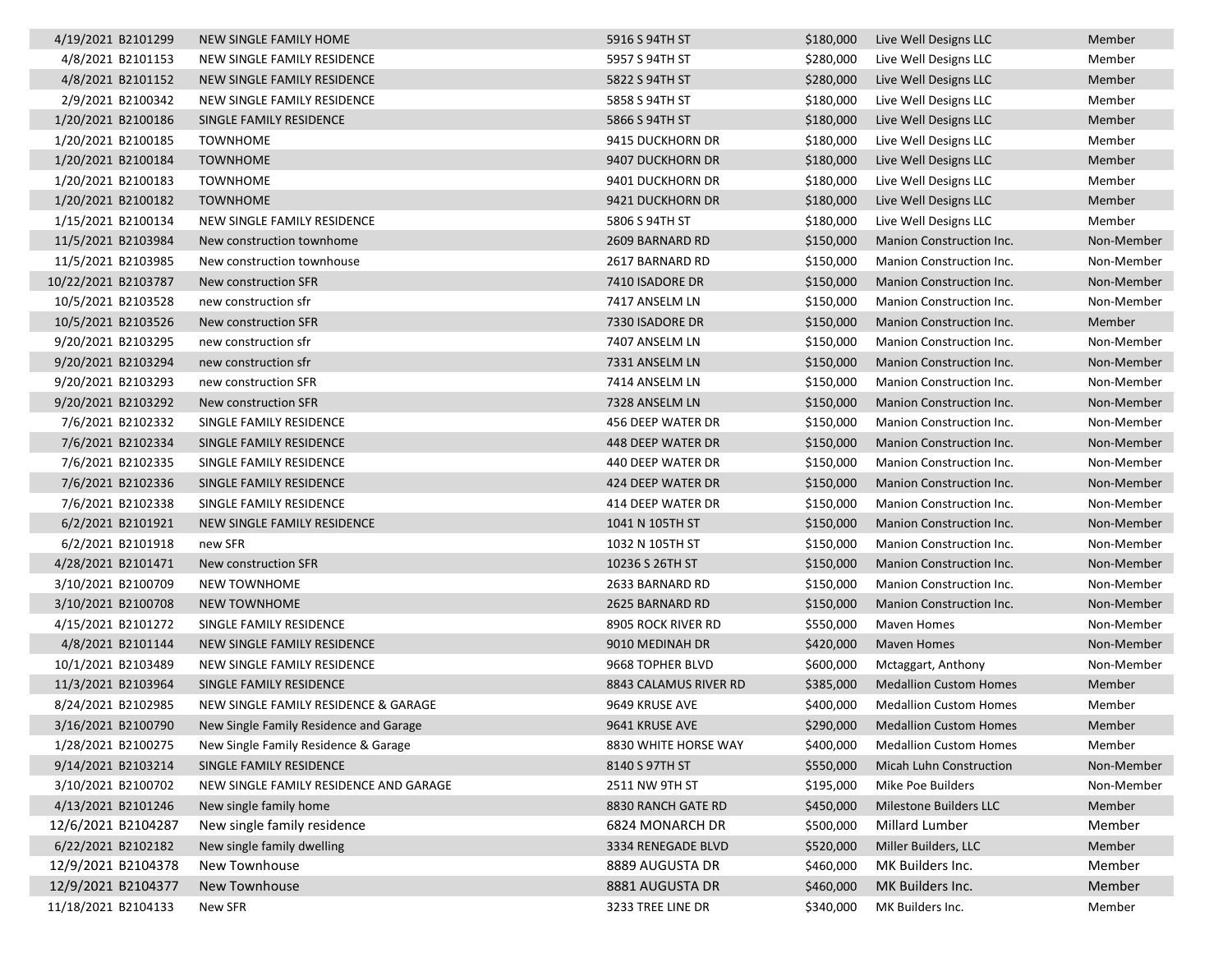| 4/19/2021 B2101299  | NEW SINGLE FAMILY HOME                 | 5916 S 94TH ST        | \$180,000 | Live Well Designs LLC         | Member     |
|---------------------|----------------------------------------|-----------------------|-----------|-------------------------------|------------|
| 4/8/2021 B2101153   | NEW SINGLE FAMILY RESIDENCE            | 5957 S 94TH ST        | \$280,000 | Live Well Designs LLC         | Member     |
| 4/8/2021 B2101152   | NEW SINGLE FAMILY RESIDENCE            | 5822 S 94TH ST        | \$280,000 | Live Well Designs LLC         | Member     |
| 2/9/2021 B2100342   | NEW SINGLE FAMILY RESIDENCE            | 5858 S 94TH ST        | \$180,000 | Live Well Designs LLC         | Member     |
| 1/20/2021 B2100186  | SINGLE FAMILY RESIDENCE                | 5866 S 94TH ST        | \$180,000 | Live Well Designs LLC         | Member     |
| 1/20/2021 B2100185  | <b>TOWNHOME</b>                        | 9415 DUCKHORN DR      | \$180,000 | Live Well Designs LLC         | Member     |
| 1/20/2021 B2100184  | <b>TOWNHOME</b>                        | 9407 DUCKHORN DR      | \$180,000 | Live Well Designs LLC         | Member     |
| 1/20/2021 B2100183  | <b>TOWNHOME</b>                        | 9401 DUCKHORN DR      | \$180,000 | Live Well Designs LLC         | Member     |
| 1/20/2021 B2100182  | <b>TOWNHOME</b>                        | 9421 DUCKHORN DR      | \$180,000 | Live Well Designs LLC         | Member     |
| 1/15/2021 B2100134  | <b>NEW SINGLE FAMILY RESIDENCE</b>     | 5806 S 94TH ST        | \$180,000 | Live Well Designs LLC         | Member     |
| 11/5/2021 B2103984  | New construction townhome              | 2609 BARNARD RD       | \$150,000 | Manion Construction Inc.      | Non-Member |
| 11/5/2021 B2103985  | New construction townhouse             | 2617 BARNARD RD       | \$150,000 | Manion Construction Inc.      | Non-Member |
| 10/22/2021 B2103787 | New construction SFR                   | 7410 ISADORE DR       | \$150,000 | Manion Construction Inc.      | Non-Member |
| 10/5/2021 B2103528  | new construction sfr                   | 7417 ANSELM LN        | \$150,000 | Manion Construction Inc.      | Non-Member |
| 10/5/2021 B2103526  | New construction SFR                   | 7330 ISADORE DR       | \$150,000 | Manion Construction Inc.      | Member     |
| 9/20/2021 B2103295  | new construction sfr                   | 7407 ANSELM LN        | \$150,000 | Manion Construction Inc.      | Non-Member |
| 9/20/2021 B2103294  | new construction sfr                   | 7331 ANSELM LN        | \$150,000 | Manion Construction Inc.      | Non-Member |
| 9/20/2021 B2103293  | new construction SFR                   | 7414 ANSELM LN        | \$150,000 | Manion Construction Inc.      | Non-Member |
| 9/20/2021 B2103292  | New construction SFR                   | 7328 ANSELM LN        | \$150,000 | Manion Construction Inc.      | Non-Member |
| 7/6/2021 B2102332   | SINGLE FAMILY RESIDENCE                | 456 DEEP WATER DR     | \$150,000 | Manion Construction Inc.      | Non-Member |
| 7/6/2021 B2102334   | SINGLE FAMILY RESIDENCE                | 448 DEEP WATER DR     | \$150,000 | Manion Construction Inc.      | Non-Member |
| 7/6/2021 B2102335   | SINGLE FAMILY RESIDENCE                | 440 DEEP WATER DR     | \$150,000 | Manion Construction Inc.      | Non-Member |
| 7/6/2021 B2102336   | SINGLE FAMILY RESIDENCE                | 424 DEEP WATER DR     | \$150,000 | Manion Construction Inc.      | Non-Member |
| 7/6/2021 B2102338   | SINGLE FAMILY RESIDENCE                | 414 DEEP WATER DR     | \$150,000 | Manion Construction Inc.      | Non-Member |
| 6/2/2021 B2101921   | NEW SINGLE FAMILY RESIDENCE            | 1041 N 105TH ST       | \$150,000 | Manion Construction Inc.      | Non-Member |
| 6/2/2021 B2101918   | new SFR                                | 1032 N 105TH ST       | \$150,000 | Manion Construction Inc.      | Non-Member |
| 4/28/2021 B2101471  | New construction SFR                   | 10236 S 26TH ST       | \$150,000 | Manion Construction Inc.      | Non-Member |
| 3/10/2021 B2100709  | <b>NEW TOWNHOME</b>                    | 2633 BARNARD RD       | \$150,000 | Manion Construction Inc.      | Non-Member |
| 3/10/2021 B2100708  | <b>NEW TOWNHOME</b>                    | 2625 BARNARD RD       | \$150,000 | Manion Construction Inc.      | Non-Member |
| 4/15/2021 B2101272  | SINGLE FAMILY RESIDENCE                | 8905 ROCK RIVER RD    | \$550,000 | Maven Homes                   | Non-Member |
| 4/8/2021 B2101144   | NEW SINGLE FAMILY RESIDENCE            | 9010 MEDINAH DR       | \$420,000 | <b>Maven Homes</b>            | Non-Member |
| 10/1/2021 B2103489  | NEW SINGLE FAMILY RESIDENCE            | 9668 TOPHER BLVD      | \$600,000 | Mctaggart, Anthony            | Non-Member |
| 11/3/2021 B2103964  | SINGLE FAMILY RESIDENCE                | 8843 CALAMUS RIVER RD | \$385,000 | <b>Medallion Custom Homes</b> | Member     |
| 8/24/2021 B2102985  | NEW SINGLE FAMILY RESIDENCE & GARAGE   | 9649 KRUSE AVE        | \$400,000 | <b>Medallion Custom Homes</b> | Member     |
| 3/16/2021 B2100790  | New Single Family Residence and Garage | 9641 KRUSE AVE        | \$290,000 | <b>Medallion Custom Homes</b> | Member     |
| 1/28/2021 B2100275  | New Single Family Residence & Garage   | 8830 WHITE HORSE WAY  | \$400,000 | <b>Medallion Custom Homes</b> | Member     |
| 9/14/2021 B2103214  | SINGLE FAMILY RESIDENCE                | 8140 S 97TH ST        | \$550,000 | Micah Luhn Construction       | Non-Member |
| 3/10/2021 B2100702  | NEW SINGLE FAMILY RESIDENCE AND GARAGE | 2511 NW 9TH ST        | \$195,000 | Mike Poe Builders             | Non-Member |
| 4/13/2021 B2101246  | New single family home                 | 8830 RANCH GATE RD    | \$450,000 | Milestone Builders LLC        | Member     |
| 12/6/2021 B2104287  | New single family residence            | 6824 MONARCH DR       | \$500,000 | Millard Lumber                | Member     |
| 6/22/2021 B2102182  | New single family dwelling             | 3334 RENEGADE BLVD    | \$520,000 | Miller Builders, LLC          | Member     |
| 12/9/2021 B2104378  | New Townhouse                          | 8889 AUGUSTA DR       | \$460,000 | MK Builders Inc.              | Member     |
| 12/9/2021 B2104377  | New Townhouse                          | 8881 AUGUSTA DR       | \$460,000 | MK Builders Inc.              | Member     |
| 11/18/2021 B2104133 | New SFR                                | 3233 TREE LINE DR     | \$340,000 | MK Builders Inc.              | Member     |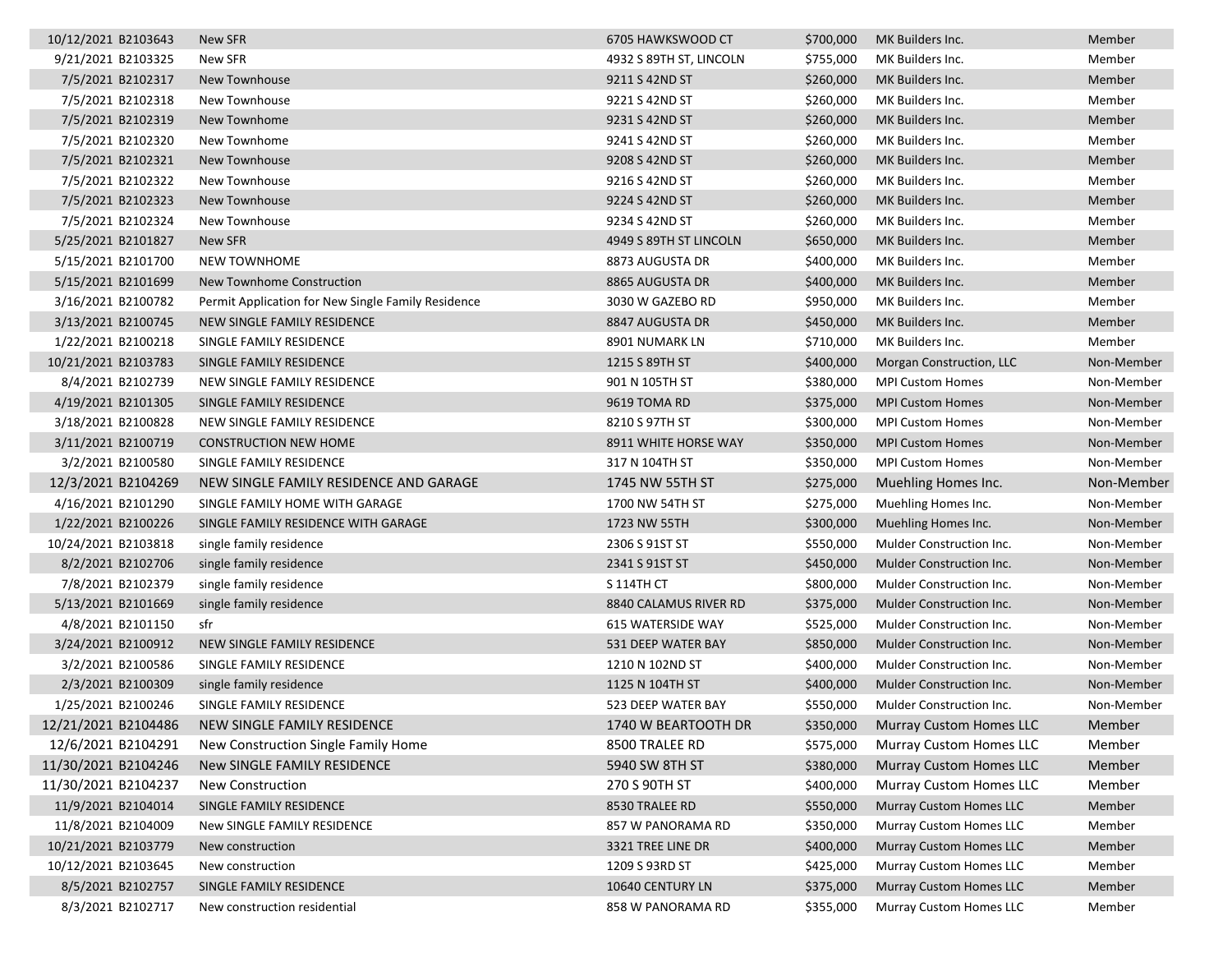| 10/12/2021 B2103643 | New SFR                                            | 6705 HAWKSWOOD CT        | \$700,000 | MK Builders Inc.               | Member     |
|---------------------|----------------------------------------------------|--------------------------|-----------|--------------------------------|------------|
| 9/21/2021 B2103325  | New SFR                                            | 4932 S 89TH ST, LINCOLN  | \$755,000 | MK Builders Inc.               | Member     |
| 7/5/2021 B2102317   | New Townhouse                                      | 9211 S 42ND ST           | \$260,000 | MK Builders Inc.               | Member     |
| 7/5/2021 B2102318   | New Townhouse                                      | 9221 S 42ND ST           | \$260,000 | MK Builders Inc.               | Member     |
| 7/5/2021 B2102319   | New Townhome                                       | 9231 S 42ND ST           | \$260,000 | MK Builders Inc.               | Member     |
| 7/5/2021 B2102320   | New Townhome                                       | 9241 S 42ND ST           | \$260,000 | MK Builders Inc.               | Member     |
| 7/5/2021 B2102321   | New Townhouse                                      | 9208 S 42ND ST           | \$260,000 | MK Builders Inc.               | Member     |
| 7/5/2021 B2102322   | New Townhouse                                      | 9216 S 42ND ST           | \$260,000 | MK Builders Inc.               | Member     |
| 7/5/2021 B2102323   | <b>New Townhouse</b>                               | 9224 S 42ND ST           | \$260,000 | MK Builders Inc.               | Member     |
| 7/5/2021 B2102324   | New Townhouse                                      | 9234 S 42ND ST           | \$260,000 | MK Builders Inc.               | Member     |
| 5/25/2021 B2101827  | New SFR                                            | 4949 S 89TH ST LINCOLN   | \$650,000 | MK Builders Inc.               | Member     |
| 5/15/2021 B2101700  | <b>NEW TOWNHOME</b>                                | 8873 AUGUSTA DR          | \$400,000 | MK Builders Inc.               | Member     |
| 5/15/2021 B2101699  | New Townhome Construction                          | 8865 AUGUSTA DR          | \$400,000 | MK Builders Inc.               | Member     |
| 3/16/2021 B2100782  | Permit Application for New Single Family Residence | 3030 W GAZEBO RD         | \$950,000 | MK Builders Inc.               | Member     |
| 3/13/2021 B2100745  | NEW SINGLE FAMILY RESIDENCE                        | 8847 AUGUSTA DR          | \$450,000 | MK Builders Inc.               | Member     |
| 1/22/2021 B2100218  | SINGLE FAMILY RESIDENCE                            | 8901 NUMARK LN           | \$710,000 | MK Builders Inc.               | Member     |
| 10/21/2021 B2103783 | SINGLE FAMILY RESIDENCE                            | 1215 S 89TH ST           | \$400,000 | Morgan Construction, LLC       | Non-Member |
| 8/4/2021 B2102739   | NEW SINGLE FAMILY RESIDENCE                        | 901 N 105TH ST           | \$380,000 | <b>MPI Custom Homes</b>        | Non-Member |
| 4/19/2021 B2101305  | SINGLE FAMILY RESIDENCE                            | 9619 TOMA RD             | \$375,000 | <b>MPI Custom Homes</b>        | Non-Member |
| 3/18/2021 B2100828  | NEW SINGLE FAMILY RESIDENCE                        | 8210 S 97TH ST           | \$300,000 | <b>MPI Custom Homes</b>        | Non-Member |
| 3/11/2021 B2100719  | <b>CONSTRUCTION NEW HOME</b>                       | 8911 WHITE HORSE WAY     | \$350,000 | <b>MPI Custom Homes</b>        | Non-Member |
| 3/2/2021 B2100580   | SINGLE FAMILY RESIDENCE                            | 317 N 104TH ST           | \$350,000 | <b>MPI Custom Homes</b>        | Non-Member |
| 12/3/2021 B2104269  | NEW SINGLE FAMILY RESIDENCE AND GARAGE             | 1745 NW 55TH ST          | \$275,000 | Muehling Homes Inc.            | Non-Member |
| 4/16/2021 B2101290  | SINGLE FAMILY HOME WITH GARAGE                     | 1700 NW 54TH ST          | \$275,000 | Muehling Homes Inc.            | Non-Member |
| 1/22/2021 B2100226  | SINGLE FAMILY RESIDENCE WITH GARAGE                | 1723 NW 55TH             | \$300,000 | Muehling Homes Inc.            | Non-Member |
| 10/24/2021 B2103818 | single family residence                            | 2306 S 91ST ST           | \$550,000 | Mulder Construction Inc.       | Non-Member |
| 8/2/2021 B2102706   | single family residence                            | 2341 S 91ST ST           | \$450,000 | Mulder Construction Inc.       | Non-Member |
| 7/8/2021 B2102379   | single family residence                            | <b>S 114TH CT</b>        | \$800,000 | Mulder Construction Inc.       | Non-Member |
| 5/13/2021 B2101669  | single family residence                            | 8840 CALAMUS RIVER RD    | \$375,000 | Mulder Construction Inc.       | Non-Member |
| 4/8/2021 B2101150   | sfr                                                | <b>615 WATERSIDE WAY</b> | \$525,000 | Mulder Construction Inc.       | Non-Member |
| 3/24/2021 B2100912  | <b>NEW SINGLE FAMILY RESIDENCE</b>                 | 531 DEEP WATER BAY       | \$850,000 | Mulder Construction Inc.       | Non-Member |
| 3/2/2021 B2100586   | SINGLE FAMILY RESIDENCE                            | 1210 N 102ND ST          | \$400,000 | Mulder Construction Inc.       | Non-Member |
| 2/3/2021 B2100309   | single family residence                            | 1125 N 104TH ST          | \$400,000 | Mulder Construction Inc.       | Non-Member |
| 1/25/2021 B2100246  | SINGLE FAMILY RESIDENCE                            | 523 DEEP WATER BAY       | \$550,000 | Mulder Construction Inc.       | Non-Member |
| 12/21/2021 B2104486 | NEW SINGLE FAMILY RESIDENCE                        | 1740 W BEARTOOTH DR      | \$350,000 | <b>Murray Custom Homes LLC</b> | Member     |
| 12/6/2021 B2104291  | New Construction Single Family Home                | 8500 TRALEE RD           | \$575,000 | <b>Murray Custom Homes LLC</b> | Member     |
| 11/30/2021 B2104246 | New SINGLE FAMILY RESIDENCE                        | 5940 SW 8TH ST           | \$380,000 | <b>Murray Custom Homes LLC</b> | Member     |
| 11/30/2021 B2104237 | New Construction                                   | 270 S 90TH ST            | \$400,000 | Murray Custom Homes LLC        | Member     |
| 11/9/2021 B2104014  | SINGLE FAMILY RESIDENCE                            | 8530 TRALEE RD           | \$550,000 | <b>Murray Custom Homes LLC</b> | Member     |
| 11/8/2021 B2104009  | New SINGLE FAMILY RESIDENCE                        | 857 W PANORAMA RD        | \$350,000 | Murray Custom Homes LLC        | Member     |
| 10/21/2021 B2103779 | New construction                                   | 3321 TREE LINE DR        | \$400,000 | <b>Murray Custom Homes LLC</b> | Member     |
| 10/12/2021 B2103645 | New construction                                   | 1209 S 93RD ST           | \$425,000 | Murray Custom Homes LLC        | Member     |
| 8/5/2021 B2102757   | SINGLE FAMILY RESIDENCE                            | 10640 CENTURY LN         | \$375,000 | <b>Murray Custom Homes LLC</b> | Member     |
| 8/3/2021 B2102717   | New construction residential                       | 858 W PANORAMA RD        | \$355,000 | Murray Custom Homes LLC        | Member     |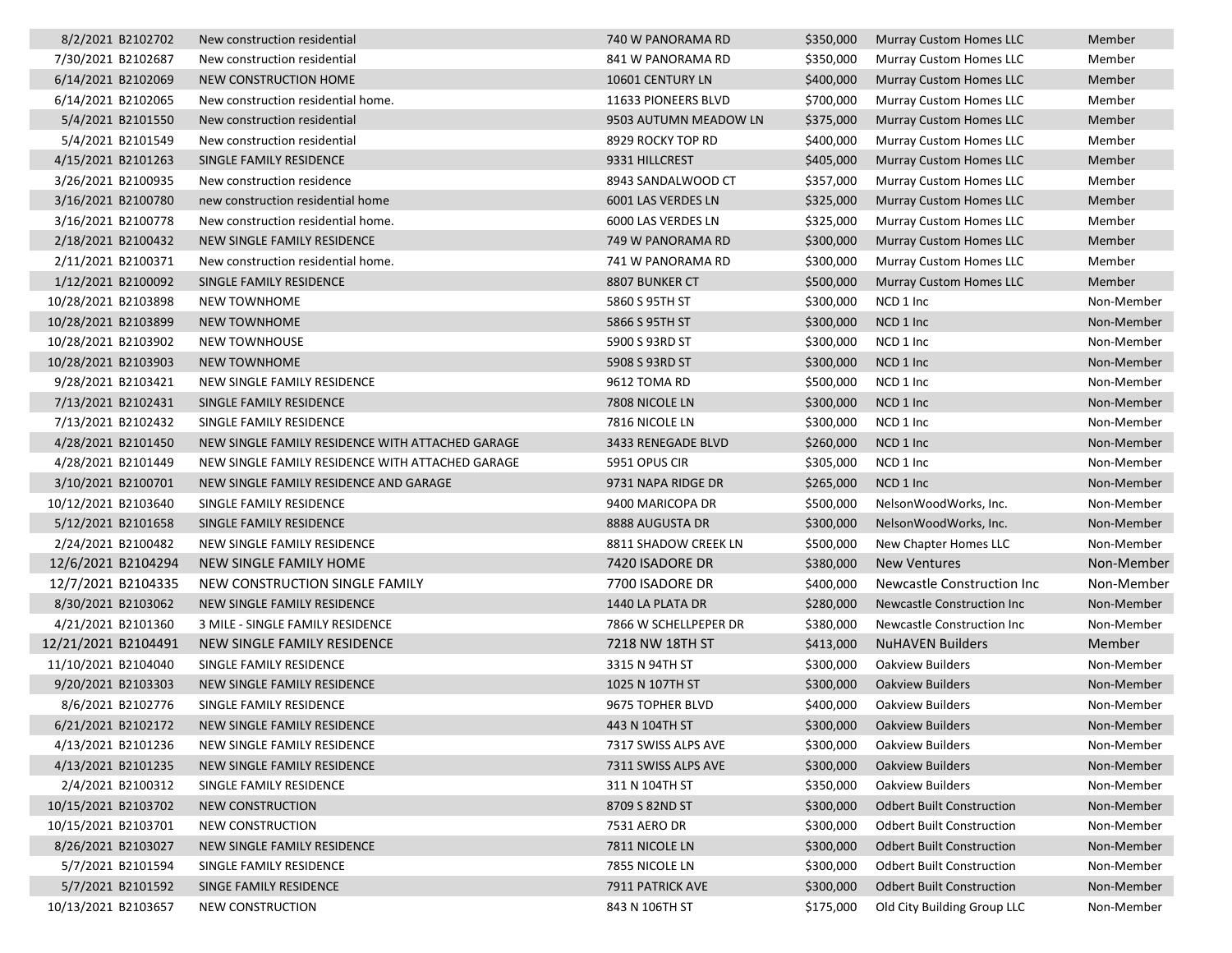| 8/2/2021 B2102702   | New construction residential                     | 740 W PANORAMA RD     | \$350,000 | <b>Murray Custom Homes LLC</b>   | Member     |
|---------------------|--------------------------------------------------|-----------------------|-----------|----------------------------------|------------|
| 7/30/2021 B2102687  | New construction residential                     | 841 W PANORAMA RD     | \$350,000 | Murray Custom Homes LLC          | Member     |
| 6/14/2021 B2102069  | NEW CONSTRUCTION HOME                            | 10601 CENTURY LN      | \$400,000 | <b>Murray Custom Homes LLC</b>   | Member     |
| 6/14/2021 B2102065  | New construction residential home.               | 11633 PIONEERS BLVD   | \$700,000 | Murray Custom Homes LLC          | Member     |
| 5/4/2021 B2101550   | New construction residential                     | 9503 AUTUMN MEADOW LN | \$375,000 | Murray Custom Homes LLC          | Member     |
| 5/4/2021 B2101549   | New construction residential                     | 8929 ROCKY TOP RD     | \$400,000 | <b>Murray Custom Homes LLC</b>   | Member     |
| 4/15/2021 B2101263  | SINGLE FAMILY RESIDENCE                          | 9331 HILLCREST        | \$405,000 | <b>Murray Custom Homes LLC</b>   | Member     |
| 3/26/2021 B2100935  | New construction residence                       | 8943 SANDALWOOD CT    | \$357,000 | Murray Custom Homes LLC          | Member     |
| 3/16/2021 B2100780  | new construction residential home                | 6001 LAS VERDES LN    | \$325,000 | <b>Murray Custom Homes LLC</b>   | Member     |
| 3/16/2021 B2100778  | New construction residential home.               | 6000 LAS VERDES LN    | \$325,000 | Murray Custom Homes LLC          | Member     |
| 2/18/2021 B2100432  | NEW SINGLE FAMILY RESIDENCE                      | 749 W PANORAMA RD     | \$300,000 | Murray Custom Homes LLC          | Member     |
| 2/11/2021 B2100371  | New construction residential home.               | 741 W PANORAMA RD     | \$300,000 | Murray Custom Homes LLC          | Member     |
| 1/12/2021 B2100092  | SINGLE FAMILY RESIDENCE                          | 8807 BUNKER CT        | \$500,000 | <b>Murray Custom Homes LLC</b>   | Member     |
| 10/28/2021 B2103898 | <b>NEW TOWNHOME</b>                              | 5860 S 95TH ST        | \$300,000 | NCD 1 Inc                        | Non-Member |
| 10/28/2021 B2103899 | <b>NEW TOWNHOME</b>                              | 5866 S 95TH ST        | \$300,000 | NCD 1 Inc                        | Non-Member |
| 10/28/2021 B2103902 | <b>NEW TOWNHOUSE</b>                             | 5900 S 93RD ST        | \$300,000 | NCD 1 Inc                        | Non-Member |
| 10/28/2021 B2103903 | <b>NEW TOWNHOME</b>                              | 5908 S 93RD ST        | \$300,000 | NCD 1 Inc                        | Non-Member |
| 9/28/2021 B2103421  | NEW SINGLE FAMILY RESIDENCE                      | 9612 TOMA RD          | \$500,000 | NCD 1 Inc                        | Non-Member |
| 7/13/2021 B2102431  | SINGLE FAMILY RESIDENCE                          | 7808 NICOLE LN        | \$300,000 | NCD 1 Inc                        | Non-Member |
| 7/13/2021 B2102432  | SINGLE FAMILY RESIDENCE                          | 7816 NICOLE LN        | \$300,000 | NCD 1 Inc                        | Non-Member |
| 4/28/2021 B2101450  | NEW SINGLE FAMILY RESIDENCE WITH ATTACHED GARAGE | 3433 RENEGADE BLVD    | \$260,000 | NCD 1 Inc                        | Non-Member |
| 4/28/2021 B2101449  | NEW SINGLE FAMILY RESIDENCE WITH ATTACHED GARAGE | 5951 OPUS CIR         | \$305,000 | NCD 1 Inc                        | Non-Member |
| 3/10/2021 B2100701  | NEW SINGLE FAMILY RESIDENCE AND GARAGE           | 9731 NAPA RIDGE DR    | \$265,000 | NCD 1 Inc                        | Non-Member |
| 10/12/2021 B2103640 | SINGLE FAMILY RESIDENCE                          | 9400 MARICOPA DR      | \$500,000 | NelsonWoodWorks, Inc.            | Non-Member |
| 5/12/2021 B2101658  | SINGLE FAMILY RESIDENCE                          | 8888 AUGUSTA DR       | \$300,000 | NelsonWoodWorks, Inc.            | Non-Member |
| 2/24/2021 B2100482  | NEW SINGLE FAMILY RESIDENCE                      | 8811 SHADOW CREEK LN  | \$500,000 | New Chapter Homes LLC            | Non-Member |
| 12/6/2021 B2104294  | NEW SINGLE FAMILY HOME                           | 7420 ISADORE DR       | \$380,000 | <b>New Ventures</b>              | Non-Member |
| 12/7/2021 B2104335  | NEW CONSTRUCTION SINGLE FAMILY                   | 7700 ISADORE DR       | \$400,000 | Newcastle Construction Inc       | Non-Member |
| 8/30/2021 B2103062  | NEW SINGLE FAMILY RESIDENCE                      | 1440 LA PLATA DR      | \$280,000 | Newcastle Construction Inc       | Non-Member |
| 4/21/2021 B2101360  | 3 MILE - SINGLE FAMILY RESIDENCE                 | 7866 W SCHELLPEPER DR | \$380,000 | Newcastle Construction Inc       | Non-Member |
| 12/21/2021 B2104491 | NEW SINGLE FAMILY RESIDENCE                      | 7218 NW 18TH ST       | \$413,000 | <b>NuHAVEN Builders</b>          | Member     |
| 11/10/2021 B2104040 | SINGLE FAMILY RESIDENCE                          | 3315 N 94TH ST        | \$300,000 | Oakview Builders                 | Non-Member |
| 9/20/2021 B2103303  | NEW SINGLE FAMILY RESIDENCE                      | 1025 N 107TH ST       | \$300,000 | <b>Oakview Builders</b>          | Non-Member |
| 8/6/2021 B2102776   | SINGLE FAMILY RESIDENCE                          | 9675 TOPHER BLVD      | \$400,000 | <b>Oakview Builders</b>          | Non-Member |
| 6/21/2021 B2102172  | NEW SINGLE FAMILY RESIDENCE                      | 443 N 104TH ST        | \$300,000 | <b>Oakview Builders</b>          | Non-Member |
| 4/13/2021 B2101236  | NEW SINGLE FAMILY RESIDENCE                      | 7317 SWISS ALPS AVE   | \$300,000 | <b>Oakview Builders</b>          | Non-Member |
| 4/13/2021 B2101235  | NEW SINGLE FAMILY RESIDENCE                      | 7311 SWISS ALPS AVE   | \$300,000 | <b>Oakview Builders</b>          | Non-Member |
| 2/4/2021 B2100312   | SINGLE FAMILY RESIDENCE                          | 311 N 104TH ST        | \$350,000 | Oakview Builders                 | Non-Member |
| 10/15/2021 B2103702 | NEW CONSTRUCTION                                 | 8709 S 82ND ST        | \$300,000 | <b>Odbert Built Construction</b> | Non-Member |
| 10/15/2021 B2103701 | NEW CONSTRUCTION                                 | 7531 AERO DR          | \$300,000 | <b>Odbert Built Construction</b> | Non-Member |
| 8/26/2021 B2103027  | NEW SINGLE FAMILY RESIDENCE                      | 7811 NICOLE LN        | \$300,000 | <b>Odbert Built Construction</b> | Non-Member |
| 5/7/2021 B2101594   | SINGLE FAMILY RESIDENCE                          | 7855 NICOLE LN        | \$300,000 | <b>Odbert Built Construction</b> | Non-Member |
| 5/7/2021 B2101592   | SINGE FAMILY RESIDENCE                           | 7911 PATRICK AVE      | \$300,000 | <b>Odbert Built Construction</b> | Non-Member |
| 10/13/2021 B2103657 | NEW CONSTRUCTION                                 | 843 N 106TH ST        | \$175,000 | Old City Building Group LLC      | Non-Member |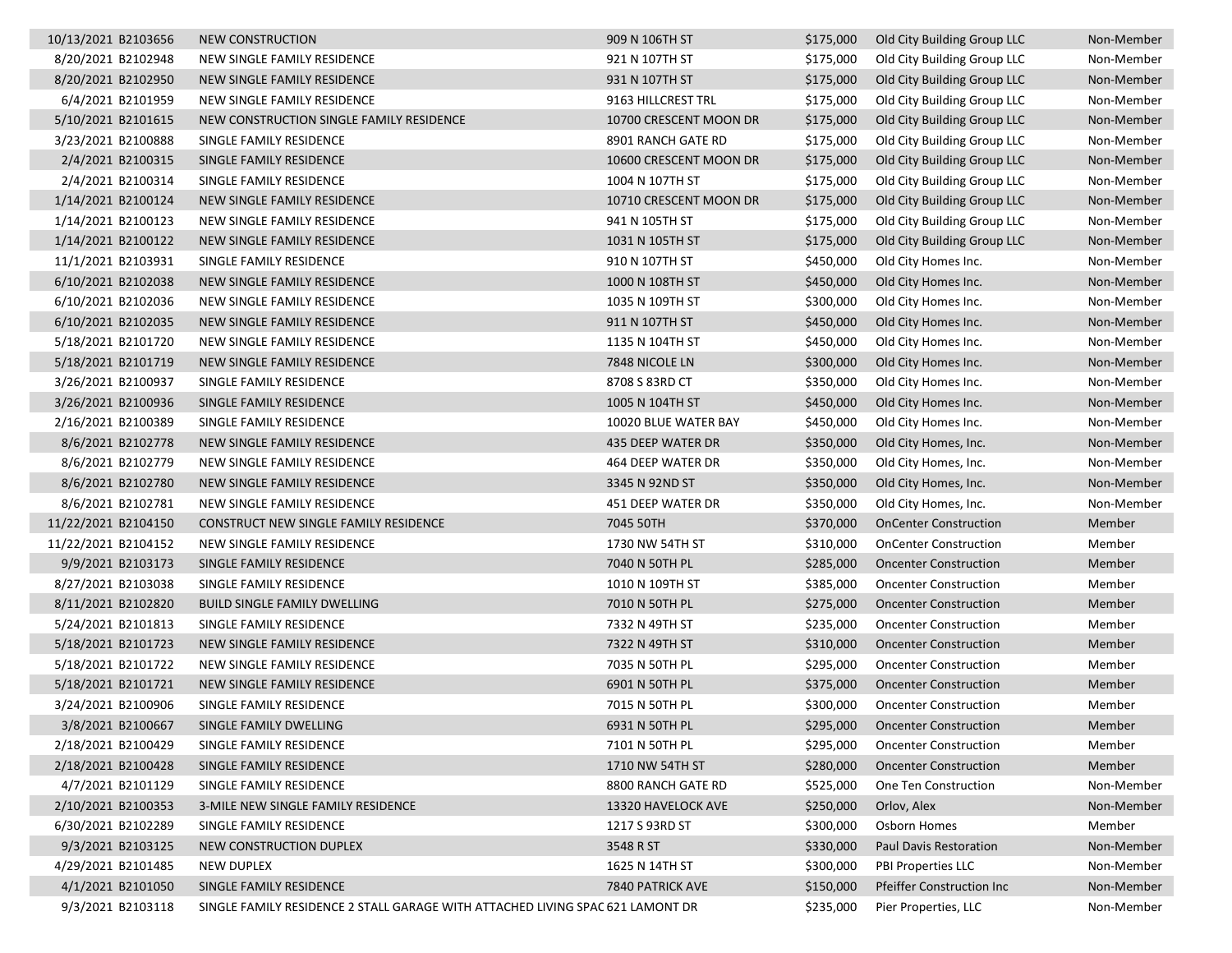| 8/20/2021 B2102948<br>NEW SINGLE FAMILY RESIDENCE<br>921 N 107TH ST<br>\$175,000<br>Old City Building Group LLC<br>8/20/2021 B2102950<br>\$175,000<br>NEW SINGLE FAMILY RESIDENCE<br>931 N 107TH ST<br>Old City Building Group LLC<br>6/4/2021 B2101959<br>9163 HILLCREST TRL<br>\$175,000<br>Old City Building Group LLC<br>NEW SINGLE FAMILY RESIDENCE<br>\$175,000<br>5/10/2021 B2101615<br>NEW CONSTRUCTION SINGLE FAMILY RESIDENCE<br>10700 CRESCENT MOON DR<br>Old City Building Group LLC<br>3/23/2021 B2100888<br>SINGLE FAMILY RESIDENCE<br>8901 RANCH GATE RD<br>\$175,000<br>Old City Building Group LLC<br>2/4/2021 B2100315<br>\$175,000<br>Old City Building Group LLC<br>SINGLE FAMILY RESIDENCE<br>10600 CRESCENT MOON DR<br>2/4/2021 B2100314<br>SINGLE FAMILY RESIDENCE<br>1004 N 107TH ST<br>\$175,000<br>Old City Building Group LLC<br>1/14/2021 B2100124<br>\$175,000<br>Old City Building Group LLC<br>NEW SINGLE FAMILY RESIDENCE<br>10710 CRESCENT MOON DR<br>1/14/2021 B2100123<br>NEW SINGLE FAMILY RESIDENCE<br>941 N 105TH ST<br>\$175,000<br>Old City Building Group LLC<br>1/14/2021 B2100122<br>\$175,000<br>NEW SINGLE FAMILY RESIDENCE<br>1031 N 105TH ST<br>Old City Building Group LLC<br>11/1/2021 B2103931<br>SINGLE FAMILY RESIDENCE<br>910 N 107TH ST<br>\$450,000<br>Old City Homes Inc.<br>6/10/2021 B2102038<br>NEW SINGLE FAMILY RESIDENCE<br>\$450,000<br>1000 N 108TH ST<br>Old City Homes Inc.<br>6/10/2021 B2102036<br>1035 N 109TH ST<br>\$300,000<br>NEW SINGLE FAMILY RESIDENCE<br>Old City Homes Inc.<br>6/10/2021 B2102035<br>\$450,000<br>NEW SINGLE FAMILY RESIDENCE<br>911 N 107TH ST<br>Old City Homes Inc.<br>5/18/2021 B2101720<br>NEW SINGLE FAMILY RESIDENCE<br>\$450,000<br>1135 N 104TH ST<br>Old City Homes Inc.<br>5/18/2021 B2101719<br>\$300,000<br>NEW SINGLE FAMILY RESIDENCE<br>7848 NICOLE LN<br>Old City Homes Inc.<br>3/26/2021 B2100937<br>SINGLE FAMILY RESIDENCE<br>8708 S 83RD CT<br>\$350,000<br>Old City Homes Inc.<br>3/26/2021 B2100936<br>\$450,000<br>SINGLE FAMILY RESIDENCE<br>1005 N 104TH ST<br>Old City Homes Inc.<br>2/16/2021 B2100389<br>SINGLE FAMILY RESIDENCE<br>10020 BLUE WATER BAY<br>\$450,000<br>Old City Homes Inc.<br>8/6/2021 B2102778<br>\$350,000<br>NEW SINGLE FAMILY RESIDENCE<br>435 DEEP WATER DR<br>Old City Homes, Inc.<br>\$350,000<br>8/6/2021 B2102779<br>NEW SINGLE FAMILY RESIDENCE<br>464 DEEP WATER DR<br>Old City Homes, Inc.<br>8/6/2021 B2102780<br>NEW SINGLE FAMILY RESIDENCE<br>\$350,000<br>3345 N 92ND ST<br>Old City Homes, Inc.<br>8/6/2021 B2102781<br>\$350,000<br>NEW SINGLE FAMILY RESIDENCE<br>451 DEEP WATER DR<br>Old City Homes, Inc.<br>11/22/2021 B2104150<br>CONSTRUCT NEW SINGLE FAMILY RESIDENCE<br>7045 50TH<br>\$370,000<br>Member<br><b>OnCenter Construction</b><br>11/22/2021 B2104152<br>NEW SINGLE FAMILY RESIDENCE<br>1730 NW 54TH ST<br>\$310,000<br>Member<br><b>OnCenter Construction</b><br>9/9/2021 B2103173<br>SINGLE FAMILY RESIDENCE<br>7040 N 50TH PL<br>\$285,000<br><b>Oncenter Construction</b><br>Member<br>8/27/2021 B2103038<br>SINGLE FAMILY RESIDENCE<br>1010 N 109TH ST<br>\$385,000<br>Member<br><b>Oncenter Construction</b><br>8/11/2021 B2102820<br>7010 N 50TH PL<br>\$275,000<br>Member<br><b>BUILD SINGLE FAMILY DWELLING</b><br><b>Oncenter Construction</b><br>5/24/2021 B2101813<br>SINGLE FAMILY RESIDENCE<br>7332 N 49TH ST<br>\$235,000<br><b>Oncenter Construction</b><br>Member<br>5/18/2021 B2101723<br>NEW SINGLE FAMILY RESIDENCE<br>7322 N 49TH ST<br>\$310,000<br><b>Oncenter Construction</b><br>Member<br>5/18/2021 B2101722<br>NEW SINGLE FAMILY RESIDENCE<br>7035 N 50TH PL<br>\$295,000<br><b>Oncenter Construction</b><br>Member<br>5/18/2021 B2101721<br>\$375,000<br>Member<br>NEW SINGLE FAMILY RESIDENCE<br>6901 N 50TH PL<br><b>Oncenter Construction</b><br>3/24/2021 B2100906<br>SINGLE FAMILY RESIDENCE<br>7015 N 50TH PL<br>\$300,000<br>Member<br><b>Oncenter Construction</b><br>\$295,000<br>3/8/2021 B2100667<br>SINGLE FAMILY DWELLING<br>6931 N 50TH PL<br><b>Oncenter Construction</b><br>Member<br>2/18/2021 B2100429<br>SINGLE FAMILY RESIDENCE<br>7101 N 50TH PL<br>\$295,000<br><b>Oncenter Construction</b><br>Member<br>2/18/2021 B2100428<br>\$280,000<br>Member<br>SINGLE FAMILY RESIDENCE<br>1710 NW 54TH ST<br><b>Oncenter Construction</b><br>4/7/2021 B2101129<br>SINGLE FAMILY RESIDENCE<br>8800 RANCH GATE RD<br>\$525,000<br>One Ten Construction<br>2/10/2021 B2100353<br>3-MILE NEW SINGLE FAMILY RESIDENCE<br>\$250,000<br>13320 HAVELOCK AVE<br>Orlov, Alex<br>6/30/2021 B2102289<br>\$300,000<br>Osborn Homes<br>SINGLE FAMILY RESIDENCE<br>1217 S 93RD ST<br>Member<br>9/3/2021 B2103125<br>\$330,000<br>NEW CONSTRUCTION DUPLEX<br>3548 R ST<br>Paul Davis Restoration<br>4/29/2021 B2101485<br>\$300,000<br>NEW DUPLEX<br>1625 N 14TH ST<br>PBI Properties LLC<br>4/1/2021 B2101050<br>SINGLE FAMILY RESIDENCE<br>\$150,000<br>7840 PATRICK AVE<br><b>Pfeiffer Construction Inc</b><br>9/3/2021 B2103118<br>SINGLE FAMILY RESIDENCE 2 STALL GARAGE WITH ATTACHED LIVING SPAC 621 LAMONT DR<br>\$235,000<br>Pier Properties, LLC | 10/13/2021 B2103656 | NEW CONSTRUCTION | 909 N 106TH ST | \$175,000 | Old City Building Group LLC | Non-Member |
|------------------------------------------------------------------------------------------------------------------------------------------------------------------------------------------------------------------------------------------------------------------------------------------------------------------------------------------------------------------------------------------------------------------------------------------------------------------------------------------------------------------------------------------------------------------------------------------------------------------------------------------------------------------------------------------------------------------------------------------------------------------------------------------------------------------------------------------------------------------------------------------------------------------------------------------------------------------------------------------------------------------------------------------------------------------------------------------------------------------------------------------------------------------------------------------------------------------------------------------------------------------------------------------------------------------------------------------------------------------------------------------------------------------------------------------------------------------------------------------------------------------------------------------------------------------------------------------------------------------------------------------------------------------------------------------------------------------------------------------------------------------------------------------------------------------------------------------------------------------------------------------------------------------------------------------------------------------------------------------------------------------------------------------------------------------------------------------------------------------------------------------------------------------------------------------------------------------------------------------------------------------------------------------------------------------------------------------------------------------------------------------------------------------------------------------------------------------------------------------------------------------------------------------------------------------------------------------------------------------------------------------------------------------------------------------------------------------------------------------------------------------------------------------------------------------------------------------------------------------------------------------------------------------------------------------------------------------------------------------------------------------------------------------------------------------------------------------------------------------------------------------------------------------------------------------------------------------------------------------------------------------------------------------------------------------------------------------------------------------------------------------------------------------------------------------------------------------------------------------------------------------------------------------------------------------------------------------------------------------------------------------------------------------------------------------------------------------------------------------------------------------------------------------------------------------------------------------------------------------------------------------------------------------------------------------------------------------------------------------------------------------------------------------------------------------------------------------------------------------------------------------------------------------------------------------------------------------------------------------------------------------------------------------------------------------------------------------------------------------------------------------------------------------------------------------------------------------------------------------------------------------------------------------------------------------------------------------------------------------------------------------------------------------------------------------------------------------------------------------------------------------------------------------------------------------------------------------------------------------------------------------------------------------------------------------------------------------------------------------------------------------------------------------------------------------------------------------------------------------------------------------------------------------------|---------------------|------------------|----------------|-----------|-----------------------------|------------|
|                                                                                                                                                                                                                                                                                                                                                                                                                                                                                                                                                                                                                                                                                                                                                                                                                                                                                                                                                                                                                                                                                                                                                                                                                                                                                                                                                                                                                                                                                                                                                                                                                                                                                                                                                                                                                                                                                                                                                                                                                                                                                                                                                                                                                                                                                                                                                                                                                                                                                                                                                                                                                                                                                                                                                                                                                                                                                                                                                                                                                                                                                                                                                                                                                                                                                                                                                                                                                                                                                                                                                                                                                                                                                                                                                                                                                                                                                                                                                                                                                                                                                                                                                                                                                                                                                                                                                                                                                                                                                                                                                                                                                                                                                                                                                                                                                                                                                                                                                                                                                                                                                                                                                                        |                     |                  |                |           |                             | Non-Member |
|                                                                                                                                                                                                                                                                                                                                                                                                                                                                                                                                                                                                                                                                                                                                                                                                                                                                                                                                                                                                                                                                                                                                                                                                                                                                                                                                                                                                                                                                                                                                                                                                                                                                                                                                                                                                                                                                                                                                                                                                                                                                                                                                                                                                                                                                                                                                                                                                                                                                                                                                                                                                                                                                                                                                                                                                                                                                                                                                                                                                                                                                                                                                                                                                                                                                                                                                                                                                                                                                                                                                                                                                                                                                                                                                                                                                                                                                                                                                                                                                                                                                                                                                                                                                                                                                                                                                                                                                                                                                                                                                                                                                                                                                                                                                                                                                                                                                                                                                                                                                                                                                                                                                                                        |                     |                  |                |           |                             | Non-Member |
|                                                                                                                                                                                                                                                                                                                                                                                                                                                                                                                                                                                                                                                                                                                                                                                                                                                                                                                                                                                                                                                                                                                                                                                                                                                                                                                                                                                                                                                                                                                                                                                                                                                                                                                                                                                                                                                                                                                                                                                                                                                                                                                                                                                                                                                                                                                                                                                                                                                                                                                                                                                                                                                                                                                                                                                                                                                                                                                                                                                                                                                                                                                                                                                                                                                                                                                                                                                                                                                                                                                                                                                                                                                                                                                                                                                                                                                                                                                                                                                                                                                                                                                                                                                                                                                                                                                                                                                                                                                                                                                                                                                                                                                                                                                                                                                                                                                                                                                                                                                                                                                                                                                                                                        |                     |                  |                |           |                             | Non-Member |
|                                                                                                                                                                                                                                                                                                                                                                                                                                                                                                                                                                                                                                                                                                                                                                                                                                                                                                                                                                                                                                                                                                                                                                                                                                                                                                                                                                                                                                                                                                                                                                                                                                                                                                                                                                                                                                                                                                                                                                                                                                                                                                                                                                                                                                                                                                                                                                                                                                                                                                                                                                                                                                                                                                                                                                                                                                                                                                                                                                                                                                                                                                                                                                                                                                                                                                                                                                                                                                                                                                                                                                                                                                                                                                                                                                                                                                                                                                                                                                                                                                                                                                                                                                                                                                                                                                                                                                                                                                                                                                                                                                                                                                                                                                                                                                                                                                                                                                                                                                                                                                                                                                                                                                        |                     |                  |                |           |                             | Non-Member |
|                                                                                                                                                                                                                                                                                                                                                                                                                                                                                                                                                                                                                                                                                                                                                                                                                                                                                                                                                                                                                                                                                                                                                                                                                                                                                                                                                                                                                                                                                                                                                                                                                                                                                                                                                                                                                                                                                                                                                                                                                                                                                                                                                                                                                                                                                                                                                                                                                                                                                                                                                                                                                                                                                                                                                                                                                                                                                                                                                                                                                                                                                                                                                                                                                                                                                                                                                                                                                                                                                                                                                                                                                                                                                                                                                                                                                                                                                                                                                                                                                                                                                                                                                                                                                                                                                                                                                                                                                                                                                                                                                                                                                                                                                                                                                                                                                                                                                                                                                                                                                                                                                                                                                                        |                     |                  |                |           |                             | Non-Member |
|                                                                                                                                                                                                                                                                                                                                                                                                                                                                                                                                                                                                                                                                                                                                                                                                                                                                                                                                                                                                                                                                                                                                                                                                                                                                                                                                                                                                                                                                                                                                                                                                                                                                                                                                                                                                                                                                                                                                                                                                                                                                                                                                                                                                                                                                                                                                                                                                                                                                                                                                                                                                                                                                                                                                                                                                                                                                                                                                                                                                                                                                                                                                                                                                                                                                                                                                                                                                                                                                                                                                                                                                                                                                                                                                                                                                                                                                                                                                                                                                                                                                                                                                                                                                                                                                                                                                                                                                                                                                                                                                                                                                                                                                                                                                                                                                                                                                                                                                                                                                                                                                                                                                                                        |                     |                  |                |           |                             | Non-Member |
|                                                                                                                                                                                                                                                                                                                                                                                                                                                                                                                                                                                                                                                                                                                                                                                                                                                                                                                                                                                                                                                                                                                                                                                                                                                                                                                                                                                                                                                                                                                                                                                                                                                                                                                                                                                                                                                                                                                                                                                                                                                                                                                                                                                                                                                                                                                                                                                                                                                                                                                                                                                                                                                                                                                                                                                                                                                                                                                                                                                                                                                                                                                                                                                                                                                                                                                                                                                                                                                                                                                                                                                                                                                                                                                                                                                                                                                                                                                                                                                                                                                                                                                                                                                                                                                                                                                                                                                                                                                                                                                                                                                                                                                                                                                                                                                                                                                                                                                                                                                                                                                                                                                                                                        |                     |                  |                |           |                             | Non-Member |
|                                                                                                                                                                                                                                                                                                                                                                                                                                                                                                                                                                                                                                                                                                                                                                                                                                                                                                                                                                                                                                                                                                                                                                                                                                                                                                                                                                                                                                                                                                                                                                                                                                                                                                                                                                                                                                                                                                                                                                                                                                                                                                                                                                                                                                                                                                                                                                                                                                                                                                                                                                                                                                                                                                                                                                                                                                                                                                                                                                                                                                                                                                                                                                                                                                                                                                                                                                                                                                                                                                                                                                                                                                                                                                                                                                                                                                                                                                                                                                                                                                                                                                                                                                                                                                                                                                                                                                                                                                                                                                                                                                                                                                                                                                                                                                                                                                                                                                                                                                                                                                                                                                                                                                        |                     |                  |                |           |                             | Non-Member |
|                                                                                                                                                                                                                                                                                                                                                                                                                                                                                                                                                                                                                                                                                                                                                                                                                                                                                                                                                                                                                                                                                                                                                                                                                                                                                                                                                                                                                                                                                                                                                                                                                                                                                                                                                                                                                                                                                                                                                                                                                                                                                                                                                                                                                                                                                                                                                                                                                                                                                                                                                                                                                                                                                                                                                                                                                                                                                                                                                                                                                                                                                                                                                                                                                                                                                                                                                                                                                                                                                                                                                                                                                                                                                                                                                                                                                                                                                                                                                                                                                                                                                                                                                                                                                                                                                                                                                                                                                                                                                                                                                                                                                                                                                                                                                                                                                                                                                                                                                                                                                                                                                                                                                                        |                     |                  |                |           |                             | Non-Member |
|                                                                                                                                                                                                                                                                                                                                                                                                                                                                                                                                                                                                                                                                                                                                                                                                                                                                                                                                                                                                                                                                                                                                                                                                                                                                                                                                                                                                                                                                                                                                                                                                                                                                                                                                                                                                                                                                                                                                                                                                                                                                                                                                                                                                                                                                                                                                                                                                                                                                                                                                                                                                                                                                                                                                                                                                                                                                                                                                                                                                                                                                                                                                                                                                                                                                                                                                                                                                                                                                                                                                                                                                                                                                                                                                                                                                                                                                                                                                                                                                                                                                                                                                                                                                                                                                                                                                                                                                                                                                                                                                                                                                                                                                                                                                                                                                                                                                                                                                                                                                                                                                                                                                                                        |                     |                  |                |           |                             | Non-Member |
|                                                                                                                                                                                                                                                                                                                                                                                                                                                                                                                                                                                                                                                                                                                                                                                                                                                                                                                                                                                                                                                                                                                                                                                                                                                                                                                                                                                                                                                                                                                                                                                                                                                                                                                                                                                                                                                                                                                                                                                                                                                                                                                                                                                                                                                                                                                                                                                                                                                                                                                                                                                                                                                                                                                                                                                                                                                                                                                                                                                                                                                                                                                                                                                                                                                                                                                                                                                                                                                                                                                                                                                                                                                                                                                                                                                                                                                                                                                                                                                                                                                                                                                                                                                                                                                                                                                                                                                                                                                                                                                                                                                                                                                                                                                                                                                                                                                                                                                                                                                                                                                                                                                                                                        |                     |                  |                |           |                             | Non-Member |
|                                                                                                                                                                                                                                                                                                                                                                                                                                                                                                                                                                                                                                                                                                                                                                                                                                                                                                                                                                                                                                                                                                                                                                                                                                                                                                                                                                                                                                                                                                                                                                                                                                                                                                                                                                                                                                                                                                                                                                                                                                                                                                                                                                                                                                                                                                                                                                                                                                                                                                                                                                                                                                                                                                                                                                                                                                                                                                                                                                                                                                                                                                                                                                                                                                                                                                                                                                                                                                                                                                                                                                                                                                                                                                                                                                                                                                                                                                                                                                                                                                                                                                                                                                                                                                                                                                                                                                                                                                                                                                                                                                                                                                                                                                                                                                                                                                                                                                                                                                                                                                                                                                                                                                        |                     |                  |                |           |                             | Non-Member |
|                                                                                                                                                                                                                                                                                                                                                                                                                                                                                                                                                                                                                                                                                                                                                                                                                                                                                                                                                                                                                                                                                                                                                                                                                                                                                                                                                                                                                                                                                                                                                                                                                                                                                                                                                                                                                                                                                                                                                                                                                                                                                                                                                                                                                                                                                                                                                                                                                                                                                                                                                                                                                                                                                                                                                                                                                                                                                                                                                                                                                                                                                                                                                                                                                                                                                                                                                                                                                                                                                                                                                                                                                                                                                                                                                                                                                                                                                                                                                                                                                                                                                                                                                                                                                                                                                                                                                                                                                                                                                                                                                                                                                                                                                                                                                                                                                                                                                                                                                                                                                                                                                                                                                                        |                     |                  |                |           |                             | Non-Member |
|                                                                                                                                                                                                                                                                                                                                                                                                                                                                                                                                                                                                                                                                                                                                                                                                                                                                                                                                                                                                                                                                                                                                                                                                                                                                                                                                                                                                                                                                                                                                                                                                                                                                                                                                                                                                                                                                                                                                                                                                                                                                                                                                                                                                                                                                                                                                                                                                                                                                                                                                                                                                                                                                                                                                                                                                                                                                                                                                                                                                                                                                                                                                                                                                                                                                                                                                                                                                                                                                                                                                                                                                                                                                                                                                                                                                                                                                                                                                                                                                                                                                                                                                                                                                                                                                                                                                                                                                                                                                                                                                                                                                                                                                                                                                                                                                                                                                                                                                                                                                                                                                                                                                                                        |                     |                  |                |           |                             | Non-Member |
|                                                                                                                                                                                                                                                                                                                                                                                                                                                                                                                                                                                                                                                                                                                                                                                                                                                                                                                                                                                                                                                                                                                                                                                                                                                                                                                                                                                                                                                                                                                                                                                                                                                                                                                                                                                                                                                                                                                                                                                                                                                                                                                                                                                                                                                                                                                                                                                                                                                                                                                                                                                                                                                                                                                                                                                                                                                                                                                                                                                                                                                                                                                                                                                                                                                                                                                                                                                                                                                                                                                                                                                                                                                                                                                                                                                                                                                                                                                                                                                                                                                                                                                                                                                                                                                                                                                                                                                                                                                                                                                                                                                                                                                                                                                                                                                                                                                                                                                                                                                                                                                                                                                                                                        |                     |                  |                |           |                             | Non-Member |
|                                                                                                                                                                                                                                                                                                                                                                                                                                                                                                                                                                                                                                                                                                                                                                                                                                                                                                                                                                                                                                                                                                                                                                                                                                                                                                                                                                                                                                                                                                                                                                                                                                                                                                                                                                                                                                                                                                                                                                                                                                                                                                                                                                                                                                                                                                                                                                                                                                                                                                                                                                                                                                                                                                                                                                                                                                                                                                                                                                                                                                                                                                                                                                                                                                                                                                                                                                                                                                                                                                                                                                                                                                                                                                                                                                                                                                                                                                                                                                                                                                                                                                                                                                                                                                                                                                                                                                                                                                                                                                                                                                                                                                                                                                                                                                                                                                                                                                                                                                                                                                                                                                                                                                        |                     |                  |                |           |                             | Non-Member |
|                                                                                                                                                                                                                                                                                                                                                                                                                                                                                                                                                                                                                                                                                                                                                                                                                                                                                                                                                                                                                                                                                                                                                                                                                                                                                                                                                                                                                                                                                                                                                                                                                                                                                                                                                                                                                                                                                                                                                                                                                                                                                                                                                                                                                                                                                                                                                                                                                                                                                                                                                                                                                                                                                                                                                                                                                                                                                                                                                                                                                                                                                                                                                                                                                                                                                                                                                                                                                                                                                                                                                                                                                                                                                                                                                                                                                                                                                                                                                                                                                                                                                                                                                                                                                                                                                                                                                                                                                                                                                                                                                                                                                                                                                                                                                                                                                                                                                                                                                                                                                                                                                                                                                                        |                     |                  |                |           |                             | Non-Member |
|                                                                                                                                                                                                                                                                                                                                                                                                                                                                                                                                                                                                                                                                                                                                                                                                                                                                                                                                                                                                                                                                                                                                                                                                                                                                                                                                                                                                                                                                                                                                                                                                                                                                                                                                                                                                                                                                                                                                                                                                                                                                                                                                                                                                                                                                                                                                                                                                                                                                                                                                                                                                                                                                                                                                                                                                                                                                                                                                                                                                                                                                                                                                                                                                                                                                                                                                                                                                                                                                                                                                                                                                                                                                                                                                                                                                                                                                                                                                                                                                                                                                                                                                                                                                                                                                                                                                                                                                                                                                                                                                                                                                                                                                                                                                                                                                                                                                                                                                                                                                                                                                                                                                                                        |                     |                  |                |           |                             | Non-Member |
|                                                                                                                                                                                                                                                                                                                                                                                                                                                                                                                                                                                                                                                                                                                                                                                                                                                                                                                                                                                                                                                                                                                                                                                                                                                                                                                                                                                                                                                                                                                                                                                                                                                                                                                                                                                                                                                                                                                                                                                                                                                                                                                                                                                                                                                                                                                                                                                                                                                                                                                                                                                                                                                                                                                                                                                                                                                                                                                                                                                                                                                                                                                                                                                                                                                                                                                                                                                                                                                                                                                                                                                                                                                                                                                                                                                                                                                                                                                                                                                                                                                                                                                                                                                                                                                                                                                                                                                                                                                                                                                                                                                                                                                                                                                                                                                                                                                                                                                                                                                                                                                                                                                                                                        |                     |                  |                |           |                             | Non-Member |
|                                                                                                                                                                                                                                                                                                                                                                                                                                                                                                                                                                                                                                                                                                                                                                                                                                                                                                                                                                                                                                                                                                                                                                                                                                                                                                                                                                                                                                                                                                                                                                                                                                                                                                                                                                                                                                                                                                                                                                                                                                                                                                                                                                                                                                                                                                                                                                                                                                                                                                                                                                                                                                                                                                                                                                                                                                                                                                                                                                                                                                                                                                                                                                                                                                                                                                                                                                                                                                                                                                                                                                                                                                                                                                                                                                                                                                                                                                                                                                                                                                                                                                                                                                                                                                                                                                                                                                                                                                                                                                                                                                                                                                                                                                                                                                                                                                                                                                                                                                                                                                                                                                                                                                        |                     |                  |                |           |                             | Non-Member |
|                                                                                                                                                                                                                                                                                                                                                                                                                                                                                                                                                                                                                                                                                                                                                                                                                                                                                                                                                                                                                                                                                                                                                                                                                                                                                                                                                                                                                                                                                                                                                                                                                                                                                                                                                                                                                                                                                                                                                                                                                                                                                                                                                                                                                                                                                                                                                                                                                                                                                                                                                                                                                                                                                                                                                                                                                                                                                                                                                                                                                                                                                                                                                                                                                                                                                                                                                                                                                                                                                                                                                                                                                                                                                                                                                                                                                                                                                                                                                                                                                                                                                                                                                                                                                                                                                                                                                                                                                                                                                                                                                                                                                                                                                                                                                                                                                                                                                                                                                                                                                                                                                                                                                                        |                     |                  |                |           |                             | Non-Member |
|                                                                                                                                                                                                                                                                                                                                                                                                                                                                                                                                                                                                                                                                                                                                                                                                                                                                                                                                                                                                                                                                                                                                                                                                                                                                                                                                                                                                                                                                                                                                                                                                                                                                                                                                                                                                                                                                                                                                                                                                                                                                                                                                                                                                                                                                                                                                                                                                                                                                                                                                                                                                                                                                                                                                                                                                                                                                                                                                                                                                                                                                                                                                                                                                                                                                                                                                                                                                                                                                                                                                                                                                                                                                                                                                                                                                                                                                                                                                                                                                                                                                                                                                                                                                                                                                                                                                                                                                                                                                                                                                                                                                                                                                                                                                                                                                                                                                                                                                                                                                                                                                                                                                                                        |                     |                  |                |           |                             | Non-Member |
|                                                                                                                                                                                                                                                                                                                                                                                                                                                                                                                                                                                                                                                                                                                                                                                                                                                                                                                                                                                                                                                                                                                                                                                                                                                                                                                                                                                                                                                                                                                                                                                                                                                                                                                                                                                                                                                                                                                                                                                                                                                                                                                                                                                                                                                                                                                                                                                                                                                                                                                                                                                                                                                                                                                                                                                                                                                                                                                                                                                                                                                                                                                                                                                                                                                                                                                                                                                                                                                                                                                                                                                                                                                                                                                                                                                                                                                                                                                                                                                                                                                                                                                                                                                                                                                                                                                                                                                                                                                                                                                                                                                                                                                                                                                                                                                                                                                                                                                                                                                                                                                                                                                                                                        |                     |                  |                |           |                             | Non-Member |
|                                                                                                                                                                                                                                                                                                                                                                                                                                                                                                                                                                                                                                                                                                                                                                                                                                                                                                                                                                                                                                                                                                                                                                                                                                                                                                                                                                                                                                                                                                                                                                                                                                                                                                                                                                                                                                                                                                                                                                                                                                                                                                                                                                                                                                                                                                                                                                                                                                                                                                                                                                                                                                                                                                                                                                                                                                                                                                                                                                                                                                                                                                                                                                                                                                                                                                                                                                                                                                                                                                                                                                                                                                                                                                                                                                                                                                                                                                                                                                                                                                                                                                                                                                                                                                                                                                                                                                                                                                                                                                                                                                                                                                                                                                                                                                                                                                                                                                                                                                                                                                                                                                                                                                        |                     |                  |                |           |                             |            |
|                                                                                                                                                                                                                                                                                                                                                                                                                                                                                                                                                                                                                                                                                                                                                                                                                                                                                                                                                                                                                                                                                                                                                                                                                                                                                                                                                                                                                                                                                                                                                                                                                                                                                                                                                                                                                                                                                                                                                                                                                                                                                                                                                                                                                                                                                                                                                                                                                                                                                                                                                                                                                                                                                                                                                                                                                                                                                                                                                                                                                                                                                                                                                                                                                                                                                                                                                                                                                                                                                                                                                                                                                                                                                                                                                                                                                                                                                                                                                                                                                                                                                                                                                                                                                                                                                                                                                                                                                                                                                                                                                                                                                                                                                                                                                                                                                                                                                                                                                                                                                                                                                                                                                                        |                     |                  |                |           |                             |            |
|                                                                                                                                                                                                                                                                                                                                                                                                                                                                                                                                                                                                                                                                                                                                                                                                                                                                                                                                                                                                                                                                                                                                                                                                                                                                                                                                                                                                                                                                                                                                                                                                                                                                                                                                                                                                                                                                                                                                                                                                                                                                                                                                                                                                                                                                                                                                                                                                                                                                                                                                                                                                                                                                                                                                                                                                                                                                                                                                                                                                                                                                                                                                                                                                                                                                                                                                                                                                                                                                                                                                                                                                                                                                                                                                                                                                                                                                                                                                                                                                                                                                                                                                                                                                                                                                                                                                                                                                                                                                                                                                                                                                                                                                                                                                                                                                                                                                                                                                                                                                                                                                                                                                                                        |                     |                  |                |           |                             |            |
|                                                                                                                                                                                                                                                                                                                                                                                                                                                                                                                                                                                                                                                                                                                                                                                                                                                                                                                                                                                                                                                                                                                                                                                                                                                                                                                                                                                                                                                                                                                                                                                                                                                                                                                                                                                                                                                                                                                                                                                                                                                                                                                                                                                                                                                                                                                                                                                                                                                                                                                                                                                                                                                                                                                                                                                                                                                                                                                                                                                                                                                                                                                                                                                                                                                                                                                                                                                                                                                                                                                                                                                                                                                                                                                                                                                                                                                                                                                                                                                                                                                                                                                                                                                                                                                                                                                                                                                                                                                                                                                                                                                                                                                                                                                                                                                                                                                                                                                                                                                                                                                                                                                                                                        |                     |                  |                |           |                             |            |
|                                                                                                                                                                                                                                                                                                                                                                                                                                                                                                                                                                                                                                                                                                                                                                                                                                                                                                                                                                                                                                                                                                                                                                                                                                                                                                                                                                                                                                                                                                                                                                                                                                                                                                                                                                                                                                                                                                                                                                                                                                                                                                                                                                                                                                                                                                                                                                                                                                                                                                                                                                                                                                                                                                                                                                                                                                                                                                                                                                                                                                                                                                                                                                                                                                                                                                                                                                                                                                                                                                                                                                                                                                                                                                                                                                                                                                                                                                                                                                                                                                                                                                                                                                                                                                                                                                                                                                                                                                                                                                                                                                                                                                                                                                                                                                                                                                                                                                                                                                                                                                                                                                                                                                        |                     |                  |                |           |                             |            |
|                                                                                                                                                                                                                                                                                                                                                                                                                                                                                                                                                                                                                                                                                                                                                                                                                                                                                                                                                                                                                                                                                                                                                                                                                                                                                                                                                                                                                                                                                                                                                                                                                                                                                                                                                                                                                                                                                                                                                                                                                                                                                                                                                                                                                                                                                                                                                                                                                                                                                                                                                                                                                                                                                                                                                                                                                                                                                                                                                                                                                                                                                                                                                                                                                                                                                                                                                                                                                                                                                                                                                                                                                                                                                                                                                                                                                                                                                                                                                                                                                                                                                                                                                                                                                                                                                                                                                                                                                                                                                                                                                                                                                                                                                                                                                                                                                                                                                                                                                                                                                                                                                                                                                                        |                     |                  |                |           |                             |            |
|                                                                                                                                                                                                                                                                                                                                                                                                                                                                                                                                                                                                                                                                                                                                                                                                                                                                                                                                                                                                                                                                                                                                                                                                                                                                                                                                                                                                                                                                                                                                                                                                                                                                                                                                                                                                                                                                                                                                                                                                                                                                                                                                                                                                                                                                                                                                                                                                                                                                                                                                                                                                                                                                                                                                                                                                                                                                                                                                                                                                                                                                                                                                                                                                                                                                                                                                                                                                                                                                                                                                                                                                                                                                                                                                                                                                                                                                                                                                                                                                                                                                                                                                                                                                                                                                                                                                                                                                                                                                                                                                                                                                                                                                                                                                                                                                                                                                                                                                                                                                                                                                                                                                                                        |                     |                  |                |           |                             |            |
|                                                                                                                                                                                                                                                                                                                                                                                                                                                                                                                                                                                                                                                                                                                                                                                                                                                                                                                                                                                                                                                                                                                                                                                                                                                                                                                                                                                                                                                                                                                                                                                                                                                                                                                                                                                                                                                                                                                                                                                                                                                                                                                                                                                                                                                                                                                                                                                                                                                                                                                                                                                                                                                                                                                                                                                                                                                                                                                                                                                                                                                                                                                                                                                                                                                                                                                                                                                                                                                                                                                                                                                                                                                                                                                                                                                                                                                                                                                                                                                                                                                                                                                                                                                                                                                                                                                                                                                                                                                                                                                                                                                                                                                                                                                                                                                                                                                                                                                                                                                                                                                                                                                                                                        |                     |                  |                |           |                             |            |
|                                                                                                                                                                                                                                                                                                                                                                                                                                                                                                                                                                                                                                                                                                                                                                                                                                                                                                                                                                                                                                                                                                                                                                                                                                                                                                                                                                                                                                                                                                                                                                                                                                                                                                                                                                                                                                                                                                                                                                                                                                                                                                                                                                                                                                                                                                                                                                                                                                                                                                                                                                                                                                                                                                                                                                                                                                                                                                                                                                                                                                                                                                                                                                                                                                                                                                                                                                                                                                                                                                                                                                                                                                                                                                                                                                                                                                                                                                                                                                                                                                                                                                                                                                                                                                                                                                                                                                                                                                                                                                                                                                                                                                                                                                                                                                                                                                                                                                                                                                                                                                                                                                                                                                        |                     |                  |                |           |                             |            |
|                                                                                                                                                                                                                                                                                                                                                                                                                                                                                                                                                                                                                                                                                                                                                                                                                                                                                                                                                                                                                                                                                                                                                                                                                                                                                                                                                                                                                                                                                                                                                                                                                                                                                                                                                                                                                                                                                                                                                                                                                                                                                                                                                                                                                                                                                                                                                                                                                                                                                                                                                                                                                                                                                                                                                                                                                                                                                                                                                                                                                                                                                                                                                                                                                                                                                                                                                                                                                                                                                                                                                                                                                                                                                                                                                                                                                                                                                                                                                                                                                                                                                                                                                                                                                                                                                                                                                                                                                                                                                                                                                                                                                                                                                                                                                                                                                                                                                                                                                                                                                                                                                                                                                                        |                     |                  |                |           |                             |            |
|                                                                                                                                                                                                                                                                                                                                                                                                                                                                                                                                                                                                                                                                                                                                                                                                                                                                                                                                                                                                                                                                                                                                                                                                                                                                                                                                                                                                                                                                                                                                                                                                                                                                                                                                                                                                                                                                                                                                                                                                                                                                                                                                                                                                                                                                                                                                                                                                                                                                                                                                                                                                                                                                                                                                                                                                                                                                                                                                                                                                                                                                                                                                                                                                                                                                                                                                                                                                                                                                                                                                                                                                                                                                                                                                                                                                                                                                                                                                                                                                                                                                                                                                                                                                                                                                                                                                                                                                                                                                                                                                                                                                                                                                                                                                                                                                                                                                                                                                                                                                                                                                                                                                                                        |                     |                  |                |           |                             |            |
|                                                                                                                                                                                                                                                                                                                                                                                                                                                                                                                                                                                                                                                                                                                                                                                                                                                                                                                                                                                                                                                                                                                                                                                                                                                                                                                                                                                                                                                                                                                                                                                                                                                                                                                                                                                                                                                                                                                                                                                                                                                                                                                                                                                                                                                                                                                                                                                                                                                                                                                                                                                                                                                                                                                                                                                                                                                                                                                                                                                                                                                                                                                                                                                                                                                                                                                                                                                                                                                                                                                                                                                                                                                                                                                                                                                                                                                                                                                                                                                                                                                                                                                                                                                                                                                                                                                                                                                                                                                                                                                                                                                                                                                                                                                                                                                                                                                                                                                                                                                                                                                                                                                                                                        |                     |                  |                |           |                             |            |
|                                                                                                                                                                                                                                                                                                                                                                                                                                                                                                                                                                                                                                                                                                                                                                                                                                                                                                                                                                                                                                                                                                                                                                                                                                                                                                                                                                                                                                                                                                                                                                                                                                                                                                                                                                                                                                                                                                                                                                                                                                                                                                                                                                                                                                                                                                                                                                                                                                                                                                                                                                                                                                                                                                                                                                                                                                                                                                                                                                                                                                                                                                                                                                                                                                                                                                                                                                                                                                                                                                                                                                                                                                                                                                                                                                                                                                                                                                                                                                                                                                                                                                                                                                                                                                                                                                                                                                                                                                                                                                                                                                                                                                                                                                                                                                                                                                                                                                                                                                                                                                                                                                                                                                        |                     |                  |                |           |                             |            |
|                                                                                                                                                                                                                                                                                                                                                                                                                                                                                                                                                                                                                                                                                                                                                                                                                                                                                                                                                                                                                                                                                                                                                                                                                                                                                                                                                                                                                                                                                                                                                                                                                                                                                                                                                                                                                                                                                                                                                                                                                                                                                                                                                                                                                                                                                                                                                                                                                                                                                                                                                                                                                                                                                                                                                                                                                                                                                                                                                                                                                                                                                                                                                                                                                                                                                                                                                                                                                                                                                                                                                                                                                                                                                                                                                                                                                                                                                                                                                                                                                                                                                                                                                                                                                                                                                                                                                                                                                                                                                                                                                                                                                                                                                                                                                                                                                                                                                                                                                                                                                                                                                                                                                                        |                     |                  |                |           |                             | Non-Member |
|                                                                                                                                                                                                                                                                                                                                                                                                                                                                                                                                                                                                                                                                                                                                                                                                                                                                                                                                                                                                                                                                                                                                                                                                                                                                                                                                                                                                                                                                                                                                                                                                                                                                                                                                                                                                                                                                                                                                                                                                                                                                                                                                                                                                                                                                                                                                                                                                                                                                                                                                                                                                                                                                                                                                                                                                                                                                                                                                                                                                                                                                                                                                                                                                                                                                                                                                                                                                                                                                                                                                                                                                                                                                                                                                                                                                                                                                                                                                                                                                                                                                                                                                                                                                                                                                                                                                                                                                                                                                                                                                                                                                                                                                                                                                                                                                                                                                                                                                                                                                                                                                                                                                                                        |                     |                  |                |           |                             | Non-Member |
|                                                                                                                                                                                                                                                                                                                                                                                                                                                                                                                                                                                                                                                                                                                                                                                                                                                                                                                                                                                                                                                                                                                                                                                                                                                                                                                                                                                                                                                                                                                                                                                                                                                                                                                                                                                                                                                                                                                                                                                                                                                                                                                                                                                                                                                                                                                                                                                                                                                                                                                                                                                                                                                                                                                                                                                                                                                                                                                                                                                                                                                                                                                                                                                                                                                                                                                                                                                                                                                                                                                                                                                                                                                                                                                                                                                                                                                                                                                                                                                                                                                                                                                                                                                                                                                                                                                                                                                                                                                                                                                                                                                                                                                                                                                                                                                                                                                                                                                                                                                                                                                                                                                                                                        |                     |                  |                |           |                             |            |
|                                                                                                                                                                                                                                                                                                                                                                                                                                                                                                                                                                                                                                                                                                                                                                                                                                                                                                                                                                                                                                                                                                                                                                                                                                                                                                                                                                                                                                                                                                                                                                                                                                                                                                                                                                                                                                                                                                                                                                                                                                                                                                                                                                                                                                                                                                                                                                                                                                                                                                                                                                                                                                                                                                                                                                                                                                                                                                                                                                                                                                                                                                                                                                                                                                                                                                                                                                                                                                                                                                                                                                                                                                                                                                                                                                                                                                                                                                                                                                                                                                                                                                                                                                                                                                                                                                                                                                                                                                                                                                                                                                                                                                                                                                                                                                                                                                                                                                                                                                                                                                                                                                                                                                        |                     |                  |                |           |                             | Non-Member |
|                                                                                                                                                                                                                                                                                                                                                                                                                                                                                                                                                                                                                                                                                                                                                                                                                                                                                                                                                                                                                                                                                                                                                                                                                                                                                                                                                                                                                                                                                                                                                                                                                                                                                                                                                                                                                                                                                                                                                                                                                                                                                                                                                                                                                                                                                                                                                                                                                                                                                                                                                                                                                                                                                                                                                                                                                                                                                                                                                                                                                                                                                                                                                                                                                                                                                                                                                                                                                                                                                                                                                                                                                                                                                                                                                                                                                                                                                                                                                                                                                                                                                                                                                                                                                                                                                                                                                                                                                                                                                                                                                                                                                                                                                                                                                                                                                                                                                                                                                                                                                                                                                                                                                                        |                     |                  |                |           |                             | Non-Member |
|                                                                                                                                                                                                                                                                                                                                                                                                                                                                                                                                                                                                                                                                                                                                                                                                                                                                                                                                                                                                                                                                                                                                                                                                                                                                                                                                                                                                                                                                                                                                                                                                                                                                                                                                                                                                                                                                                                                                                                                                                                                                                                                                                                                                                                                                                                                                                                                                                                                                                                                                                                                                                                                                                                                                                                                                                                                                                                                                                                                                                                                                                                                                                                                                                                                                                                                                                                                                                                                                                                                                                                                                                                                                                                                                                                                                                                                                                                                                                                                                                                                                                                                                                                                                                                                                                                                                                                                                                                                                                                                                                                                                                                                                                                                                                                                                                                                                                                                                                                                                                                                                                                                                                                        |                     |                  |                |           |                             | Non-Member |
|                                                                                                                                                                                                                                                                                                                                                                                                                                                                                                                                                                                                                                                                                                                                                                                                                                                                                                                                                                                                                                                                                                                                                                                                                                                                                                                                                                                                                                                                                                                                                                                                                                                                                                                                                                                                                                                                                                                                                                                                                                                                                                                                                                                                                                                                                                                                                                                                                                                                                                                                                                                                                                                                                                                                                                                                                                                                                                                                                                                                                                                                                                                                                                                                                                                                                                                                                                                                                                                                                                                                                                                                                                                                                                                                                                                                                                                                                                                                                                                                                                                                                                                                                                                                                                                                                                                                                                                                                                                                                                                                                                                                                                                                                                                                                                                                                                                                                                                                                                                                                                                                                                                                                                        |                     |                  |                |           |                             | Non-Member |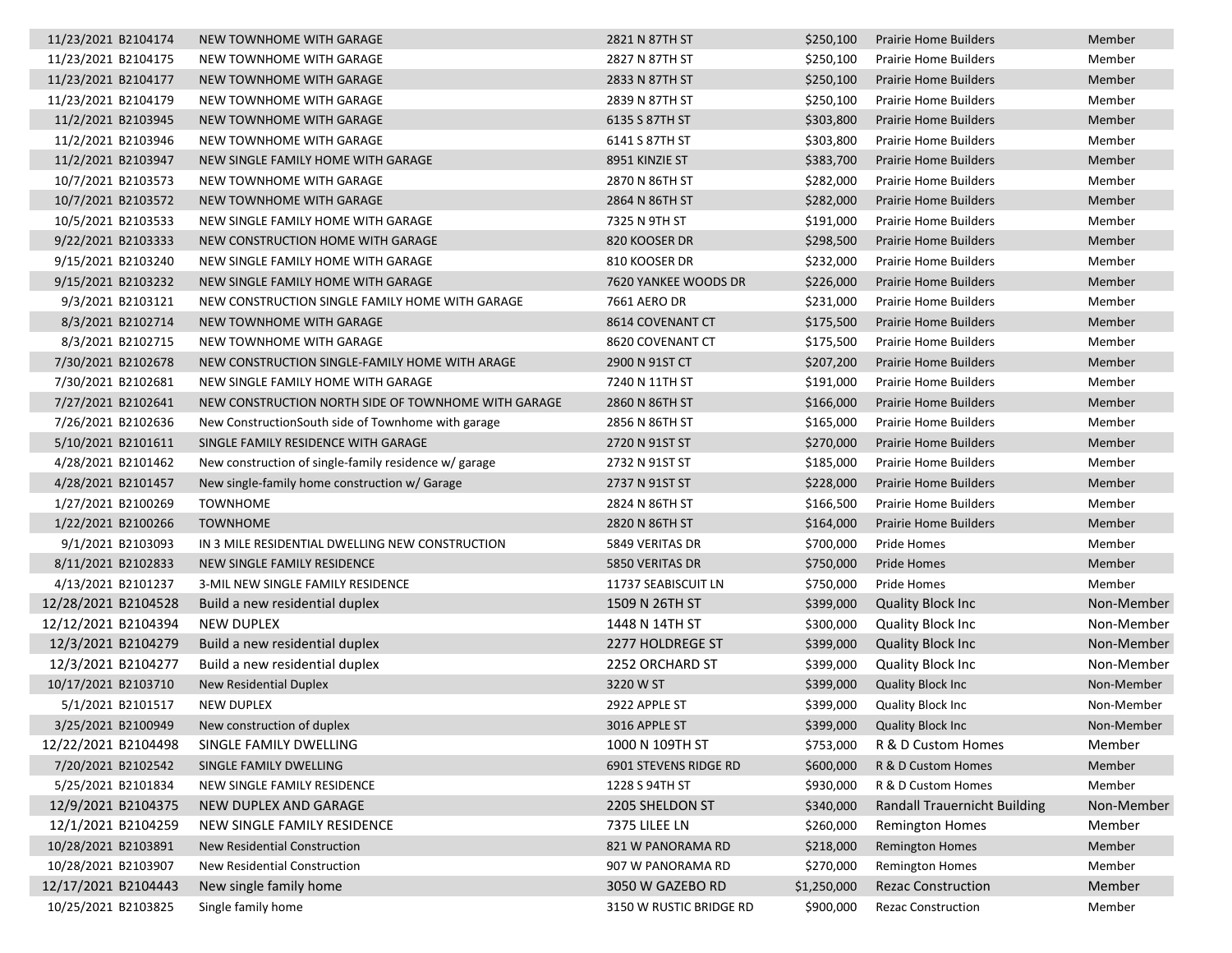| 11/23/2021 B2104174 | NEW TOWNHOME WITH GARAGE                              | 2821 N 87TH ST          | \$250,100   | <b>Prairie Home Builders</b>        | Member     |
|---------------------|-------------------------------------------------------|-------------------------|-------------|-------------------------------------|------------|
| 11/23/2021 B2104175 | NEW TOWNHOME WITH GARAGE                              | 2827 N 87TH ST          | \$250,100   | <b>Prairie Home Builders</b>        | Member     |
| 11/23/2021 B2104177 | NEW TOWNHOME WITH GARAGE                              | 2833 N 87TH ST          | \$250,100   | <b>Prairie Home Builders</b>        | Member     |
| 11/23/2021 B2104179 | NEW TOWNHOME WITH GARAGE                              | 2839 N 87TH ST          | \$250,100   | <b>Prairie Home Builders</b>        | Member     |
| 11/2/2021 B2103945  | NEW TOWNHOME WITH GARAGE                              | 6135 S 87TH ST          | \$303,800   | <b>Prairie Home Builders</b>        | Member     |
| 11/2/2021 B2103946  | NEW TOWNHOME WITH GARAGE                              | 6141 S 87TH ST          | \$303,800   | <b>Prairie Home Builders</b>        | Member     |
| 11/2/2021 B2103947  | NEW SINGLE FAMILY HOME WITH GARAGE                    | 8951 KINZIE ST          | \$383,700   | <b>Prairie Home Builders</b>        | Member     |
| 10/7/2021 B2103573  | NEW TOWNHOME WITH GARAGE                              | 2870 N 86TH ST          | \$282,000   | Prairie Home Builders               | Member     |
| 10/7/2021 B2103572  | NEW TOWNHOME WITH GARAGE                              | 2864 N 86TH ST          | \$282,000   | <b>Prairie Home Builders</b>        | Member     |
| 10/5/2021 B2103533  | NEW SINGLE FAMILY HOME WITH GARAGE                    | 7325 N 9TH ST           | \$191,000   | <b>Prairie Home Builders</b>        | Member     |
| 9/22/2021 B2103333  | NEW CONSTRUCTION HOME WITH GARAGE                     | 820 KOOSER DR           | \$298,500   | <b>Prairie Home Builders</b>        | Member     |
| 9/15/2021 B2103240  | NEW SINGLE FAMILY HOME WITH GARAGE                    | 810 KOOSER DR           | \$232,000   | <b>Prairie Home Builders</b>        | Member     |
| 9/15/2021 B2103232  | NEW SINGLE FAMILY HOME WITH GARAGE                    | 7620 YANKEE WOODS DR    | \$226,000   | <b>Prairie Home Builders</b>        | Member     |
| 9/3/2021 B2103121   | NEW CONSTRUCTION SINGLE FAMILY HOME WITH GARAGE       | 7661 AERO DR            | \$231,000   | <b>Prairie Home Builders</b>        | Member     |
| 8/3/2021 B2102714   | NEW TOWNHOME WITH GARAGE                              | 8614 COVENANT CT        | \$175,500   | <b>Prairie Home Builders</b>        | Member     |
| 8/3/2021 B2102715   | NEW TOWNHOME WITH GARAGE                              | 8620 COVENANT CT        | \$175,500   | <b>Prairie Home Builders</b>        | Member     |
| 7/30/2021 B2102678  | NEW CONSTRUCTION SINGLE-FAMILY HOME WITH ARAGE        | 2900 N 91ST CT          | \$207,200   | <b>Prairie Home Builders</b>        | Member     |
| 7/30/2021 B2102681  | NEW SINGLE FAMILY HOME WITH GARAGE                    | 7240 N 11TH ST          | \$191,000   | <b>Prairie Home Builders</b>        | Member     |
| 7/27/2021 B2102641  | NEW CONSTRUCTION NORTH SIDE OF TOWNHOME WITH GARAGE   | 2860 N 86TH ST          | \$166,000   | <b>Prairie Home Builders</b>        | Member     |
| 7/26/2021 B2102636  | New Construction South side of Townhome with garage   | 2856 N 86TH ST          | \$165,000   | Prairie Home Builders               | Member     |
| 5/10/2021 B2101611  | SINGLE FAMILY RESIDENCE WITH GARAGE                   | 2720 N 91ST ST          | \$270,000   | <b>Prairie Home Builders</b>        | Member     |
| 4/28/2021 B2101462  | New construction of single-family residence w/ garage | 2732 N 91ST ST          | \$185,000   | <b>Prairie Home Builders</b>        | Member     |
| 4/28/2021 B2101457  | New single-family home construction w/ Garage         | 2737 N 91ST ST          | \$228,000   | <b>Prairie Home Builders</b>        | Member     |
| 1/27/2021 B2100269  | <b>TOWNHOME</b>                                       | 2824 N 86TH ST          | \$166,500   | <b>Prairie Home Builders</b>        | Member     |
| 1/22/2021 B2100266  | <b>TOWNHOME</b>                                       | 2820 N 86TH ST          | \$164,000   | <b>Prairie Home Builders</b>        | Member     |
| 9/1/2021 B2103093   | IN 3 MILE RESIDENTIAL DWELLING NEW CONSTRUCTION       | 5849 VERITAS DR         | \$700,000   | Pride Homes                         | Member     |
| 8/11/2021 B2102833  | NEW SINGLE FAMILY RESIDENCE                           | 5850 VERITAS DR         | \$750,000   | Pride Homes                         | Member     |
| 4/13/2021 B2101237  | 3-MIL NEW SINGLE FAMILY RESIDENCE                     | 11737 SEABISCUIT LN     | \$750,000   | Pride Homes                         | Member     |
| 12/28/2021 B2104528 | Build a new residential duplex                        | 1509 N 26TH ST          | \$399,000   | <b>Quality Block Inc</b>            | Non-Member |
| 12/12/2021 B2104394 | NEW DUPLEX                                            | 1448 N 14TH ST          | \$300,000   | <b>Quality Block Inc.</b>           | Non-Member |
| 12/3/2021 B2104279  | Build a new residential duplex                        | 2277 HOLDREGE ST        | \$399,000   | <b>Quality Block Inc.</b>           | Non-Member |
| 12/3/2021 B2104277  | Build a new residential duplex                        | 2252 ORCHARD ST         | \$399,000   | <b>Quality Block Inc</b>            | Non-Member |
| 10/17/2021 B2103710 | New Residential Duplex                                | 3220 W ST               | \$399,000   | <b>Quality Block Inc</b>            | Non-Member |
| 5/1/2021 B2101517   | <b>NEW DUPLEX</b>                                     | 2922 APPLE ST           | \$399,000   | <b>Quality Block Inc</b>            | Non-Member |
| 3/25/2021 B2100949  | New construction of duplex                            | 3016 APPLE ST           | \$399,000   | <b>Quality Block Inc</b>            | Non-Member |
| 12/22/2021 B2104498 | SINGLE FAMILY DWELLING                                | 1000 N 109TH ST         | \$753,000   | R & D Custom Homes                  | Member     |
| 7/20/2021 B2102542  | SINGLE FAMILY DWELLING                                | 6901 STEVENS RIDGE RD   | \$600,000   | R & D Custom Homes                  | Member     |
| 5/25/2021 B2101834  | NEW SINGLE FAMILY RESIDENCE                           | 1228 S 94TH ST          | \$930,000   | R & D Custom Homes                  | Member     |
| 12/9/2021 B2104375  | NEW DUPLEX AND GARAGE                                 | 2205 SHELDON ST         | \$340,000   | <b>Randall Trauernicht Building</b> | Non-Member |
| 12/1/2021 B2104259  | NEW SINGLE FAMILY RESIDENCE                           | 7375 LILEE LN           | \$260,000   | <b>Remington Homes</b>              | Member     |
| 10/28/2021 B2103891 | <b>New Residential Construction</b>                   | 821 W PANORAMA RD       | \$218,000   | <b>Remington Homes</b>              | Member     |
| 10/28/2021 B2103907 | New Residential Construction                          | 907 W PANORAMA RD       | \$270,000   | <b>Remington Homes</b>              | Member     |
| 12/17/2021 B2104443 | New single family home                                | 3050 W GAZEBO RD        | \$1,250,000 | <b>Rezac Construction</b>           | Member     |
| 10/25/2021 B2103825 | Single family home                                    | 3150 W RUSTIC BRIDGE RD | \$900,000   | <b>Rezac Construction</b>           | Member     |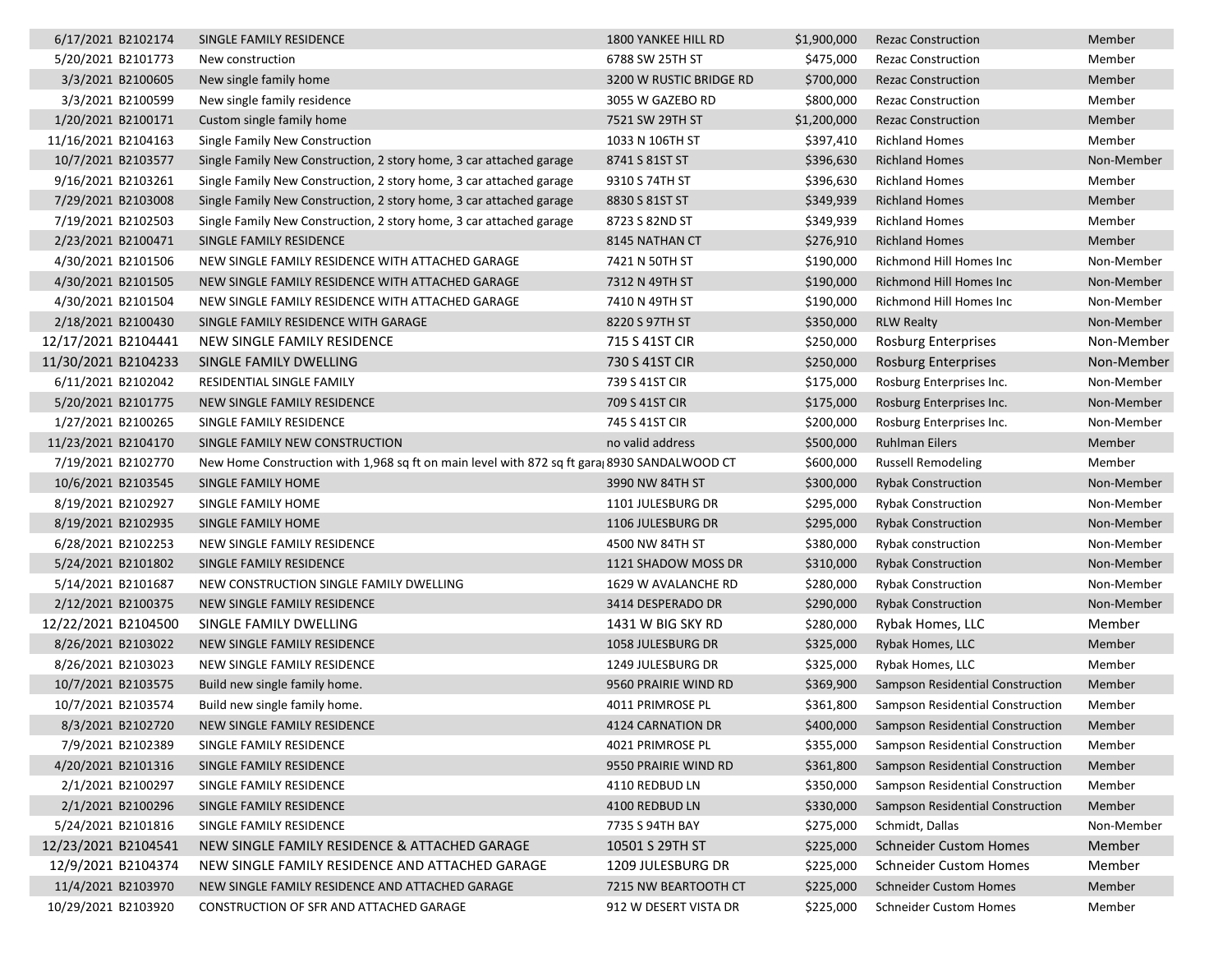| 6/17/2021 B2102174  | SINGLE FAMILY RESIDENCE                                                                     | 1800 YANKEE HILL RD     | \$1,900,000 | <b>Rezac Construction</b>                  | Member     |
|---------------------|---------------------------------------------------------------------------------------------|-------------------------|-------------|--------------------------------------------|------------|
| 5/20/2021 B2101773  | New construction                                                                            | 6788 SW 25TH ST         | \$475,000   | <b>Rezac Construction</b>                  | Member     |
| 3/3/2021 B2100605   | New single family home                                                                      | 3200 W RUSTIC BRIDGE RD | \$700,000   | <b>Rezac Construction</b>                  | Member     |
| 3/3/2021 B2100599   | New single family residence                                                                 | 3055 W GAZEBO RD        | \$800,000   | <b>Rezac Construction</b>                  | Member     |
| 1/20/2021 B2100171  | Custom single family home                                                                   | 7521 SW 29TH ST         | \$1,200,000 | <b>Rezac Construction</b>                  | Member     |
| 11/16/2021 B2104163 | Single Family New Construction                                                              | 1033 N 106TH ST         | \$397,410   | <b>Richland Homes</b>                      | Member     |
| 10/7/2021 B2103577  | Single Family New Construction, 2 story home, 3 car attached garage                         | 8741 S 81ST ST          | \$396,630   | <b>Richland Homes</b>                      | Non-Member |
| 9/16/2021 B2103261  | Single Family New Construction, 2 story home, 3 car attached garage                         | 9310 S 74TH ST          | \$396,630   | <b>Richland Homes</b>                      | Member     |
| 7/29/2021 B2103008  | Single Family New Construction, 2 story home, 3 car attached garage                         | 8830 S 81ST ST          | \$349,939   | <b>Richland Homes</b>                      | Member     |
| 7/19/2021 B2102503  | Single Family New Construction, 2 story home, 3 car attached garage                         | 8723 S 82ND ST          | \$349,939   | <b>Richland Homes</b>                      | Member     |
| 2/23/2021 B2100471  | SINGLE FAMILY RESIDENCE                                                                     | 8145 NATHAN CT          | \$276,910   | <b>Richland Homes</b>                      | Member     |
| 4/30/2021 B2101506  | NEW SINGLE FAMILY RESIDENCE WITH ATTACHED GARAGE                                            | 7421 N 50TH ST          | \$190,000   | Richmond Hill Homes Inc                    | Non-Member |
| 4/30/2021 B2101505  | NEW SINGLE FAMILY RESIDENCE WITH ATTACHED GARAGE                                            | 7312 N 49TH ST          | \$190,000   | Richmond Hill Homes Inc                    | Non-Member |
| 4/30/2021 B2101504  | NEW SINGLE FAMILY RESIDENCE WITH ATTACHED GARAGE                                            | 7410 N 49TH ST          | \$190,000   | Richmond Hill Homes Inc                    | Non-Member |
| 2/18/2021 B2100430  | SINGLE FAMILY RESIDENCE WITH GARAGE                                                         | 8220 S 97TH ST          | \$350,000   | <b>RLW Realty</b>                          | Non-Member |
| 12/17/2021 B2104441 | NEW SINGLE FAMILY RESIDENCE                                                                 | 715 S 41ST CIR          | \$250,000   | <b>Rosburg Enterprises</b>                 | Non-Member |
| 11/30/2021 B2104233 | SINGLE FAMILY DWELLING                                                                      | 730 S 41ST CIR          | \$250,000   | <b>Rosburg Enterprises</b>                 | Non-Member |
| 6/11/2021 B2102042  | RESIDENTIAL SINGLE FAMILY                                                                   | 739 S 41ST CIR          | \$175,000   | Rosburg Enterprises Inc.                   | Non-Member |
| 5/20/2021 B2101775  | NEW SINGLE FAMILY RESIDENCE                                                                 | 709 S 41ST CIR          | \$175,000   | Rosburg Enterprises Inc.                   | Non-Member |
| 1/27/2021 B2100265  | SINGLE FAMILY RESIDENCE                                                                     | 745 S 41ST CIR          | \$200,000   | Rosburg Enterprises Inc.                   | Non-Member |
| 11/23/2021 B2104170 | SINGLE FAMILY NEW CONSTRUCTION                                                              | no valid address        | \$500,000   | <b>Ruhlman Eilers</b>                      | Member     |
| 7/19/2021 B2102770  | New Home Construction with 1,968 sq ft on main level with 872 sq ft gara 8930 SANDALWOOD CT |                         | \$600,000   | Russell Remodeling                         | Member     |
| 10/6/2021 B2103545  | SINGLE FAMILY HOME                                                                          | 3990 NW 84TH ST         | \$300,000   | <b>Rybak Construction</b>                  | Non-Member |
| 8/19/2021 B2102927  | SINGLE FAMILY HOME                                                                          | 1101 JULESBURG DR       | \$295,000   | <b>Rybak Construction</b>                  | Non-Member |
| 8/19/2021 B2102935  | SINGLE FAMILY HOME                                                                          | 1106 JULESBURG DR       | \$295,000   | <b>Rybak Construction</b>                  | Non-Member |
| 6/28/2021 B2102253  | NEW SINGLE FAMILY RESIDENCE                                                                 | 4500 NW 84TH ST         | \$380,000   | Rybak construction                         | Non-Member |
| 5/24/2021 B2101802  | SINGLE FAMILY RESIDENCE                                                                     | 1121 SHADOW MOSS DR     | \$310,000   | <b>Rybak Construction</b>                  | Non-Member |
| 5/14/2021 B2101687  | NEW CONSTRUCTION SINGLE FAMILY DWELLING                                                     | 1629 W AVALANCHE RD     | \$280,000   | <b>Rybak Construction</b>                  | Non-Member |
| 2/12/2021 B2100375  | NEW SINGLE FAMILY RESIDENCE                                                                 | 3414 DESPERADO DR       | \$290,000   | <b>Rybak Construction</b>                  | Non-Member |
| 12/22/2021 B2104500 | SINGLE FAMILY DWELLING                                                                      | 1431 W BIG SKY RD       | \$280,000   | Rybak Homes, LLC                           | Member     |
| 8/26/2021 B2103022  | NEW SINGLE FAMILY RESIDENCE                                                                 | 1058 JULESBURG DR       | \$325,000   | Rybak Homes, LLC                           | Member     |
| 8/26/2021 B2103023  | NEW SINGLE FAMILY RESIDENCE                                                                 | 1249 JULESBURG DR       | \$325,000   | Rybak Homes, LLC                           | Member     |
| 10/7/2021 B2103575  | Build new single family home.                                                               | 9560 PRAIRIE WIND RD    | \$369,900   | Sampson Residential Construction           | Member     |
| 10/7/2021 B2103574  | Build new single family home.                                                               | 4011 PRIMROSE PL        | \$361,800   | Sampson Residential Construction           | Member     |
| 8/3/2021 B2102720   | NEW SINGLE FAMILY RESIDENCE                                                                 | 4124 CARNATION DR       |             | \$400,000 Sampson Residential Construction | Member     |
| 7/9/2021 B2102389   | SINGLE FAMILY RESIDENCE                                                                     | 4021 PRIMROSE PL        |             | \$355,000 Sampson Residential Construction | Member     |
| 4/20/2021 B2101316  | SINGLE FAMILY RESIDENCE                                                                     | 9550 PRAIRIE WIND RD    | \$361,800   | Sampson Residential Construction           | Member     |
| 2/1/2021 B2100297   | SINGLE FAMILY RESIDENCE                                                                     | 4110 REDBUD LN          | \$350,000   | <b>Sampson Residential Construction</b>    | Member     |
| 2/1/2021 B2100296   | SINGLE FAMILY RESIDENCE                                                                     | 4100 REDBUD LN          | \$330,000   | Sampson Residential Construction           | Member     |
| 5/24/2021 B2101816  | SINGLE FAMILY RESIDENCE                                                                     | 7735 S 94TH BAY         | \$275,000   | Schmidt, Dallas                            | Non-Member |
| 12/23/2021 B2104541 | NEW SINGLE FAMILY RESIDENCE & ATTACHED GARAGE                                               | 10501 S 29TH ST         | \$225,000   | <b>Schneider Custom Homes</b>              | Member     |
| 12/9/2021 B2104374  | NEW SINGLE FAMILY RESIDENCE AND ATTACHED GARAGE                                             | 1209 JULESBURG DR       | \$225,000   | <b>Schneider Custom Homes</b>              | Member     |
| 11/4/2021 B2103970  | NEW SINGLE FAMILY RESIDENCE AND ATTACHED GARAGE                                             | 7215 NW BEARTOOTH CT    | \$225,000   | <b>Schneider Custom Homes</b>              | Member     |
| 10/29/2021 B2103920 | CONSTRUCTION OF SFR AND ATTACHED GARAGE                                                     | 912 W DESERT VISTA DR   | \$225,000   | <b>Schneider Custom Homes</b>              | Member     |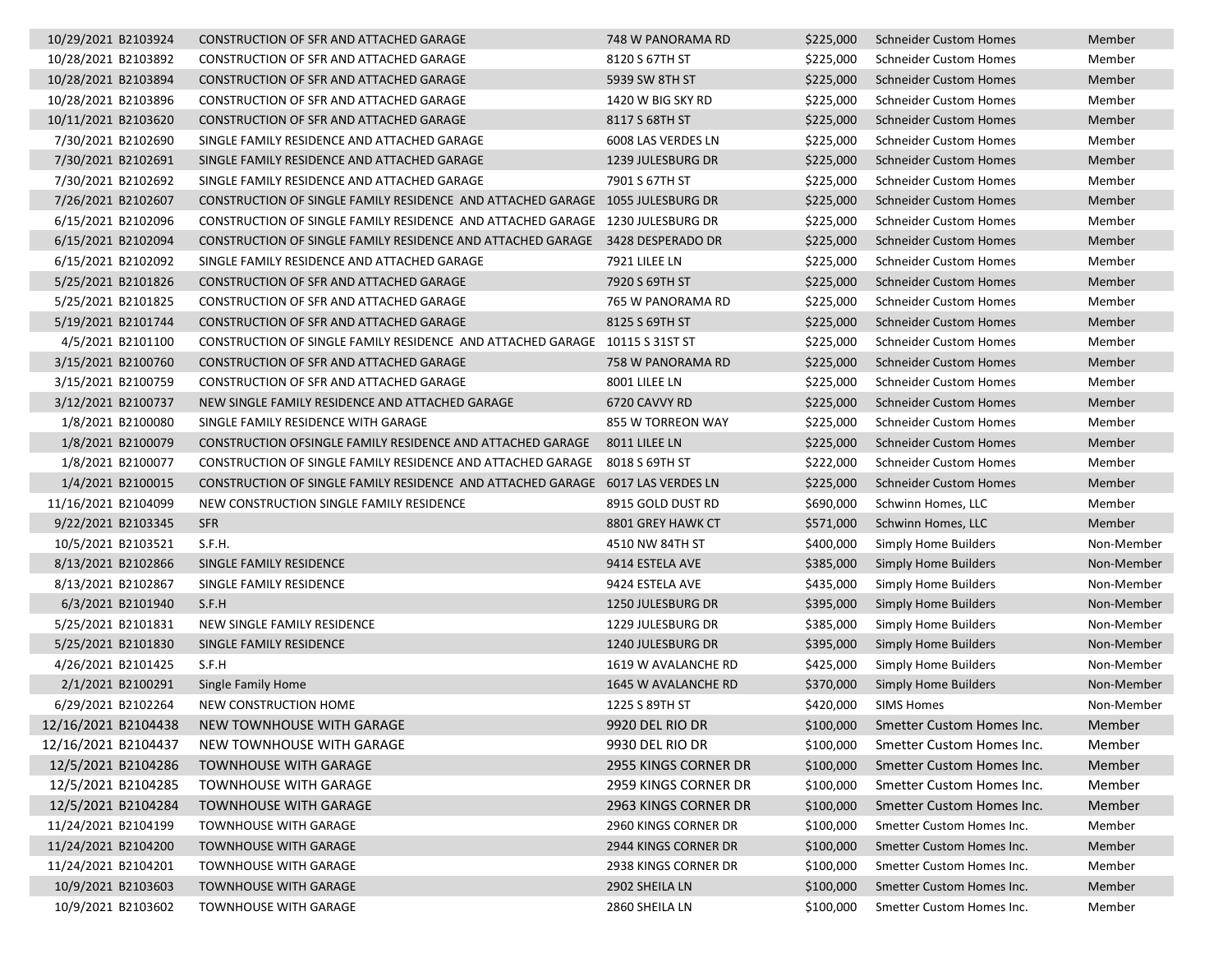| 10/29/2021 B2103924 | CONSTRUCTION OF SFR AND ATTACHED GARAGE                                        | 748 W PANORAMA RD        | \$225,000 | Schneider Custom Homes              | Member     |
|---------------------|--------------------------------------------------------------------------------|--------------------------|-----------|-------------------------------------|------------|
| 10/28/2021 B2103892 | <b>CONSTRUCTION OF SFR AND ATTACHED GARAGE</b>                                 | 8120 S 67TH ST           | \$225,000 | Schneider Custom Homes              | Member     |
| 10/28/2021 B2103894 | CONSTRUCTION OF SFR AND ATTACHED GARAGE                                        | 5939 SW 8TH ST           | \$225,000 | <b>Schneider Custom Homes</b>       | Member     |
| 10/28/2021 B2103896 | CONSTRUCTION OF SFR AND ATTACHED GARAGE                                        | 1420 W BIG SKY RD        | \$225,000 | <b>Schneider Custom Homes</b>       | Member     |
| 10/11/2021 B2103620 | CONSTRUCTION OF SFR AND ATTACHED GARAGE                                        | 8117 S 68TH ST           | \$225,000 | <b>Schneider Custom Homes</b>       | Member     |
| 7/30/2021 B2102690  | SINGLE FAMILY RESIDENCE AND ATTACHED GARAGE                                    | 6008 LAS VERDES LN       | \$225,000 | <b>Schneider Custom Homes</b>       | Member     |
| 7/30/2021 B2102691  | SINGLE FAMILY RESIDENCE AND ATTACHED GARAGE                                    | 1239 JULESBURG DR        | \$225,000 | <b>Schneider Custom Homes</b>       | Member     |
| 7/30/2021 B2102692  | SINGLE FAMILY RESIDENCE AND ATTACHED GARAGE                                    | 7901 S 67TH ST           | \$225,000 | <b>Schneider Custom Homes</b>       | Member     |
| 7/26/2021 B2102607  | CONSTRUCTION OF SINGLE FAMILY RESIDENCE AND ATTACHED GARAGE 1055 JULESBURG DR  |                          | \$225,000 | <b>Schneider Custom Homes</b>       | Member     |
| 6/15/2021 B2102096  | CONSTRUCTION OF SINGLE FAMILY RESIDENCE AND ATTACHED GARAGE 1230 JULESBURG DR  |                          | \$225,000 | <b>Schneider Custom Homes</b>       | Member     |
| 6/15/2021 B2102094  | CONSTRUCTION OF SINGLE FAMILY RESIDENCE AND ATTACHED GARAGE 3428 DESPERADO DR  |                          | \$225,000 | <b>Schneider Custom Homes</b>       | Member     |
| 6/15/2021 B2102092  | SINGLE FAMILY RESIDENCE AND ATTACHED GARAGE                                    | 7921 LILEE LN            | \$225,000 | <b>Schneider Custom Homes</b>       | Member     |
| 5/25/2021 B2101826  | CONSTRUCTION OF SFR AND ATTACHED GARAGE                                        | 7920 S 69TH ST           | \$225,000 | <b>Schneider Custom Homes</b>       | Member     |
| 5/25/2021 B2101825  | CONSTRUCTION OF SFR AND ATTACHED GARAGE                                        | 765 W PANORAMA RD        | \$225,000 | Schneider Custom Homes              | Member     |
| 5/19/2021 B2101744  | CONSTRUCTION OF SFR AND ATTACHED GARAGE                                        | 8125 S 69TH ST           | \$225,000 | <b>Schneider Custom Homes</b>       | Member     |
| 4/5/2021 B2101100   | CONSTRUCTION OF SINGLE FAMILY RESIDENCE AND ATTACHED GARAGE 10115 S31ST ST     |                          | \$225,000 | <b>Schneider Custom Homes</b>       | Member     |
| 3/15/2021 B2100760  | CONSTRUCTION OF SFR AND ATTACHED GARAGE                                        | 758 W PANORAMA RD        | \$225,000 | <b>Schneider Custom Homes</b>       | Member     |
| 3/15/2021 B2100759  | CONSTRUCTION OF SFR AND ATTACHED GARAGE                                        | 8001 LILEE LN            | \$225,000 | <b>Schneider Custom Homes</b>       | Member     |
| 3/12/2021 B2100737  | NEW SINGLE FAMILY RESIDENCE AND ATTACHED GARAGE                                | 6720 CAVVY RD            | \$225,000 | <b>Schneider Custom Homes</b>       | Member     |
| 1/8/2021 B2100080   | SINGLE FAMILY RESIDENCE WITH GARAGE                                            | 855 W TORREON WAY        | \$225,000 | Schneider Custom Homes              | Member     |
| 1/8/2021 B2100079   | CONSTRUCTION OFSINGLE FAMILY RESIDENCE AND ATTACHED GARAGE                     | 8011 LILEE LN            | \$225,000 | <b>Schneider Custom Homes</b>       | Member     |
| 1/8/2021 B2100077   | CONSTRUCTION OF SINGLE FAMILY RESIDENCE AND ATTACHED GARAGE 8018 S 69TH ST     |                          | \$222,000 | <b>Schneider Custom Homes</b>       | Member     |
| 1/4/2021 B2100015   | CONSTRUCTION OF SINGLE FAMILY RESIDENCE AND ATTACHED GARAGE 6017 LAS VERDES LN |                          | \$225,000 | <b>Schneider Custom Homes</b>       | Member     |
| 11/16/2021 B2104099 | NEW CONSTRUCTION SINGLE FAMILY RESIDENCE                                       | 8915 GOLD DUST RD        | \$690,000 | Schwinn Homes, LLC                  | Member     |
| 9/22/2021 B2103345  | <b>SFR</b>                                                                     | 8801 GREY HAWK CT        | \$571,000 | Schwinn Homes, LLC                  | Member     |
| 10/5/2021 B2103521  | S.F.H.                                                                         | 4510 NW 84TH ST          | \$400,000 | Simply Home Builders                | Non-Member |
| 8/13/2021 B2102866  | SINGLE FAMILY RESIDENCE                                                        | 9414 ESTELA AVE          | \$385,000 | Simply Home Builders                | Non-Member |
| 8/13/2021 B2102867  | SINGLE FAMILY RESIDENCE                                                        | 9424 ESTELA AVE          | \$435,000 | Simply Home Builders                | Non-Member |
| 6/3/2021 B2101940   | S.F.H                                                                          | <b>1250 JULESBURG DR</b> | \$395,000 | Simply Home Builders                | Non-Member |
| 5/25/2021 B2101831  | NEW SINGLE FAMILY RESIDENCE                                                    | 1229 JULESBURG DR        | \$385,000 | Simply Home Builders                | Non-Member |
| 5/25/2021 B2101830  | SINGLE FAMILY RESIDENCE                                                        | 1240 JULESBURG DR        | \$395,000 | <b>Simply Home Builders</b>         | Non-Member |
| 4/26/2021 B2101425  | S.F.H                                                                          | 1619 W AVALANCHE RD      | \$425,000 | Simply Home Builders                | Non-Member |
| 2/1/2021 B2100291   | Single Family Home                                                             | 1645 W AVALANCHE RD      | \$370,000 | Simply Home Builders                | Non-Member |
| 6/29/2021 B2102264  | NEW CONSTRUCTION HOME                                                          | 1225 S 89TH ST           | \$420,000 | <b>SIMS Homes</b>                   | Non-Member |
| 12/16/2021 B2104438 | NEW TOWNHOUSE WITH GARAGE                                                      | 9920 DEL RIO DR          |           | \$100,000 Smetter Custom Homes Inc. | Member     |
| 12/16/2021 B2104437 | NEW TOWNHOUSE WITH GARAGE                                                      | 9930 DEL RIO DR          | \$100,000 | Smetter Custom Homes Inc.           | Member     |
| 12/5/2021 B2104286  | <b>TOWNHOUSE WITH GARAGE</b>                                                   | 2955 KINGS CORNER DR     | \$100,000 | Smetter Custom Homes Inc.           | Member     |
| 12/5/2021 B2104285  | <b>TOWNHOUSE WITH GARAGE</b>                                                   | 2959 KINGS CORNER DR     | \$100,000 | Smetter Custom Homes Inc.           | Member     |
| 12/5/2021 B2104284  | <b>TOWNHOUSE WITH GARAGE</b>                                                   | 2963 KINGS CORNER DR     | \$100,000 | Smetter Custom Homes Inc.           | Member     |
| 11/24/2021 B2104199 | <b>TOWNHOUSE WITH GARAGE</b>                                                   | 2960 KINGS CORNER DR     | \$100,000 | Smetter Custom Homes Inc.           | Member     |
| 11/24/2021 B2104200 | TOWNHOUSE WITH GARAGE                                                          | 2944 KINGS CORNER DR     | \$100,000 | Smetter Custom Homes Inc.           | Member     |
| 11/24/2021 B2104201 | TOWNHOUSE WITH GARAGE                                                          | 2938 KINGS CORNER DR     | \$100,000 | Smetter Custom Homes Inc.           | Member     |
| 10/9/2021 B2103603  | <b>TOWNHOUSE WITH GARAGE</b>                                                   | 2902 SHEILA LN           | \$100,000 | Smetter Custom Homes Inc.           | Member     |
| 10/9/2021 B2103602  | <b>TOWNHOUSE WITH GARAGE</b>                                                   | 2860 SHEILA LN           | \$100,000 | Smetter Custom Homes Inc.           | Member     |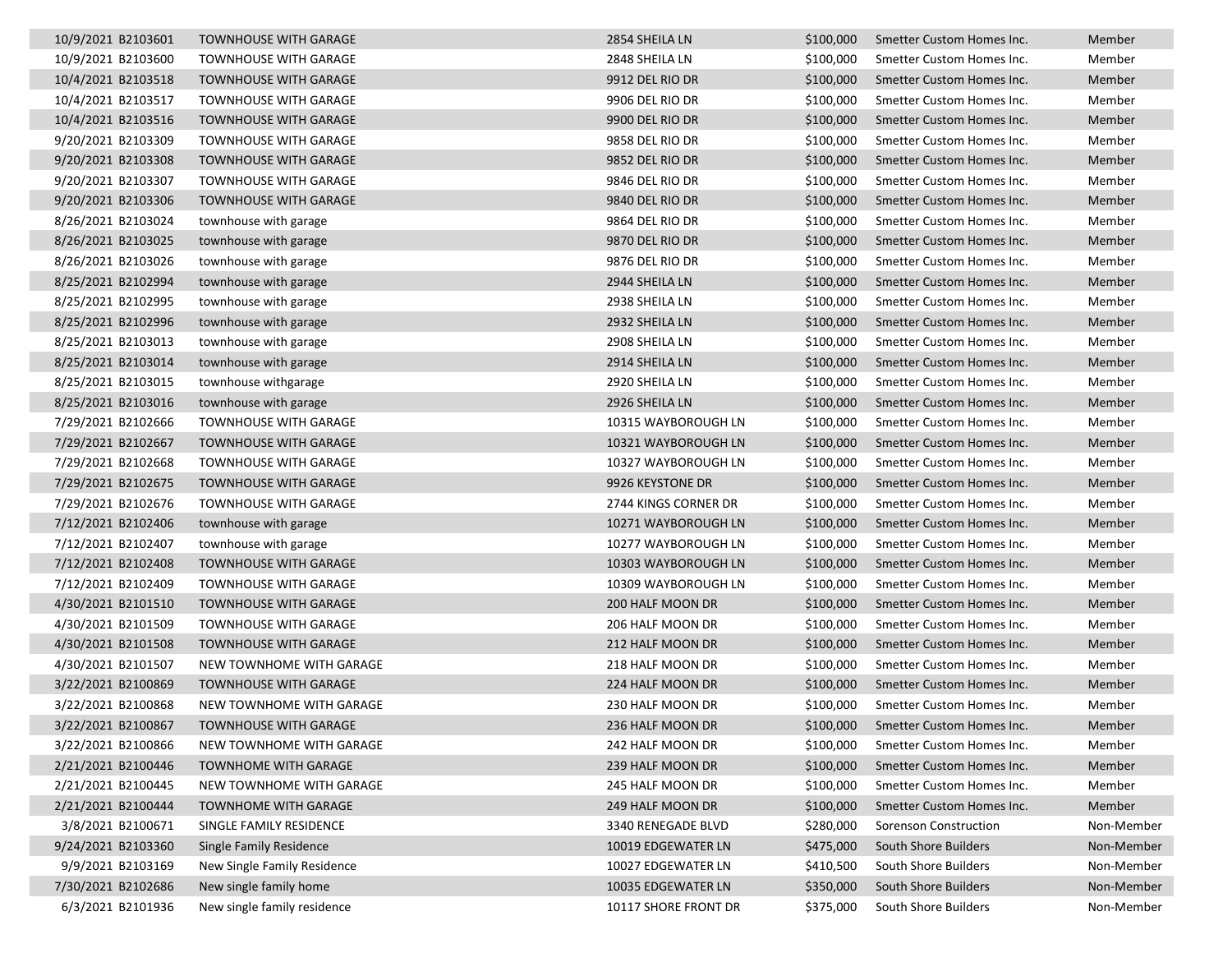| 10/9/2021 B2103601 | <b>TOWNHOUSE WITH GARAGE</b> | 2854 SHEILA LN       | \$100,000 | Smetter Custom Homes Inc. | Member     |
|--------------------|------------------------------|----------------------|-----------|---------------------------|------------|
| 10/9/2021 B2103600 | <b>TOWNHOUSE WITH GARAGE</b> | 2848 SHEILA LN       | \$100,000 | Smetter Custom Homes Inc. | Member     |
| 10/4/2021 B2103518 | <b>TOWNHOUSE WITH GARAGE</b> | 9912 DEL RIO DR      | \$100,000 | Smetter Custom Homes Inc. | Member     |
| 10/4/2021 B2103517 | <b>TOWNHOUSE WITH GARAGE</b> | 9906 DEL RIO DR      | \$100,000 | Smetter Custom Homes Inc. | Member     |
| 10/4/2021 B2103516 | <b>TOWNHOUSE WITH GARAGE</b> | 9900 DEL RIO DR      | \$100,000 | Smetter Custom Homes Inc. | Member     |
| 9/20/2021 B2103309 | <b>TOWNHOUSE WITH GARAGE</b> | 9858 DEL RIO DR      | \$100,000 | Smetter Custom Homes Inc. | Member     |
| 9/20/2021 B2103308 | <b>TOWNHOUSE WITH GARAGE</b> | 9852 DEL RIO DR      | \$100,000 | Smetter Custom Homes Inc. | Member     |
| 9/20/2021 B2103307 | <b>TOWNHOUSE WITH GARAGE</b> | 9846 DEL RIO DR      | \$100,000 | Smetter Custom Homes Inc. | Member     |
| 9/20/2021 B2103306 | <b>TOWNHOUSE WITH GARAGE</b> | 9840 DEL RIO DR      | \$100,000 | Smetter Custom Homes Inc. | Member     |
| 8/26/2021 B2103024 | townhouse with garage        | 9864 DEL RIO DR      | \$100,000 | Smetter Custom Homes Inc. | Member     |
| 8/26/2021 B2103025 | townhouse with garage        | 9870 DEL RIO DR      | \$100,000 | Smetter Custom Homes Inc. | Member     |
| 8/26/2021 B2103026 | townhouse with garage        | 9876 DEL RIO DR      | \$100,000 | Smetter Custom Homes Inc. | Member     |
| 8/25/2021 B2102994 | townhouse with garage        | 2944 SHEILA LN       | \$100,000 | Smetter Custom Homes Inc. | Member     |
| 8/25/2021 B2102995 | townhouse with garage        | 2938 SHEILA LN       | \$100,000 | Smetter Custom Homes Inc. | Member     |
| 8/25/2021 B2102996 | townhouse with garage        | 2932 SHEILA LN       | \$100,000 | Smetter Custom Homes Inc. | Member     |
| 8/25/2021 B2103013 | townhouse with garage        | 2908 SHEILA LN       | \$100,000 | Smetter Custom Homes Inc. | Member     |
| 8/25/2021 B2103014 | townhouse with garage        | 2914 SHEILA LN       | \$100,000 | Smetter Custom Homes Inc. | Member     |
| 8/25/2021 B2103015 | townhouse withgarage         | 2920 SHEILA LN       | \$100,000 | Smetter Custom Homes Inc. | Member     |
| 8/25/2021 B2103016 | townhouse with garage        | 2926 SHEILA LN       | \$100,000 | Smetter Custom Homes Inc. | Member     |
| 7/29/2021 B2102666 | <b>TOWNHOUSE WITH GARAGE</b> | 10315 WAYBOROUGH LN  | \$100,000 | Smetter Custom Homes Inc. | Member     |
| 7/29/2021 B2102667 | <b>TOWNHOUSE WITH GARAGE</b> | 10321 WAYBOROUGH LN  | \$100,000 | Smetter Custom Homes Inc. | Member     |
| 7/29/2021 B2102668 | <b>TOWNHOUSE WITH GARAGE</b> | 10327 WAYBOROUGH LN  | \$100,000 | Smetter Custom Homes Inc. | Member     |
| 7/29/2021 B2102675 | <b>TOWNHOUSE WITH GARAGE</b> | 9926 KEYSTONE DR     | \$100,000 | Smetter Custom Homes Inc. | Member     |
| 7/29/2021 B2102676 | <b>TOWNHOUSE WITH GARAGE</b> | 2744 KINGS CORNER DR | \$100,000 | Smetter Custom Homes Inc. | Member     |
| 7/12/2021 B2102406 | townhouse with garage        | 10271 WAYBOROUGH LN  | \$100,000 | Smetter Custom Homes Inc. | Member     |
| 7/12/2021 B2102407 | townhouse with garage        | 10277 WAYBOROUGH LN  | \$100,000 | Smetter Custom Homes Inc. | Member     |
| 7/12/2021 B2102408 | <b>TOWNHOUSE WITH GARAGE</b> | 10303 WAYBOROUGH LN  | \$100,000 | Smetter Custom Homes Inc. | Member     |
| 7/12/2021 B2102409 | <b>TOWNHOUSE WITH GARAGE</b> | 10309 WAYBOROUGH LN  | \$100,000 | Smetter Custom Homes Inc. | Member     |
| 4/30/2021 B2101510 | <b>TOWNHOUSE WITH GARAGE</b> | 200 HALF MOON DR     | \$100,000 | Smetter Custom Homes Inc. | Member     |
| 4/30/2021 B2101509 | <b>TOWNHOUSE WITH GARAGE</b> | 206 HALF MOON DR     | \$100,000 | Smetter Custom Homes Inc. | Member     |
| 4/30/2021 B2101508 | <b>TOWNHOUSE WITH GARAGE</b> | 212 HALF MOON DR     | \$100,000 | Smetter Custom Homes Inc. | Member     |
| 4/30/2021 B2101507 | NEW TOWNHOME WITH GARAGE     | 218 HALF MOON DR     | \$100,000 | Smetter Custom Homes Inc. | Member     |
| 3/22/2021 B2100869 | <b>TOWNHOUSE WITH GARAGE</b> | 224 HALF MOON DR     | \$100,000 | Smetter Custom Homes Inc. | Member     |
| 3/22/2021 B2100868 | NEW TOWNHOME WITH GARAGE     | 230 HALF MOON DR     | \$100,000 | Smetter Custom Homes Inc. | Member     |
| 3/22/2021 B2100867 | TOWNHOUSE WITH GARAGE        | 236 HALF MOON DR     | \$100,000 | Smetter Custom Homes Inc. | Member     |
| 3/22/2021 B2100866 | NEW TOWNHOME WITH GARAGE     | 242 HALF MOON DR     | \$100,000 | Smetter Custom Homes Inc. | Member     |
| 2/21/2021 B2100446 | <b>TOWNHOME WITH GARAGE</b>  | 239 HALF MOON DR     | \$100,000 | Smetter Custom Homes Inc. | Member     |
| 2/21/2021 B2100445 | NEW TOWNHOME WITH GARAGE     | 245 HALF MOON DR     | \$100,000 | Smetter Custom Homes Inc. | Member     |
| 2/21/2021 B2100444 | <b>TOWNHOME WITH GARAGE</b>  | 249 HALF MOON DR     | \$100,000 | Smetter Custom Homes Inc. | Member     |
| 3/8/2021 B2100671  | SINGLE FAMILY RESIDENCE      | 3340 RENEGADE BLVD   | \$280,000 | Sorenson Construction     | Non-Member |
| 9/24/2021 B2103360 | Single Family Residence      | 10019 EDGEWATER LN   | \$475,000 | South Shore Builders      | Non-Member |
| 9/9/2021 B2103169  | New Single Family Residence  | 10027 EDGEWATER LN   | \$410,500 | South Shore Builders      | Non-Member |
| 7/30/2021 B2102686 | New single family home       | 10035 EDGEWATER LN   | \$350,000 | South Shore Builders      | Non-Member |
| 6/3/2021 B2101936  | New single family residence  | 10117 SHORE FRONT DR | \$375,000 | South Shore Builders      | Non-Member |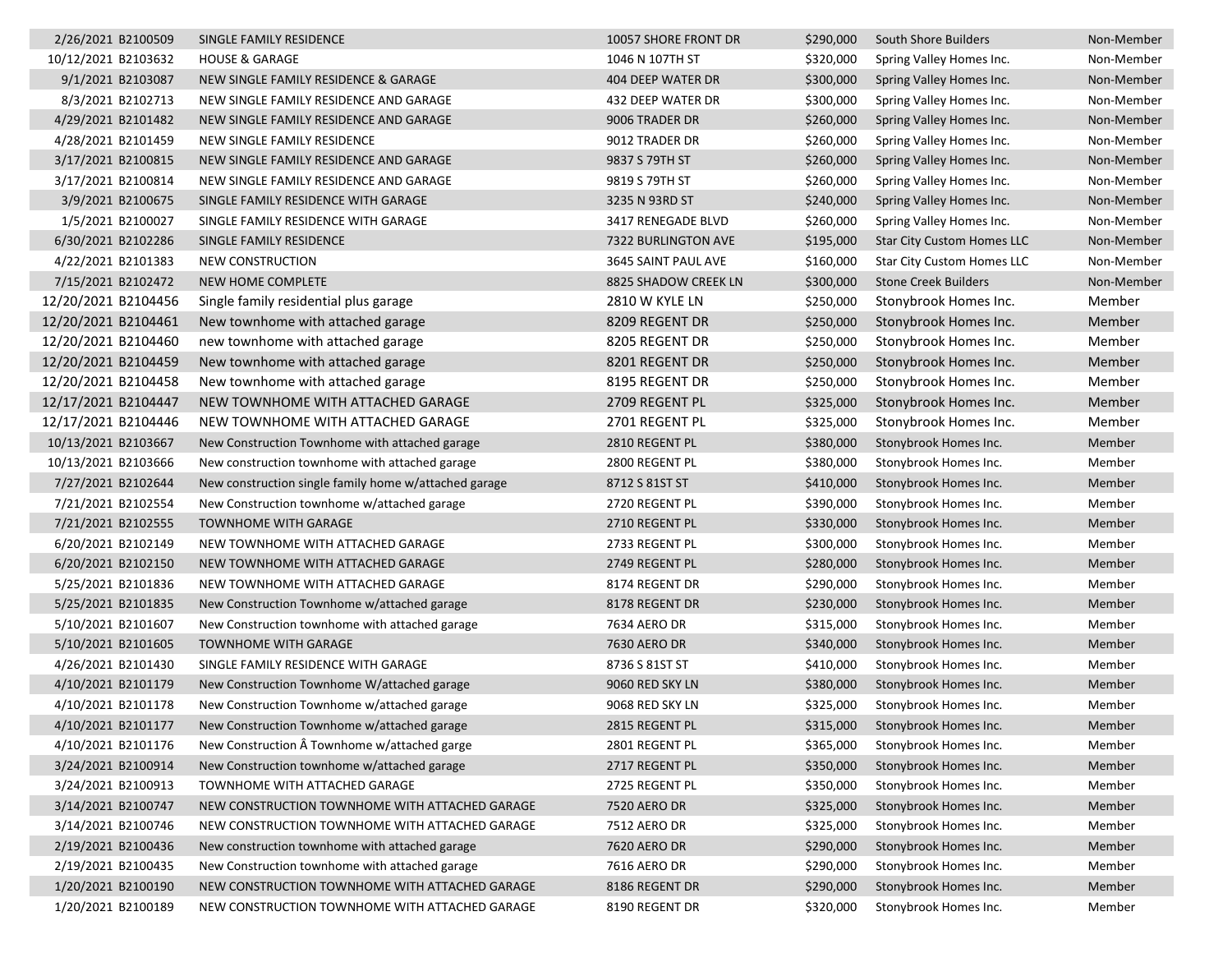| 2/26/2021 B2100509  | SINGLE FAMILY RESIDENCE                               | 10057 SHORE FRONT DR  | \$290,000 | South Shore Builders              | Non-Member |
|---------------------|-------------------------------------------------------|-----------------------|-----------|-----------------------------------|------------|
| 10/12/2021 B2103632 | <b>HOUSE &amp; GARAGE</b>                             | 1046 N 107TH ST       | \$320,000 | Spring Valley Homes Inc.          | Non-Member |
| 9/1/2021 B2103087   | NEW SINGLE FAMILY RESIDENCE & GARAGE                  | 404 DEEP WATER DR     | \$300,000 | Spring Valley Homes Inc.          | Non-Member |
| 8/3/2021 B2102713   | NEW SINGLE FAMILY RESIDENCE AND GARAGE                | 432 DEEP WATER DR     | \$300,000 | Spring Valley Homes Inc.          | Non-Member |
| 4/29/2021 B2101482  | NEW SINGLE FAMILY RESIDENCE AND GARAGE                | 9006 TRADER DR        | \$260,000 | Spring Valley Homes Inc.          | Non-Member |
| 4/28/2021 B2101459  | NEW SINGLE FAMILY RESIDENCE                           | 9012 TRADER DR        | \$260,000 | Spring Valley Homes Inc.          | Non-Member |
| 3/17/2021 B2100815  | NEW SINGLE FAMILY RESIDENCE AND GARAGE                | 9837 S 79TH ST        | \$260,000 | Spring Valley Homes Inc.          | Non-Member |
| 3/17/2021 B2100814  | NEW SINGLE FAMILY RESIDENCE AND GARAGE                | 9819 S 79TH ST        | \$260,000 | Spring Valley Homes Inc.          | Non-Member |
| 3/9/2021 B2100675   | SINGLE FAMILY RESIDENCE WITH GARAGE                   | 3235 N 93RD ST        | \$240,000 | Spring Valley Homes Inc.          | Non-Member |
| 1/5/2021 B2100027   | SINGLE FAMILY RESIDENCE WITH GARAGE                   | 3417 RENEGADE BLVD    | \$260,000 | Spring Valley Homes Inc.          | Non-Member |
| 6/30/2021 B2102286  | SINGLE FAMILY RESIDENCE                               | 7322 BURLINGTON AVE   | \$195,000 | <b>Star City Custom Homes LLC</b> | Non-Member |
| 4/22/2021 B2101383  | <b>NEW CONSTRUCTION</b>                               | 3645 SAINT PAUL AVE   | \$160,000 | <b>Star City Custom Homes LLC</b> | Non-Member |
| 7/15/2021 B2102472  | NEW HOME COMPLETE                                     | 8825 SHADOW CREEK LN  | \$300,000 | <b>Stone Creek Builders</b>       | Non-Member |
| 12/20/2021 B2104456 | Single family residential plus garage                 | <b>2810 W KYLE LN</b> | \$250,000 | Stonybrook Homes Inc.             | Member     |
| 12/20/2021 B2104461 | New townhome with attached garage                     | 8209 REGENT DR        | \$250,000 | Stonybrook Homes Inc.             | Member     |
| 12/20/2021 B2104460 | new townhome with attached garage                     | 8205 REGENT DR        | \$250,000 | Stonybrook Homes Inc.             | Member     |
| 12/20/2021 B2104459 | New townhome with attached garage                     | 8201 REGENT DR        | \$250,000 | Stonybrook Homes Inc.             | Member     |
| 12/20/2021 B2104458 | New townhome with attached garage                     | 8195 REGENT DR        | \$250,000 | Stonybrook Homes Inc.             | Member     |
| 12/17/2021 B2104447 | NEW TOWNHOME WITH ATTACHED GARAGE                     | 2709 REGENT PL        | \$325,000 | Stonybrook Homes Inc.             | Member     |
| 12/17/2021 B2104446 | NEW TOWNHOME WITH ATTACHED GARAGE                     | 2701 REGENT PL        | \$325,000 | Stonybrook Homes Inc.             | Member     |
| 10/13/2021 B2103667 | New Construction Townhome with attached garage        | 2810 REGENT PL        | \$380,000 | Stonybrook Homes Inc.             | Member     |
| 10/13/2021 B2103666 | New construction townhome with attached garage        | 2800 REGENT PL        | \$380,000 | Stonybrook Homes Inc.             | Member     |
| 7/27/2021 B2102644  | New construction single family home w/attached garage | 8712 S 81ST ST        | \$410,000 | Stonybrook Homes Inc.             | Member     |
| 7/21/2021 B2102554  | New Construction townhome w/attached garage           | 2720 REGENT PL        | \$390,000 | Stonybrook Homes Inc.             | Member     |
| 7/21/2021 B2102555  | <b>TOWNHOME WITH GARAGE</b>                           | 2710 REGENT PL        | \$330,000 | Stonybrook Homes Inc.             | Member     |
| 6/20/2021 B2102149  | NEW TOWNHOME WITH ATTACHED GARAGE                     | 2733 REGENT PL        | \$300,000 | Stonybrook Homes Inc.             | Member     |
| 6/20/2021 B2102150  | NEW TOWNHOME WITH ATTACHED GARAGE                     | 2749 REGENT PL        | \$280,000 | Stonybrook Homes Inc.             | Member     |
| 5/25/2021 B2101836  | NEW TOWNHOME WITH ATTACHED GARAGE                     | 8174 REGENT DR        | \$290,000 | Stonybrook Homes Inc.             | Member     |
| 5/25/2021 B2101835  | New Construction Townhome w/attached garage           | 8178 REGENT DR        | \$230,000 | Stonybrook Homes Inc.             | Member     |
| 5/10/2021 B2101607  | New Construction townhome with attached garage        | 7634 AERO DR          | \$315,000 | Stonybrook Homes Inc.             | Member     |
| 5/10/2021 B2101605  | TOWNHOME WITH GARAGE                                  | 7630 AERO DR          | \$340,000 | Stonybrook Homes Inc.             | Member     |
| 4/26/2021 B2101430  | SINGLE FAMILY RESIDENCE WITH GARAGE                   | 8736 S 81ST ST        | \$410,000 | Stonybrook Homes Inc.             | Member     |
| 4/10/2021 B2101179  | New Construction Townhome W/attached garage           | 9060 RED SKY LN       | \$380,000 | Stonybrook Homes Inc.             | Member     |
| 4/10/2021 B2101178  | New Construction Townhome w/attached garage           | 9068 RED SKY LN       | \$325,000 | Stonybrook Homes Inc.             | Member     |
| 4/10/2021 B2101177  | New Construction Townhome w/attached garage           | 2815 REGENT PL        | \$315,000 | Stonybrook Homes Inc.             | Member     |
| 4/10/2021 B2101176  | New Construction  Townhome w/attached garge           | 2801 REGENT PL        | \$365,000 | Stonybrook Homes Inc.             | Member     |
| 3/24/2021 B2100914  | New Construction townhome w/attached garage           | 2717 REGENT PL        | \$350,000 | Stonybrook Homes Inc.             | Member     |
| 3/24/2021 B2100913  | TOWNHOME WITH ATTACHED GARAGE                         | 2725 REGENT PL        | \$350,000 | Stonybrook Homes Inc.             | Member     |
| 3/14/2021 B2100747  | NEW CONSTRUCTION TOWNHOME WITH ATTACHED GARAGE        | 7520 AERO DR          | \$325,000 | Stonybrook Homes Inc.             | Member     |
| 3/14/2021 B2100746  | NEW CONSTRUCTION TOWNHOME WITH ATTACHED GARAGE        | <b>7512 AERO DR</b>   | \$325,000 | Stonybrook Homes Inc.             | Member     |
| 2/19/2021 B2100436  | New construction townhome with attached garage        | <b>7620 AERO DR</b>   | \$290,000 | Stonybrook Homes Inc.             | Member     |
| 2/19/2021 B2100435  | New Construction townhome with attached garage        | 7616 AERO DR          | \$290,000 | Stonybrook Homes Inc.             | Member     |
| 1/20/2021 B2100190  | NEW CONSTRUCTION TOWNHOME WITH ATTACHED GARAGE        | 8186 REGENT DR        | \$290,000 | Stonybrook Homes Inc.             | Member     |
| 1/20/2021 B2100189  | NEW CONSTRUCTION TOWNHOME WITH ATTACHED GARAGE        | 8190 REGENT DR        | \$320,000 | Stonybrook Homes Inc.             | Member     |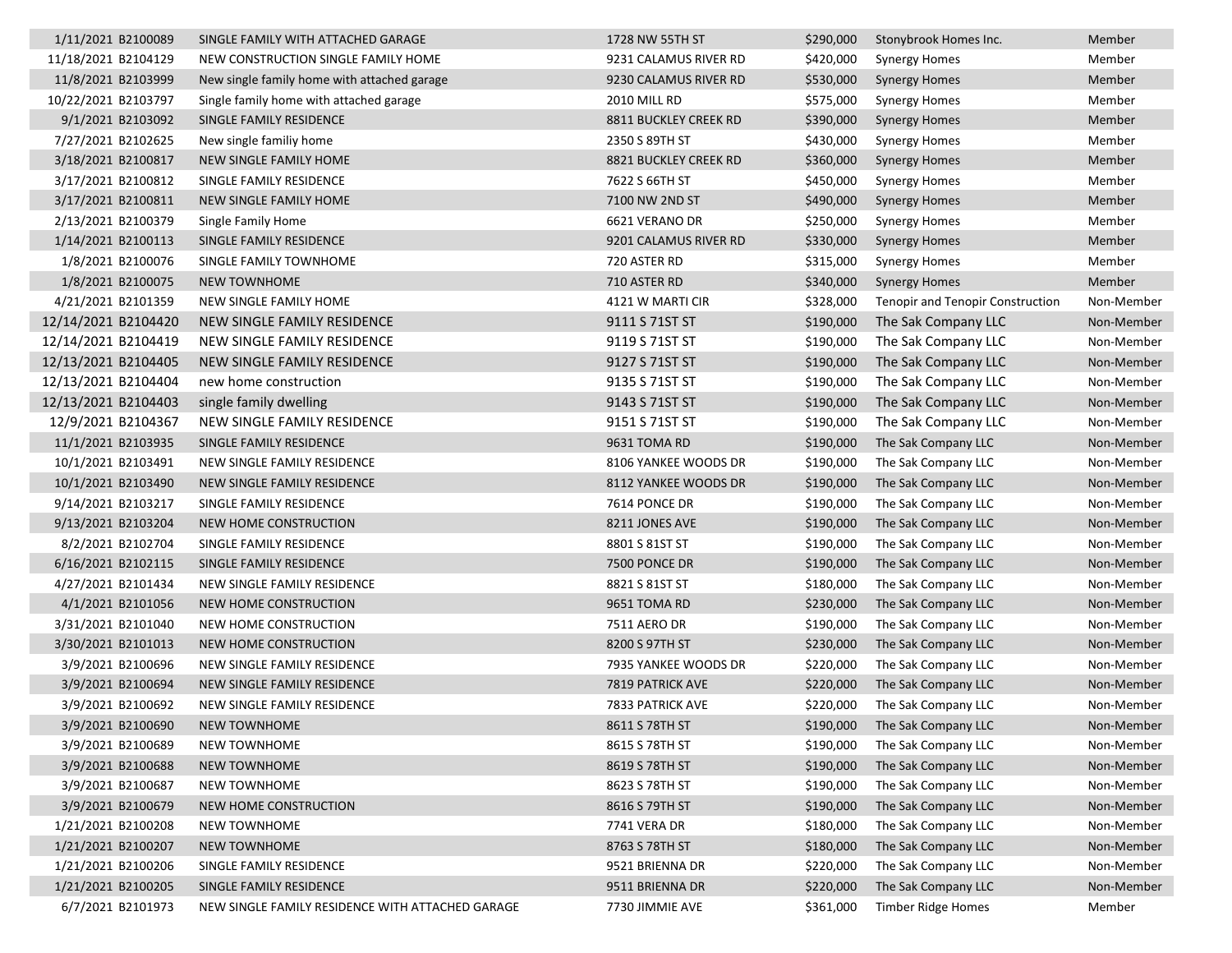| 1/11/2021 B2100089  | SINGLE FAMILY WITH ATTACHED GARAGE               | 1728 NW 55TH ST         | \$290,000 | Stonybrook Homes Inc.                   | Member     |
|---------------------|--------------------------------------------------|-------------------------|-----------|-----------------------------------------|------------|
| 11/18/2021 B2104129 | NEW CONSTRUCTION SINGLE FAMILY HOME              | 9231 CALAMUS RIVER RD   | \$420,000 | Synergy Homes                           | Member     |
| 11/8/2021 B2103999  | New single family home with attached garage      | 9230 CALAMUS RIVER RD   | \$530,000 | <b>Synergy Homes</b>                    | Member     |
| 10/22/2021 B2103797 | Single family home with attached garage          | <b>2010 MILL RD</b>     | \$575,000 | Synergy Homes                           | Member     |
| 9/1/2021 B2103092   | SINGLE FAMILY RESIDENCE                          | 8811 BUCKLEY CREEK RD   | \$390,000 | <b>Synergy Homes</b>                    | Member     |
| 7/27/2021 B2102625  | New single familiy home                          | 2350 S 89TH ST          | \$430,000 | <b>Synergy Homes</b>                    | Member     |
| 3/18/2021 B2100817  | NEW SINGLE FAMILY HOME                           | 8821 BUCKLEY CREEK RD   | \$360,000 | <b>Synergy Homes</b>                    | Member     |
| 3/17/2021 B2100812  | SINGLE FAMILY RESIDENCE                          | 7622 S 66TH ST          | \$450,000 | <b>Synergy Homes</b>                    | Member     |
| 3/17/2021 B2100811  | NEW SINGLE FAMILY HOME                           | 7100 NW 2ND ST          | \$490,000 | <b>Synergy Homes</b>                    | Member     |
| 2/13/2021 B2100379  | Single Family Home                               | 6621 VERANO DR          | \$250,000 | Synergy Homes                           | Member     |
| 1/14/2021 B2100113  | SINGLE FAMILY RESIDENCE                          | 9201 CALAMUS RIVER RD   | \$330,000 | <b>Synergy Homes</b>                    | Member     |
| 1/8/2021 B2100076   | SINGLE FAMILY TOWNHOME                           | 720 ASTER RD            | \$315,000 | <b>Synergy Homes</b>                    | Member     |
| 1/8/2021 B2100075   | <b>NEW TOWNHOME</b>                              | 710 ASTER RD            | \$340,000 | <b>Synergy Homes</b>                    | Member     |
| 4/21/2021 B2101359  | NEW SINGLE FAMILY HOME                           | 4121 W MARTI CIR        | \$328,000 | <b>Tenopir and Tenopir Construction</b> | Non-Member |
| 12/14/2021 B2104420 | NEW SINGLE FAMILY RESIDENCE                      | 9111 S 71ST ST          | \$190,000 | The Sak Company LLC                     | Non-Member |
| 12/14/2021 B2104419 | NEW SINGLE FAMILY RESIDENCE                      | 9119 S 71ST ST          | \$190,000 | The Sak Company LLC                     | Non-Member |
| 12/13/2021 B2104405 | NEW SINGLE FAMILY RESIDENCE                      | 9127 S 71ST ST          | \$190,000 | The Sak Company LLC                     | Non-Member |
| 12/13/2021 B2104404 | new home construction                            | 9135 S 71ST ST          | \$190,000 | The Sak Company LLC                     | Non-Member |
| 12/13/2021 B2104403 | single family dwelling                           | 9143 S 71ST ST          | \$190,000 | The Sak Company LLC                     | Non-Member |
| 12/9/2021 B2104367  | NEW SINGLE FAMILY RESIDENCE                      | 9151 S 71ST ST          | \$190,000 | The Sak Company LLC                     | Non-Member |
| 11/1/2021 B2103935  | SINGLE FAMILY RESIDENCE                          | 9631 TOMA RD            | \$190,000 | The Sak Company LLC                     | Non-Member |
| 10/1/2021 B2103491  | NEW SINGLE FAMILY RESIDENCE                      | 8106 YANKEE WOODS DR    | \$190,000 | The Sak Company LLC                     | Non-Member |
| 10/1/2021 B2103490  | NEW SINGLE FAMILY RESIDENCE                      | 8112 YANKEE WOODS DR    | \$190,000 | The Sak Company LLC                     | Non-Member |
| 9/14/2021 B2103217  | SINGLE FAMILY RESIDENCE                          | 7614 PONCE DR           | \$190,000 | The Sak Company LLC                     | Non-Member |
| 9/13/2021 B2103204  | NEW HOME CONSTRUCTION                            | 8211 JONES AVE          | \$190,000 | The Sak Company LLC                     | Non-Member |
| 8/2/2021 B2102704   | SINGLE FAMILY RESIDENCE                          | 8801 S 81ST ST          | \$190,000 | The Sak Company LLC                     | Non-Member |
| 6/16/2021 B2102115  | SINGLE FAMILY RESIDENCE                          | 7500 PONCE DR           | \$190,000 | The Sak Company LLC                     | Non-Member |
| 4/27/2021 B2101434  | NEW SINGLE FAMILY RESIDENCE                      | 8821 S 81ST ST          | \$180,000 | The Sak Company LLC                     | Non-Member |
| 4/1/2021 B2101056   | NEW HOME CONSTRUCTION                            | 9651 TOMA RD            | \$230,000 | The Sak Company LLC                     | Non-Member |
| 3/31/2021 B2101040  | NEW HOME CONSTRUCTION                            | 7511 AERO DR            | \$190,000 | The Sak Company LLC                     | Non-Member |
| 3/30/2021 B2101013  | NEW HOME CONSTRUCTION                            | 8200 S 97TH ST          | \$230,000 | The Sak Company LLC                     | Non-Member |
| 3/9/2021 B2100696   | NEW SINGLE FAMILY RESIDENCE                      | 7935 YANKEE WOODS DR    | \$220,000 | The Sak Company LLC                     | Non-Member |
| 3/9/2021 B2100694   | NEW SINGLE FAMILY RESIDENCE                      | <b>7819 PATRICK AVE</b> | \$220,000 | The Sak Company LLC                     | Non-Member |
| 3/9/2021 B2100692   | NEW SINGLE FAMILY RESIDENCE                      | 7833 PATRICK AVE        | \$220,000 | The Sak Company LLC                     | Non-Member |
| 3/9/2021 B2100690   | <b>NEW TOWNHOME</b>                              | 8611 S 78TH ST          |           | \$190,000 The Sak Company LLC           | Non-Member |
| 3/9/2021 B2100689   | <b>NEW TOWNHOME</b>                              | 8615 S 78TH ST          | \$190,000 | The Sak Company LLC                     | Non-Member |
| 3/9/2021 B2100688   | <b>NEW TOWNHOME</b>                              | 8619 S 78TH ST          | \$190,000 | The Sak Company LLC                     | Non-Member |
| 3/9/2021 B2100687   | <b>NEW TOWNHOME</b>                              | 8623 S 78TH ST          | \$190,000 | The Sak Company LLC                     | Non-Member |
| 3/9/2021 B2100679   | NEW HOME CONSTRUCTION                            | 8616 S 79TH ST          | \$190,000 | The Sak Company LLC                     | Non-Member |
| 1/21/2021 B2100208  | <b>NEW TOWNHOME</b>                              | 7741 VERA DR            | \$180,000 | The Sak Company LLC                     | Non-Member |
| 1/21/2021 B2100207  | <b>NEW TOWNHOME</b>                              | 8763 S 78TH ST          | \$180,000 | The Sak Company LLC                     | Non-Member |
| 1/21/2021 B2100206  | SINGLE FAMILY RESIDENCE                          | 9521 BRIENNA DR         | \$220,000 | The Sak Company LLC                     | Non-Member |
| 1/21/2021 B2100205  | SINGLE FAMILY RESIDENCE                          | 9511 BRIENNA DR         | \$220,000 | The Sak Company LLC                     | Non-Member |
| 6/7/2021 B2101973   | NEW SINGLE FAMILY RESIDENCE WITH ATTACHED GARAGE | 7730 JIMMIE AVE         | \$361,000 | Timber Ridge Homes                      | Member     |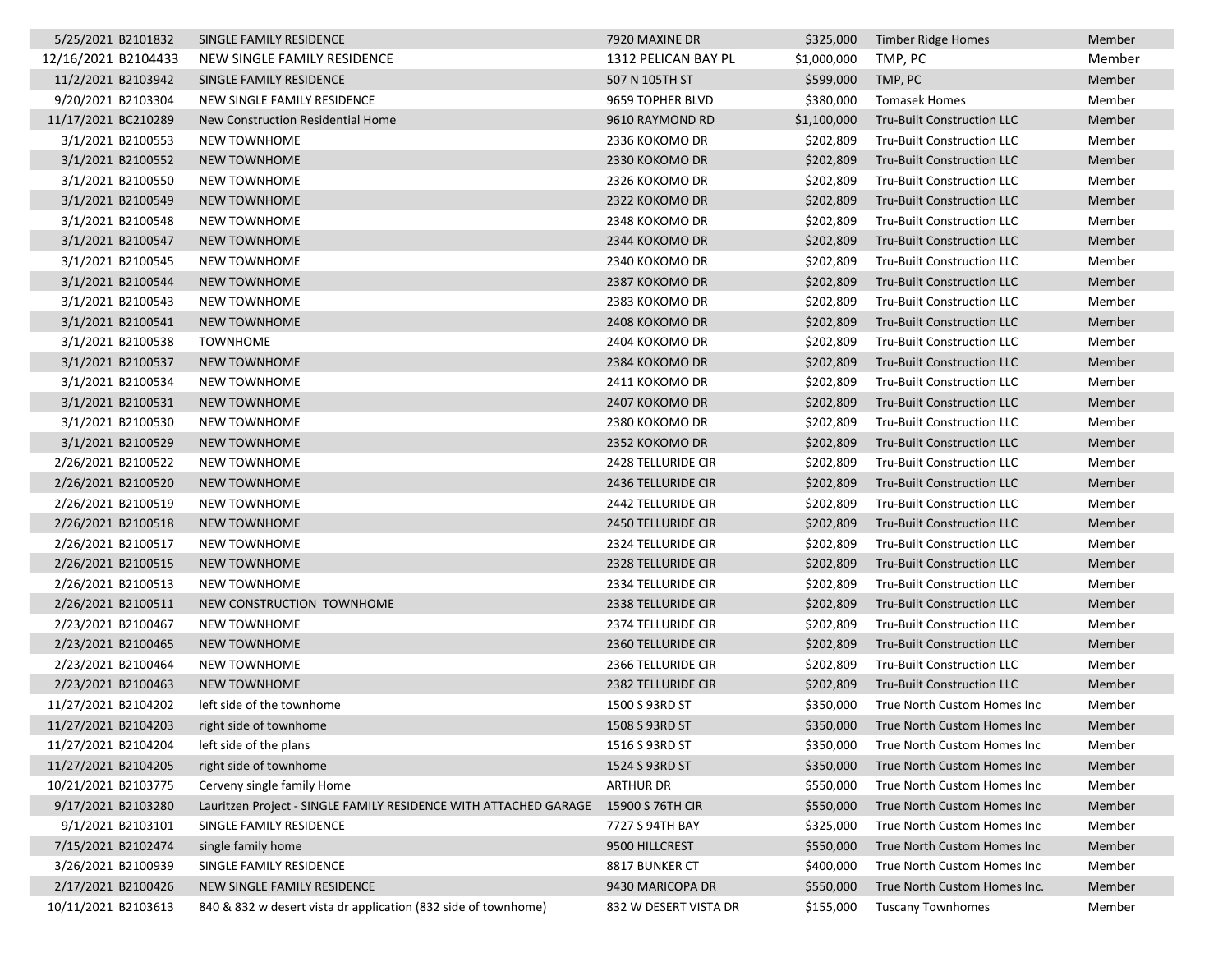| 5/25/2021 B2101832  | SINGLE FAMILY RESIDENCE                                                           | 7920 MAXINE DR            | \$325,000   | <b>Timber Ridge Homes</b>         | Member |
|---------------------|-----------------------------------------------------------------------------------|---------------------------|-------------|-----------------------------------|--------|
| 12/16/2021 B2104433 | NEW SINGLE FAMILY RESIDENCE                                                       | 1312 PELICAN BAY PL       | \$1,000,000 | TMP, PC                           | Member |
| 11/2/2021 B2103942  | SINGLE FAMILY RESIDENCE                                                           | 507 N 105TH ST            | \$599,000   | TMP, PC                           | Member |
| 9/20/2021 B2103304  | NEW SINGLE FAMILY RESIDENCE                                                       | 9659 TOPHER BLVD          | \$380,000   | <b>Tomasek Homes</b>              | Member |
| 11/17/2021 BC210289 | New Construction Residential Home                                                 | 9610 RAYMOND RD           | \$1,100,000 | Tru-Built Construction LLC        | Member |
| 3/1/2021 B2100553   | <b>NEW TOWNHOME</b>                                                               | 2336 KOKOMO DR            | \$202,809   | Tru-Built Construction LLC        | Member |
| 3/1/2021 B2100552   | <b>NEW TOWNHOME</b>                                                               | 2330 KOKOMO DR            | \$202,809   | <b>Tru-Built Construction LLC</b> | Member |
| 3/1/2021 B2100550   | <b>NEW TOWNHOME</b>                                                               | 2326 KOKOMO DR            | \$202,809   | Tru-Built Construction LLC        | Member |
| 3/1/2021 B2100549   | <b>NEW TOWNHOME</b>                                                               | 2322 KOKOMO DR            | \$202,809   | <b>Tru-Built Construction LLC</b> | Member |
| 3/1/2021 B2100548   | NEW TOWNHOME                                                                      | 2348 KOKOMO DR            | \$202,809   | Tru-Built Construction LLC        | Member |
| 3/1/2021 B2100547   | <b>NEW TOWNHOME</b>                                                               | 2344 KOKOMO DR            | \$202,809   | Tru-Built Construction LLC        | Member |
| 3/1/2021 B2100545   | <b>NEW TOWNHOME</b>                                                               | 2340 KOKOMO DR            | \$202,809   | Tru-Built Construction LLC        | Member |
| 3/1/2021 B2100544   | <b>NEW TOWNHOME</b>                                                               | 2387 KOKOMO DR            | \$202,809   | Tru-Built Construction LLC        | Member |
| 3/1/2021 B2100543   | NEW TOWNHOME                                                                      | 2383 KOKOMO DR            | \$202,809   | Tru-Built Construction LLC        | Member |
| 3/1/2021 B2100541   | NEW TOWNHOME                                                                      | 2408 KOKOMO DR            | \$202,809   | Tru-Built Construction LLC        | Member |
| 3/1/2021 B2100538   | <b>TOWNHOME</b>                                                                   | 2404 KOKOMO DR            | \$202,809   | Tru-Built Construction LLC        | Member |
| 3/1/2021 B2100537   | <b>NEW TOWNHOME</b>                                                               | 2384 KOKOMO DR            | \$202,809   | <b>Tru-Built Construction LLC</b> | Member |
| 3/1/2021 B2100534   | <b>NEW TOWNHOME</b>                                                               | 2411 KOKOMO DR            | \$202,809   | Tru-Built Construction LLC        | Member |
| 3/1/2021 B2100531   | NEW TOWNHOME                                                                      | 2407 KOKOMO DR            | \$202,809   | Tru-Built Construction LLC        | Member |
| 3/1/2021 B2100530   | <b>NEW TOWNHOME</b>                                                               | 2380 KOKOMO DR            | \$202,809   | Tru-Built Construction LLC        | Member |
| 3/1/2021 B2100529   | <b>NEW TOWNHOME</b>                                                               | 2352 KOKOMO DR            | \$202,809   | Tru-Built Construction LLC        | Member |
| 2/26/2021 B2100522  | <b>NEW TOWNHOME</b>                                                               | <b>2428 TELLURIDE CIR</b> | \$202,809   | Tru-Built Construction LLC        | Member |
| 2/26/2021 B2100520  | <b>NEW TOWNHOME</b>                                                               | <b>2436 TELLURIDE CIR</b> | \$202,809   | <b>Tru-Built Construction LLC</b> | Member |
| 2/26/2021 B2100519  | <b>NEW TOWNHOME</b>                                                               | 2442 TELLURIDE CIR        | \$202,809   | Tru-Built Construction LLC        | Member |
| 2/26/2021 B2100518  | <b>NEW TOWNHOME</b>                                                               | 2450 TELLURIDE CIR        | \$202,809   | Tru-Built Construction LLC        | Member |
| 2/26/2021 B2100517  | NEW TOWNHOME                                                                      | 2324 TELLURIDE CIR        | \$202,809   | Tru-Built Construction LLC        | Member |
| 2/26/2021 B2100515  | <b>NEW TOWNHOME</b>                                                               | 2328 TELLURIDE CIR        | \$202,809   | <b>Tru-Built Construction LLC</b> | Member |
| 2/26/2021 B2100513  | <b>NEW TOWNHOME</b>                                                               | 2334 TELLURIDE CIR        | \$202,809   | Tru-Built Construction LLC        | Member |
| 2/26/2021 B2100511  | NEW CONSTRUCTION TOWNHOME                                                         | 2338 TELLURIDE CIR        | \$202,809   | <b>Tru-Built Construction LLC</b> | Member |
| 2/23/2021 B2100467  | <b>NEW TOWNHOME</b>                                                               | 2374 TELLURIDE CIR        | \$202,809   | Tru-Built Construction LLC        | Member |
| 2/23/2021 B2100465  | NEW TOWNHOME                                                                      | 2360 TELLURIDE CIR        | \$202,809   | Tru-Built Construction LLC        | Member |
| 2/23/2021 B2100464  | <b>NEW TOWNHOME</b>                                                               | 2366 TELLURIDE CIR        | \$202,809   | <b>Tru-Built Construction LLC</b> | Member |
| 2/23/2021 B2100463  | <b>NEW TOWNHOME</b>                                                               | 2382 TELLURIDE CIR        | \$202,809   | Tru-Built Construction LLC        | Member |
| 11/27/2021 B2104202 | left side of the townhome                                                         | 1500 S 93RD ST            | \$350,000   | True North Custom Homes Inc       | Member |
| 11/27/2021 B2104203 | right side of townhome                                                            | 1508 S 93RD ST            | \$350,000   | True North Custom Homes Inc       | Member |
| 11/27/2021 B2104204 | left side of the plans                                                            | 1516 S 93RD ST            | \$350,000   | True North Custom Homes Inc       | Member |
| 11/27/2021 B2104205 | right side of townhome                                                            | 1524 S 93RD ST            | \$350,000   | True North Custom Homes Inc       | Member |
| 10/21/2021 B2103775 | Cerveny single family Home                                                        | <b>ARTHUR DR</b>          | \$550,000   | True North Custom Homes Inc       | Member |
| 9/17/2021 B2103280  | Lauritzen Project - SINGLE FAMILY RESIDENCE WITH ATTACHED GARAGE 15900 S 76TH CIR |                           | \$550,000   | True North Custom Homes Inc       | Member |
| 9/1/2021 B2103101   | SINGLE FAMILY RESIDENCE                                                           | 7727 S 94TH BAY           | \$325,000   | True North Custom Homes Inc       | Member |
| 7/15/2021 B2102474  | single family home                                                                | 9500 HILLCREST            | \$550,000   | True North Custom Homes Inc       | Member |
| 3/26/2021 B2100939  | SINGLE FAMILY RESIDENCE                                                           | 8817 BUNKER CT            | \$400,000   | True North Custom Homes Inc       | Member |
| 2/17/2021 B2100426  | NEW SINGLE FAMILY RESIDENCE                                                       | 9430 MARICOPA DR          | \$550,000   | True North Custom Homes Inc.      | Member |
| 10/11/2021 B2103613 | 840 & 832 w desert vista dr application (832 side of townhome)                    | 832 W DESERT VISTA DR     | \$155,000   | <b>Tuscany Townhomes</b>          | Member |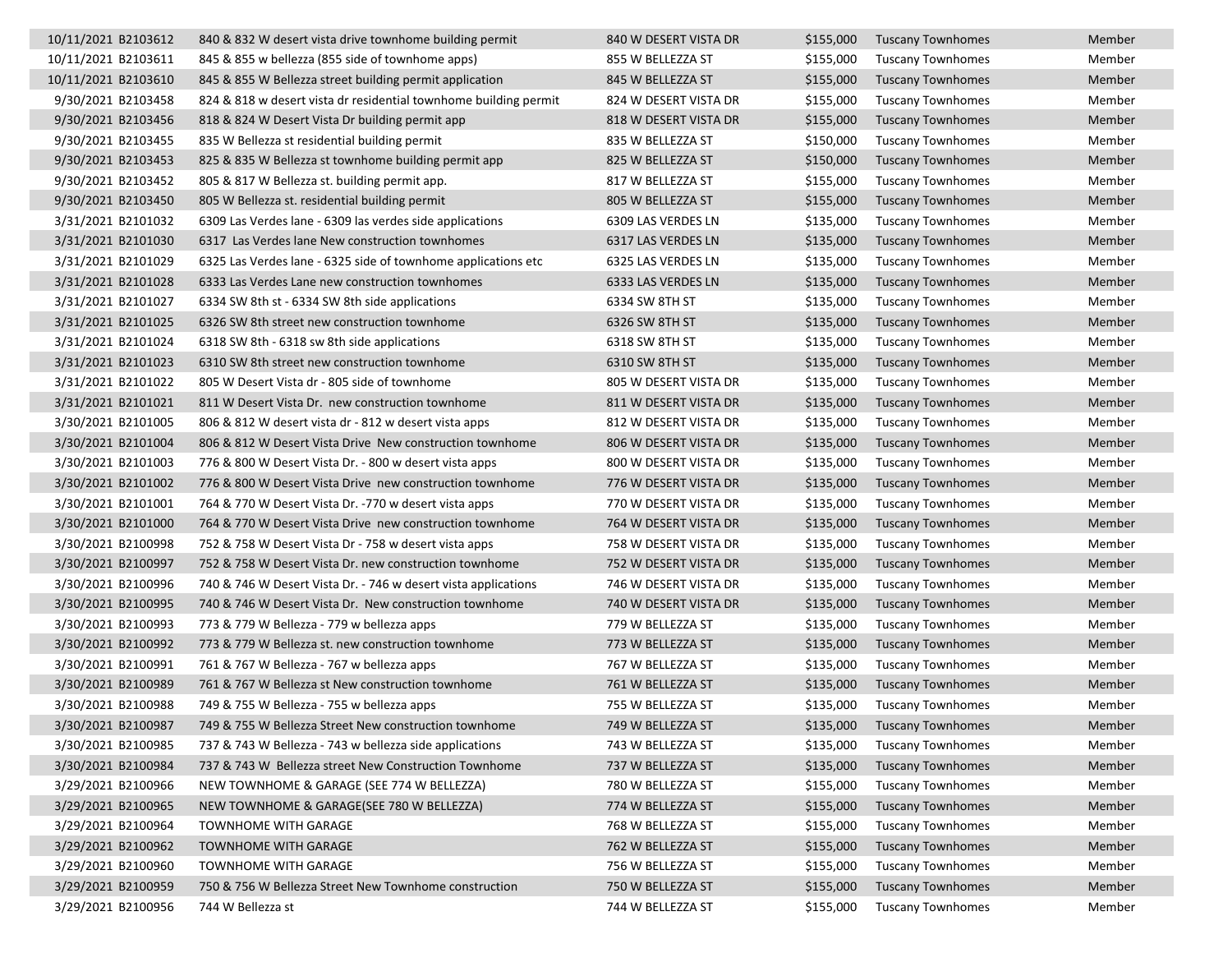| 10/11/2021 B2103612 | 840 & 832 W desert vista drive townhome building permit          | 840 W DESERT VISTA DR | \$155,000 | <b>Tuscany Townhomes</b> | Member |
|---------------------|------------------------------------------------------------------|-----------------------|-----------|--------------------------|--------|
| 10/11/2021 B2103611 | 845 & 855 w bellezza (855 side of townhome apps)                 | 855 W BELLEZZA ST     | \$155,000 | <b>Tuscany Townhomes</b> | Member |
| 10/11/2021 B2103610 | 845 & 855 W Bellezza street building permit application          | 845 W BELLEZZA ST     | \$155,000 | <b>Tuscany Townhomes</b> | Member |
| 9/30/2021 B2103458  | 824 & 818 w desert vista dr residential townhome building permit | 824 W DESERT VISTA DR | \$155,000 | <b>Tuscany Townhomes</b> | Member |
| 9/30/2021 B2103456  | 818 & 824 W Desert Vista Dr building permit app                  | 818 W DESERT VISTA DR | \$155,000 | <b>Tuscany Townhomes</b> | Member |
| 9/30/2021 B2103455  | 835 W Bellezza st residential building permit                    | 835 W BELLEZZA ST     | \$150,000 | <b>Tuscany Townhomes</b> | Member |
| 9/30/2021 B2103453  | 825 & 835 W Bellezza st townhome building permit app             | 825 W BELLEZZA ST     | \$150,000 | <b>Tuscany Townhomes</b> | Member |
| 9/30/2021 B2103452  | 805 & 817 W Bellezza st. building permit app.                    | 817 W BELLEZZA ST     | \$155,000 | <b>Tuscany Townhomes</b> | Member |
| 9/30/2021 B2103450  | 805 W Bellezza st. residential building permit                   | 805 W BELLEZZA ST     | \$155,000 | <b>Tuscany Townhomes</b> | Member |
| 3/31/2021 B2101032  | 6309 Las Verdes lane - 6309 las verdes side applications         | 6309 LAS VERDES LN    | \$135,000 | <b>Tuscany Townhomes</b> | Member |
| 3/31/2021 B2101030  | 6317 Las Verdes lane New construction townhomes                  | 6317 LAS VERDES LN    | \$135,000 | <b>Tuscany Townhomes</b> | Member |
| 3/31/2021 B2101029  | 6325 Las Verdes lane - 6325 side of townhome applications etc    | 6325 LAS VERDES LN    | \$135,000 | <b>Tuscany Townhomes</b> | Member |
| 3/31/2021 B2101028  | 6333 Las Verdes Lane new construction townhomes                  | 6333 LAS VERDES LN    | \$135,000 | <b>Tuscany Townhomes</b> | Member |
| 3/31/2021 B2101027  | 6334 SW 8th st - 6334 SW 8th side applications                   | 6334 SW 8TH ST        | \$135,000 | <b>Tuscany Townhomes</b> | Member |
| 3/31/2021 B2101025  | 6326 SW 8th street new construction townhome                     | 6326 SW 8TH ST        | \$135,000 | <b>Tuscany Townhomes</b> | Member |
| 3/31/2021 B2101024  | 6318 SW 8th - 6318 sw 8th side applications                      | 6318 SW 8TH ST        | \$135,000 | <b>Tuscany Townhomes</b> | Member |
| 3/31/2021 B2101023  | 6310 SW 8th street new construction townhome                     | 6310 SW 8TH ST        | \$135,000 | <b>Tuscany Townhomes</b> | Member |
| 3/31/2021 B2101022  | 805 W Desert Vista dr - 805 side of townhome                     | 805 W DESERT VISTA DR | \$135,000 | <b>Tuscany Townhomes</b> | Member |
| 3/31/2021 B2101021  | 811 W Desert Vista Dr. new construction townhome                 | 811 W DESERT VISTA DR | \$135,000 | <b>Tuscany Townhomes</b> | Member |
| 3/30/2021 B2101005  | 806 & 812 W desert vista dr - 812 w desert vista apps            | 812 W DESERT VISTA DR | \$135,000 | <b>Tuscany Townhomes</b> | Member |
| 3/30/2021 B2101004  | 806 & 812 W Desert Vista Drive New construction townhome         | 806 W DESERT VISTA DR | \$135,000 | <b>Tuscany Townhomes</b> | Member |
| 3/30/2021 B2101003  | 776 & 800 W Desert Vista Dr. - 800 w desert vista apps           | 800 W DESERT VISTA DR | \$135,000 | <b>Tuscany Townhomes</b> | Member |
| 3/30/2021 B2101002  | 776 & 800 W Desert Vista Drive new construction townhome         | 776 W DESERT VISTA DR | \$135,000 | <b>Tuscany Townhomes</b> | Member |
| 3/30/2021 B2101001  | 764 & 770 W Desert Vista Dr. -770 w desert vista apps            | 770 W DESERT VISTA DR | \$135,000 | <b>Tuscany Townhomes</b> | Member |
| 3/30/2021 B2101000  | 764 & 770 W Desert Vista Drive new construction townhome         | 764 W DESERT VISTA DR | \$135,000 | <b>Tuscany Townhomes</b> | Member |
| 3/30/2021 B2100998  | 752 & 758 W Desert Vista Dr - 758 w desert vista apps            | 758 W DESERT VISTA DR | \$135,000 | <b>Tuscany Townhomes</b> | Member |
| 3/30/2021 B2100997  | 752 & 758 W Desert Vista Dr. new construction townhome           | 752 W DESERT VISTA DR | \$135,000 | <b>Tuscany Townhomes</b> | Member |
| 3/30/2021 B2100996  | 740 & 746 W Desert Vista Dr. - 746 w desert vista applications   | 746 W DESERT VISTA DR | \$135,000 | <b>Tuscany Townhomes</b> | Member |
| 3/30/2021 B2100995  | 740 & 746 W Desert Vista Dr. New construction townhome           | 740 W DESERT VISTA DR | \$135,000 | <b>Tuscany Townhomes</b> | Member |
| 3/30/2021 B2100993  | 773 & 779 W Bellezza - 779 w bellezza apps                       | 779 W BELLEZZA ST     | \$135,000 | <b>Tuscany Townhomes</b> | Member |
| 3/30/2021 B2100992  | 773 & 779 W Bellezza st. new construction townhome               | 773 W BELLEZZA ST     | \$135,000 | <b>Tuscany Townhomes</b> | Member |
| 3/30/2021 B2100991  | 761 & 767 W Bellezza - 767 w bellezza apps                       | 767 W BELLEZZA ST     | \$135,000 | <b>Tuscany Townhomes</b> | Member |
| 3/30/2021 B2100989  | 761 & 767 W Bellezza st New construction townhome                | 761 W BELLEZZA ST     | \$135,000 | <b>Tuscany Townhomes</b> | Member |
| 3/30/2021 B2100988  | 749 & 755 W Bellezza - 755 w bellezza apps                       | 755 W BELLEZZA ST     | \$135,000 | <b>Tuscany Townhomes</b> | Member |
| 3/30/2021 B2100987  | 749 & 755 W Bellezza Street New construction townhome            | 749 W BELLEZZA ST     | \$135,000 | <b>Tuscany Townhomes</b> | Member |
| 3/30/2021 B2100985  | 737 & 743 W Bellezza - 743 w bellezza side applications          | 743 W BELLEZZA ST     | \$135,000 | <b>Tuscany Townhomes</b> | Member |
| 3/30/2021 B2100984  | 737 & 743 W Bellezza street New Construction Townhome            | 737 W BELLEZZA ST     | \$135,000 | <b>Tuscany Townhomes</b> | Member |
| 3/29/2021 B2100966  | NEW TOWNHOME & GARAGE (SEE 774 W BELLEZZA)                       | 780 W BELLEZZA ST     | \$155,000 | <b>Tuscany Townhomes</b> | Member |
| 3/29/2021 B2100965  | NEW TOWNHOME & GARAGE(SEE 780 W BELLEZZA)                        | 774 W BELLEZZA ST     | \$155,000 | <b>Tuscany Townhomes</b> | Member |
| 3/29/2021 B2100964  | TOWNHOME WITH GARAGE                                             | 768 W BELLEZZA ST     | \$155,000 | <b>Tuscany Townhomes</b> | Member |
| 3/29/2021 B2100962  | <b>TOWNHOME WITH GARAGE</b>                                      | 762 W BELLEZZA ST     | \$155,000 | <b>Tuscany Townhomes</b> | Member |
| 3/29/2021 B2100960  | TOWNHOME WITH GARAGE                                             | 756 W BELLEZZA ST     | \$155,000 | <b>Tuscany Townhomes</b> | Member |
| 3/29/2021 B2100959  | 750 & 756 W Bellezza Street New Townhome construction            | 750 W BELLEZZA ST     | \$155,000 | <b>Tuscany Townhomes</b> | Member |
| 3/29/2021 B2100956  | 744 W Bellezza st                                                | 744 W BELLEZZA ST     | \$155,000 | <b>Tuscany Townhomes</b> | Member |